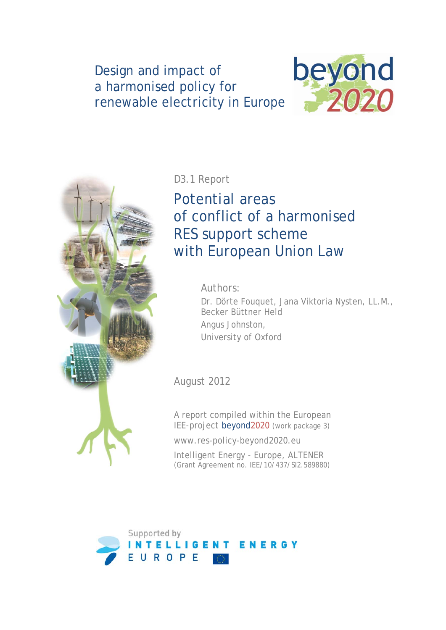# Design and impact of a harmonised policy for renewable electricity in Europe





D3.1 Report

# Potential areas of conflict of a harmonised RES support scheme with European Union Law

Authors: Dr. Dörte Fouquet, Jana Viktoria Nysten, LL.M., Becker Büttner Held Angus Johnston, University of Oxford

August 2012

A report compiled within the European IEE-project beyond*2020* (work package 3)

www.res-policy-beyond2020.eu

Intelligent Energy - Europe, ALTENER (Grant Agreement no. IEE/10/437/SI2.589880)

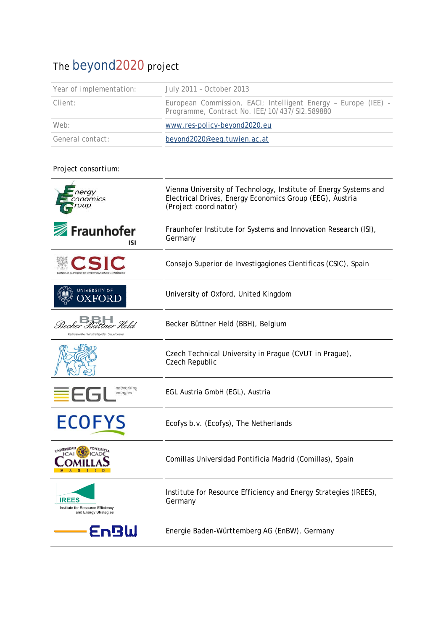# *The* beyond*2020 project*

| Year of implementation: | July 2011 - October 2013                                                                                        |
|-------------------------|-----------------------------------------------------------------------------------------------------------------|
| <i>Client:</i>          | European Commission, EACI; Intelligent Energy - Europe (IEE) -<br>Programme, Contract No. IEE/10/437/SI2.589880 |
| Web:                    | www.res-policy-beyond2020.eu                                                                                    |
| General contact:        | beyond2020@eeg.tuwien.ac.at                                                                                     |

### *Project consortium:*

| erav<br>nomics                                                             | Vienna University of Technology, Institute of Energy Systems and<br>Electrical Drives, Energy Economics Group (EEG), Austria<br>(Project coordinator) |
|----------------------------------------------------------------------------|-------------------------------------------------------------------------------------------------------------------------------------------------------|
| Fraunhofer<br>ısı                                                          | Fraunhofer Institute for Systems and Innovation Research (ISI),<br>Germany                                                                            |
|                                                                            | Consejo Superior de Investigagiones Cientificas (CSIC), Spain                                                                                         |
| UNIVERSITY OF<br>)XFORD                                                    | University of Oxford, United Kingdom                                                                                                                  |
| Suttner<br>Rechtsarwälte · Wirtschaftsprüfer · Steuerberater               | Becker Büttner Held (BBH), Belgium                                                                                                                    |
|                                                                            | Czech Technical University in Prague (CVUT in Prague),<br>Czech Republic                                                                              |
| networking<br>366<br>energies                                              | EGL Austria GmbH (EGL), Austria                                                                                                                       |
| <b>ECOFYS</b>                                                              | Ecofys b.v. (Ecofys), The Netherlands                                                                                                                 |
| <b>UNIVERSIDAD</b>                                                         | Comillas Universidad Pontificia Madrid (Comillas), Spain                                                                                              |
| <b>IREES</b><br>Institute for Resource Efficiency<br>and Energy Strategies | Institute for Resource Efficiency and Energy Strategies (IREES),<br>Germany                                                                           |
| EnßW                                                                       | Energie Baden-Württemberg AG (EnBW), Germany                                                                                                          |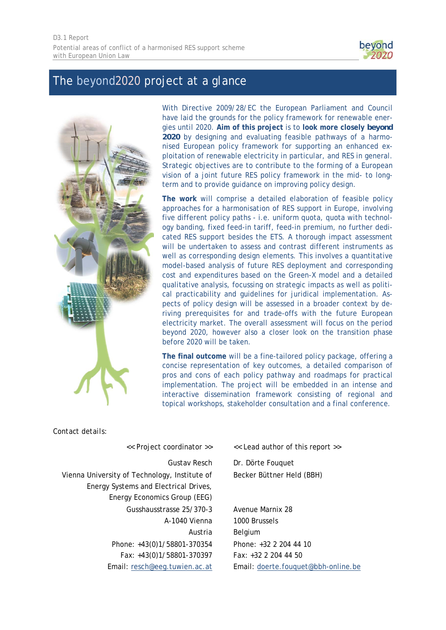

# The beyond*2020* project *at a glance*



With Directive 2009/28/EC the European Parliament and Council have laid the grounds for the policy framework for renewable energies until 2020. **Aim of this project** is to **look more closely** *beyond 2020* by designing and evaluating feasible pathways of a harmonised European policy framework for supporting an enhanced exploitation of renewable electricity in particular, and RES in general. Strategic objectives are to contribute to the forming of a European vision of a joint future RES policy framework in the mid- to longterm and to provide guidance on improving policy design.

**The work** will comprise a detailed elaboration of feasible policy approaches for a harmonisation of RES support in Europe, involving five different policy paths - i.e. uniform quota, quota with technology banding, fixed feed-in tariff, feed-in premium, no further dedicated RES support besides the ETS. A thorough impact assessment will be undertaken to assess and contrast different instruments as well as corresponding design elements. This involves a quantitative model-based analysis of future RES deployment and corresponding cost and expenditures based on the Green-X model and a detailed qualitative analysis, focussing on strategic impacts as well as political practicability and guidelines for juridical implementation. Aspects of policy design will be assessed in a broader context by deriving prerequisites for and trade-offs with the future European electricity market. The overall assessment will focus on the period beyond 2020, however also a closer look on the transition phase before 2020 will be taken.

**The final outcome** will be a fine-tailored policy package, offering a concise representation of key outcomes, a detailed comparison of pros and cons of each policy pathway and roadmaps for practical implementation. The project will be embedded in an intense and interactive dissemination framework consisting of regional and topical workshops, stakeholder consultation and a final conference.

#### *Contact details:*

<< Project coordinator >>

Gustav Resch Vienna University of Technology, Institute of Energy Systems and Electrical Drives, Energy Economics Group (EEG) Gusshausstrasse 25/370-3 A-1040 Vienna Austria Phone: +43(0)1/58801-370354 Fax: +43(0)1/58801-370397 Email: resch@eeg.tuwien.ac.at << Lead author of this report >>

Dr. Dörte Fouquet Becker Büttner Held (BBH)

Avenue Marnix 28 1000 Brussels Belgium Phone: +32 2 204 44 10 Fax: +32 2 204 44 50 Email: doerte.fouquet@bbh-online.be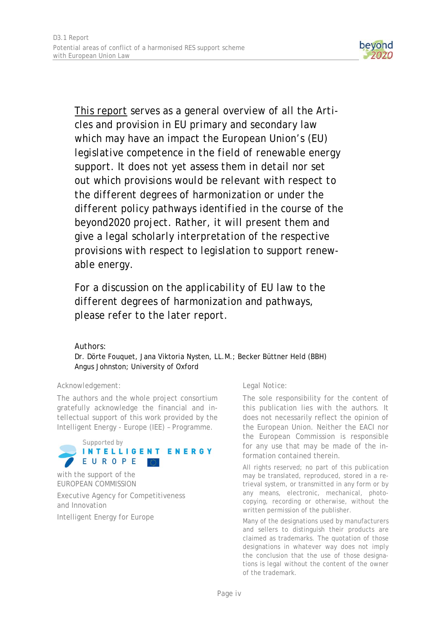

*This report serves as a general overview of all the Articles and provision in EU primary and secondary law which may have an impact the European Union's (EU) legislative competence in the field of renewable energy support. It does not yet assess them in detail nor set out which provisions would be relevant with respect to the different degrees of harmonization or under the different policy pathways identified in the course of the*  beyond*2020 project. Rather, it will present them and give a legal scholarly interpretation of the respective provisions with respect to legislation to support renewable energy.* 

*For a discussion on the applicability of EU law to the different degrees of harmonization and pathways, please refer to the later report.* 

## *Authors:*

Dr. Dörte Fouquet, Jana Viktoria Nysten, LL.M.; Becker Büttner Held (BBH) Angus Johnston; University of Oxford

#### *Acknowledgement:*

The authors and the whole project consortium gratefully acknowledge the financial and intellectual support of this work provided by the Intelligent Energy - Europe (IEE) – Programme.



with the support of the EUROPEAN COMMISSION

Executive Agency for Competitiveness and Innovation

Intelligent Energy for Europe

#### *Legal Notice:*

The sole responsibility for the content of this publication lies with the authors. It does not necessarily reflect the opinion of the European Union. Neither the EACI nor the European Commission is responsible for any use that may be made of the information contained therein.

All rights reserved; no part of this publication may be translated, reproduced, stored in a retrieval system, or transmitted in any form or by any means, electronic, mechanical, photocopying, recording or otherwise, without the written permission of the publisher.

Many of the designations used by manufacturers and sellers to distinguish their products are claimed as trademarks. The quotation of those designations in whatever way does not imply the conclusion that the use of those designations is legal without the content of the owner of the trademark.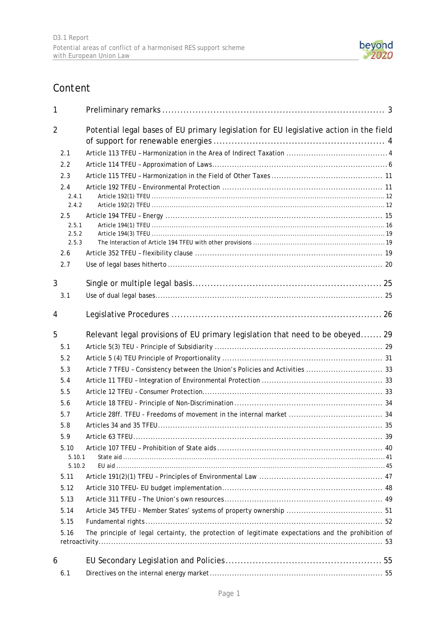

# *Content*

| $\mathbf{1}$                   |                                                                                                    |
|--------------------------------|----------------------------------------------------------------------------------------------------|
| $\overline{2}$                 | Potential legal bases of EU primary legislation for EU legislative action in the field             |
| 2.1                            |                                                                                                    |
| 2.2                            |                                                                                                    |
| 2.3                            |                                                                                                    |
| 2.4<br>2.4.1<br>2.4.2          |                                                                                                    |
| 2.5<br>2.5.1<br>2.5.2<br>2.5.3 |                                                                                                    |
| 2.6                            |                                                                                                    |
| 2.7                            |                                                                                                    |
| 3<br>3.1                       |                                                                                                    |
| 4                              |                                                                                                    |
| 5                              | Relevant legal provisions of EU primary legislation that need to be obeyed 29                      |
| 5.1                            |                                                                                                    |
| 5.2                            |                                                                                                    |
| 5.3                            | Article 7 TFEU - Consistency between the Union's Policies and Activities  33                       |
| 5.4                            |                                                                                                    |
| 5.5                            |                                                                                                    |
| 5.6                            |                                                                                                    |
| 5.7                            |                                                                                                    |
| 5.8                            |                                                                                                    |
| 5.9                            |                                                                                                    |
| 5.10                           |                                                                                                    |
| 5.10.1                         |                                                                                                    |
| 5.10.2                         |                                                                                                    |
| 5.11                           |                                                                                                    |
| 5.12                           |                                                                                                    |
| 5.13                           |                                                                                                    |
| 5.14                           |                                                                                                    |
| 5.15                           |                                                                                                    |
| 5.16                           | The principle of legal certainty, the protection of legitimate expectations and the prohibition of |
| 6                              |                                                                                                    |
| 6.1                            |                                                                                                    |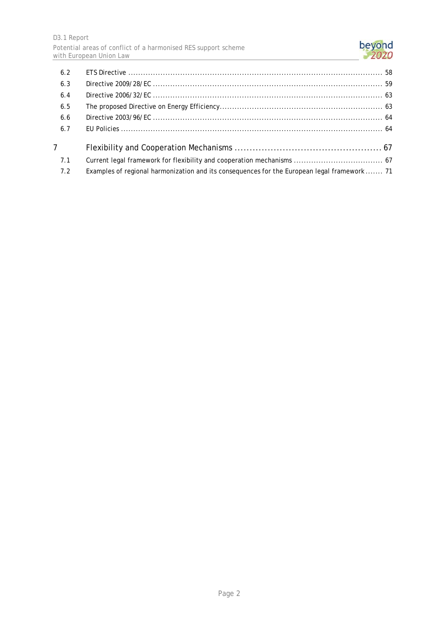

| 6.2            |                                                                                              |
|----------------|----------------------------------------------------------------------------------------------|
| 6.3            |                                                                                              |
| 6.4            |                                                                                              |
| 6.5            |                                                                                              |
| 6.6            |                                                                                              |
| 6.7            |                                                                                              |
| 7 <sup>7</sup> |                                                                                              |
| 7.1            |                                                                                              |
| 7.2            | Examples of regional harmonization and its consequences for the European legal framework  71 |
|                |                                                                                              |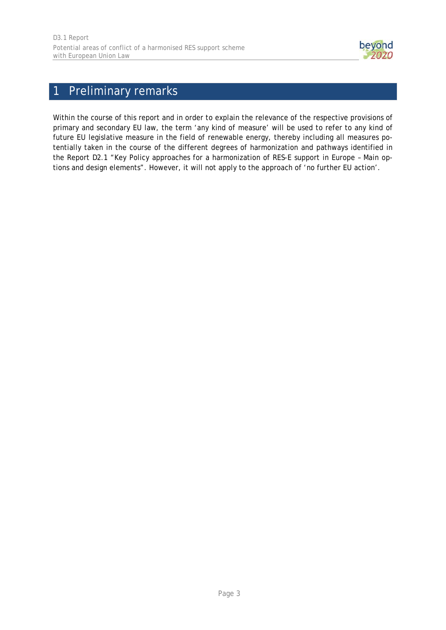

# 1 Preliminary remarks

Within the course of this report and in order to explain the relevance of the respective provisions of primary and secondary EU law, the term 'any kind of measure' will be used to refer to any kind of future EU legislative measure in the field of renewable energy, thereby including all measures potentially taken in the course of the different degrees of harmonization and pathways identified in the Report D2.1 "Key Policy approaches for a harmonization of RES-E support in Europe – Main options and design elements". However, it will not apply to the approach of 'no further EU action'.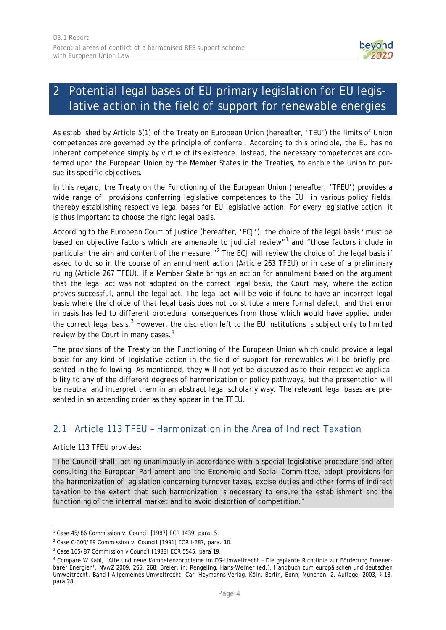# 2 Potential legal bases of EU primary legislation for EU legislative action in the field of support for renewable energies

As established by Article 5(1) of the Treaty on European Union (hereafter, 'TEU') the limits of Union competences are governed by the principle of conferral. According to this principle, the EU has no inherent competence simply by virtue of its existence. Instead, the necessary competences are conferred upon the European Union by the Member States in the Treaties, to enable the Union to pursue its specific objectives.

In this regard, the Treaty on the Functioning of the European Union (hereafter, 'TFEU') provides a wide range of provisions conferring legislative competences to the EU in various policy fields, thereby establishing respective legal bases for EU legislative action. For every legislative action, it is thus important to choose the right legal basis.

According to the European Court of Justice (hereafter, 'ECJ'), the choice of the legal basis "must be based on objective factors which are amenable to judicial review"<sup>1</sup> and "those factors include in particular the aim and content of the measure."<sup>2</sup> The ECJ will review the choice of the legal basis if asked to do so in the course of an annulment action (Article 263 TFEU) or in case of a preliminary ruling (Article 267 TFEU). If a Member State brings an action for annulment based on the argument that the legal act was not adopted on the correct legal basis, the Court may, where the action proves successful, annul the legal act. The legal act will be void if found to have an incorrect legal basis where the choice of that legal basis does not constitute a mere formal defect, and that error in basis has led to different procedural consequences from those which would have applied under the correct legal basis.<sup>3</sup> However, the discretion left to the EU institutions is subject only to limited review by the Court in many cases. $4$ 

The provisions of the Treaty on the Functioning of the European Union which could provide a legal basis for any kind of legislative action in the field of support for renewables will be briefly presented in the following. As mentioned, they will not yet be discussed as to their respective applicability to any of the different degrees of harmonization or policy pathways, but the presentation will be neutral and interpret them in an abstract legal scholarly way. The relevant legal bases are presented in an ascending order as they appear in the TFEU.

# 2.1 Article 113 TFEU – Harmonization in the Area of Indirect Taxation

## Article 113 TFEU provides:

"The Council shall, acting unanimously in accordance with a special legislative procedure and after consulting the European Parliament and the Economic and Social Committee, adopt provisions for the harmonization of legislation concerning turnover taxes, excise duties and other forms of indirect taxation to the extent that such harmonization is necessary to ensure the establishment and the functioning of the internal market and to avoid distortion of competition."

 1 Case 45/86 *Commission v. Council* [1987] ECR 1439, para. 5.

<sup>2</sup> Case C-300/89 *Commission v. Council* [1991] ECR I-287, para. 10.

<sup>3</sup> Case 165/87 *Commission* v *Council* [1988] ECR 5545, para 19.

<sup>4</sup> Compare W Kahl, 'Alte und neue Kompetenzprobleme im EG-Umweltrecht – Die geplante Richtlinie zur Förderung Erneuerbarer Energien', *NVwZ* 2009, 265, 268; Breier, in: Rengeling, Hans-Werner (ed.), *Handbuch zum europäischen und deutschen Umweltrecht*, Band I Allgemeines Umweltrecht, Carl Heymanns Verlag, Köln, Berlin, Bonn, München, 2. Auflage, 2003, § 13, para 28.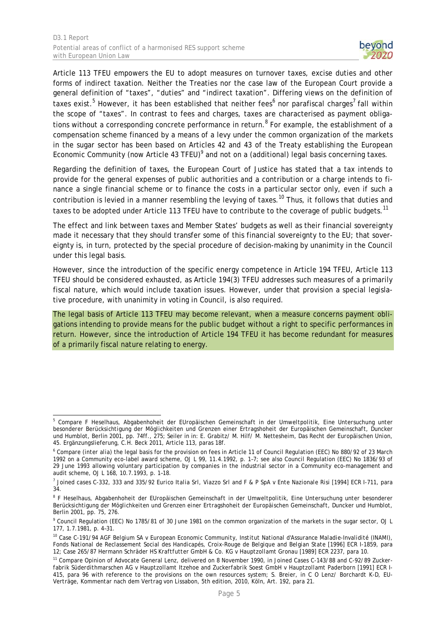1

Article 113 TFEU empowers the EU to adopt measures on turnover taxes, excise duties and other forms of indirect taxation. Neither the Treaties nor the case law of the European Court provide a general definition of "taxes", "duties" and "indirect taxation". Differing views on the definition of taxes exist.<sup>5</sup> However, it has been established that neither fees<sup>6</sup> nor parafiscal charges<sup>7</sup> fall within the scope of "taxes". In contrast to fees and charges, taxes are characterised as payment obligations without a corresponding concrete performance in return.<sup>8</sup> For example, the establishment of a compensation scheme financed by a means of a levy under the common organization of the markets in the sugar sector has been based on Articles 42 and 43 of the Treaty establishing the European Economic Community (now Article 43 TFEU)<sup>9</sup> and not on a (additional) legal basis concerning taxes.

Regarding the definition of taxes, the European Court of Justice has stated that a tax intends to provide for the general expenses of public authorities and a contribution or a charge intends to finance a single financial scheme or to finance the costs in a particular sector only, even if such a contribution is levied in a manner resembling the levying of taxes.<sup>10</sup> Thus, it follows that duties and taxes to be adopted under Article 113 TFFU have to contribute to the coverage of public budgets.<sup>11</sup>

The effect and link between taxes and Member States' budgets as well as their financial sovereignty made it necessary that they should transfer some of this financial sovereignty to the EU; that sovereignty is, in turn, protected by the special procedure of decision-making by unanimity in the Council under this legal basis.

However, since the introduction of the specific energy competence in Article 194 TFEU, Article 113 TFEU should be considered exhausted, as Article 194(3) TFEU addresses such measures of a primarily fiscal nature, which would include taxation issues. However, under that provision a special legislative procedure, with unanimity in voting in Council, is also required.

The legal basis of Article 113 TFEU may become relevant, when a measure concerns payment obligations intending to provide means for the public budget without a right to specific performances in return. However, since the introduction of Article 194 TFEU it has become redundant for measures of a primarily fiscal nature relating to energy.

<sup>5</sup> Compare F Heselhaus, *Abgabenhoheit der EUropäischen Gemeinschaft in der Umweltpolitik, Eine Untersuchung unter besonderer Berücksichtigung der Möglichkeiten und Grenzen einer Ertragshoheit der Europäischen Gemeinschaft,* Duncker und Humblot, Berlin 2001, pp. 74ff., 275; Seiler in in: E. Grabitz/ M. Hilf/ M. Nettesheim, *Das Recht der Europäischen Union*, 45. Ergänzungslieferung, C.H. Beck 2011, Article 113, paras 18f.

<sup>&</sup>lt;sup>6</sup> Compare (*inter alia*) the legal basis for the provision on fees in Article 11 of Council Regulation (EEC) No 880/92 of 23 March 1992 on a Community eco-label award scheme, OJ L 99, 11.4.1992, p. 1–7; see also Council Regulation (EEC) No 1836/93 of 29 June 1993 allowing voluntary participation by companies in the industrial sector in a Community eco-management and audit scheme, OJ L 168, 10.7.1993, p. 1–18.

<sup>7</sup> Joined cases C-332, 333 and 335/92 *Eurico Italia Srl, Viazzo Srl and F & P SpA* v *Ente Nazionale Risi* [1994] ECR I-711, para 34.

<sup>8</sup> F Heselhaus, *Abgabenhoheit der EUropäischen Gemeinschaft in der Umweltpolitik, Eine Untersuchung unter besonderer Berücksichtigung der Möglichkeiten und Grenzen einer Ertragshoheit der Europäischen Gemeinschaft*, Duncker und Humblot, Berlin 2001, pp. 75, 276.

<sup>9</sup> Council Regulation (EEC) No 1785/81 of 30 June 1981 on the common organization of the markets in the sugar sector, OJ L 177, 1.7.1981, p. 4–31.

<sup>10</sup> Case C-191/94 *AGF Belgium SA v European Economic Community, Institut National d'Assurance Maladie-Invalidité (INAMI), Fonds National de Reclassement Social des Handicapés, Croix-Rouge de Belgique and Belgian State* [1996] ECR I-1859, para 12; Case 265/87 *Hermann Schräder HS Kraftfutter GmbH & Co. KG v Hauptzollamt Gronau* [1989] ECR 2237, para 10.

<sup>11</sup> Compare Opinion of Advocate General Lenz, delivered on 8 November 1990, in Joined Cases C-143/88 and C-92/89 *Zuckerfabrik Süderdithmarschen AG v Hauptzollamt Itzehoe* and *Zuckerfabrik Soest GmbH v Hauptzollamt Paderborn* [1991] ECR I-415, para 96 with reference to the provisions on the own resources system; S. Breier, in C O Lenz/ Borchardt K-D, *EU-Verträge, Kommentar nach dem Vertrag von Lissabon*, 5th edition, 2010, Köln, Art. 192, para 21.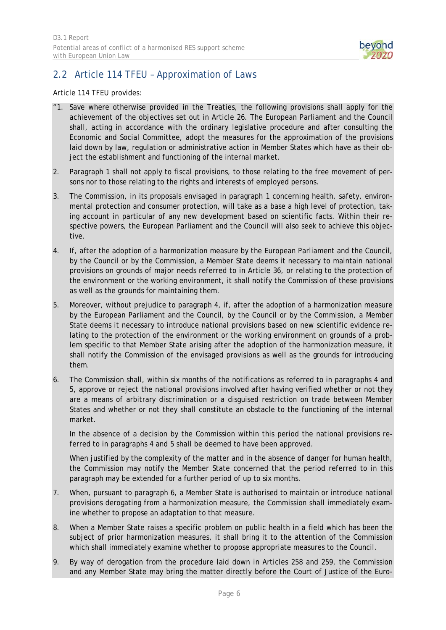

# 2.2 Article 114 TFEU – Approximation of Laws

Article 114 TFEU provides:

- "1. Save where otherwise provided in the Treaties, the following provisions shall apply for the achievement of the objectives set out in Article 26. The European Parliament and the Council shall, acting in accordance with the ordinary legislative procedure and after consulting the Economic and Social Committee, adopt the measures for the approximation of the provisions laid down by law, regulation or administrative action in Member States which have as their object the establishment and functioning of the internal market.
- 2. Paragraph 1 shall not apply to fiscal provisions, to those relating to the free movement of persons nor to those relating to the rights and interests of employed persons.
- 3. The Commission, in its proposals envisaged in paragraph 1 concerning health, safety, environmental protection and consumer protection, will take as a base a high level of protection, taking account in particular of any new development based on scientific facts. Within their respective powers, the European Parliament and the Council will also seek to achieve this objective.
- 4. If, after the adoption of a harmonization measure by the European Parliament and the Council, by the Council or by the Commission, a Member State deems it necessary to maintain national provisions on grounds of major needs referred to in Article 36, or relating to the protection of the environment or the working environment, it shall notify the Commission of these provisions as well as the grounds for maintaining them.
- 5. Moreover, without prejudice to paragraph 4, if, after the adoption of a harmonization measure by the European Parliament and the Council, by the Council or by the Commission, a Member State deems it necessary to introduce national provisions based on new scientific evidence relating to the protection of the environment or the working environment on grounds of a problem specific to that Member State arising after the adoption of the harmonization measure, it shall notify the Commission of the envisaged provisions as well as the grounds for introducing them.
- 6. The Commission shall, within six months of the notifications as referred to in paragraphs 4 and 5, approve or reject the national provisions involved after having verified whether or not they are a means of arbitrary discrimination or a disguised restriction on trade between Member States and whether or not they shall constitute an obstacle to the functioning of the internal market.

 In the absence of a decision by the Commission within this period the national provisions referred to in paragraphs 4 and 5 shall be deemed to have been approved.

 When justified by the complexity of the matter and in the absence of danger for human health, the Commission may notify the Member State concerned that the period referred to in this paragraph may be extended for a further period of up to six months.

- 7. When, pursuant to paragraph 6, a Member State is authorised to maintain or introduce national provisions derogating from a harmonization measure, the Commission shall immediately examine whether to propose an adaptation to that measure.
- 8. When a Member State raises a specific problem on public health in a field which has been the subject of prior harmonization measures, it shall bring it to the attention of the Commission which shall immediately examine whether to propose appropriate measures to the Council.
- 9. By way of derogation from the procedure laid down in Articles 258 and 259, the Commission and any Member State may bring the matter directly before the Court of Justice of the Euro-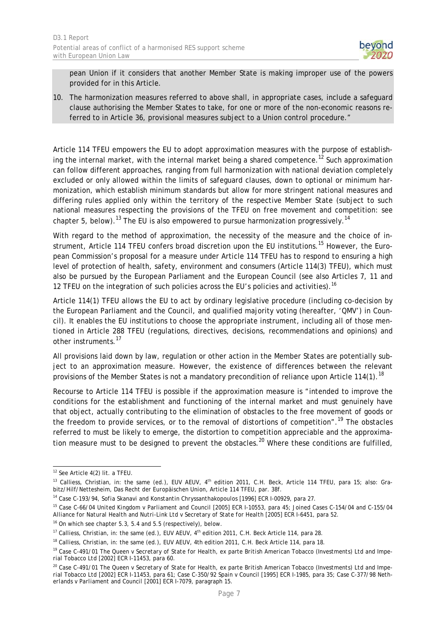pean Union if it considers that another Member State is making improper use of the powers provided for in this Article.

10. The harmonization measures referred to above shall, in appropriate cases, include a safeguard clause authorising the Member States to take, for one or more of the non-economic reasons referred to in Article 36, provisional measures subject to a Union control procedure."

Article 114 TFEU empowers the EU to adopt approximation measures with the purpose of establishing the internal market, with the internal market being a shared competence.<sup>12</sup> Such approximation can follow different approaches, ranging from full harmonization with national deviation completely excluded or only allowed within the limits of safeguard clauses, down to optional or minimum harmonization, which establish minimum standards but allow for more stringent national measures and differing rules applied only within the territory of the respective Member State (subject to such national measures respecting the provisions of the TFEU on free movement and competition: see chapter 5, below).<sup>13</sup> The EU is also empowered to pursue harmonization progressively.<sup>14</sup>

With regard to the method of approximation, the necessity of the measure and the choice of instrument, Article 114 TFEU confers broad discretion upon the EU institutions.<sup>15</sup> However, the European Commission's proposal for a measure under Article 114 TFEU has to respond to ensuring a high level of protection of health, safety, environment and consumers (Article 114(3) TFEU), which must also be pursued by the European Parliament and the European Council (see also Articles 7, 11 and 12 TFEU on the integration of such policies across the EU's policies and activities).<sup>16</sup>

Article 114(1) TFEU allows the EU to act by ordinary legislative procedure (including co-decision by the European Parliament and the Council, and qualified majority voting (hereafter, 'QMV') in Council). It enables the EU institutions to choose the appropriate instrument, including all of those mentioned in Article 288 TFEU (regulations, directives, decisions, recommendations and opinions) and other instruments.<sup>17</sup>

All provisions laid down by law, regulation or other action in the Member States are potentially subject to an approximation measure. However, the existence of differences between the relevant provisions of the Member States is not a mandatory precondition of reliance upon Article 114(1).<sup>18</sup>

Recourse to Article 114 TFEU is possible if the approximation measure is "intended to improve the conditions for the establishment and functioning of the internal market and must genuinely have that object, actually contributing to the elimination of obstacles to the free movement of goods or the freedom to provide services, or to the removal of distortions of competition".<sup>19</sup> The obstacles referred to must be likely to emerge, the distortion to competition appreciable and the approximation measure must to be designed to prevent the obstacles.<sup>20</sup> Where these conditions are fulfilled,

<sup>1</sup>  $12$  See Article 4(2) lit. a TFEU.

<sup>&</sup>lt;sup>13</sup> Calliess, Christian, in: the same (ed.), EUV AEUV, 4<sup>th</sup> edition 2011, C.H. Beck, Article 114 TFEU, para 15; also: Grabitz/Hilf/Nettesheim, *Das Recht der Europäischen Union*, Article 114 TFEU, par. 38f.

<sup>14</sup> Case C-193/94, *Sofia Skanavi and Konstantin Chryssanthakopoulos* [1996] ECR I-00929, para 27.

<sup>15</sup> Case C-66/04 *United Kingdom v Parliament and Council* [2005] ECR I-10553, para 45; Joined Cases C-154/04 and C-155/04 *Alliance for Natural Health and Nutri-Link Ltd v Secretary of State for Health* [2005] ECR I-6451, para 52.

<sup>&</sup>lt;sup>16</sup> On which see chapter 5.3, 5.4 and 5.5 (respectively), below.

<sup>&</sup>lt;sup>17</sup> Calliess, Christian, in: the same (ed.), *EUV AEUV*, 4<sup>th</sup> edition 2011, C.H. Beck Article 114, para 28.

<sup>18</sup> Calliess, Christian, in: the same (ed.), *EUV AEUV*, 4th edition 2011, C.H. Beck Article 114, para 18.

<sup>19</sup> Case C-491/01 *The Queen v Secretary of State for Health,* ex parte *British American Tobacco (Investments) Ltd and Imperial Tobacco Ltd* [2002] ECR I-11453, para 60.

<sup>20</sup> Case C-491/01 *The Queen v Secretary of State for Health,* ex parte *British American Tobacco (Investments) Ltd and Imperial Tobacco Ltd* [2002] ECR I-11453, para 61; Case C-350/92 *Spain* v *Council* [1995] ECR I-1985, para 35; Case C-377/98 *Netherlands v Parliament and Council* [2001] ECR I-7079, paragraph 15.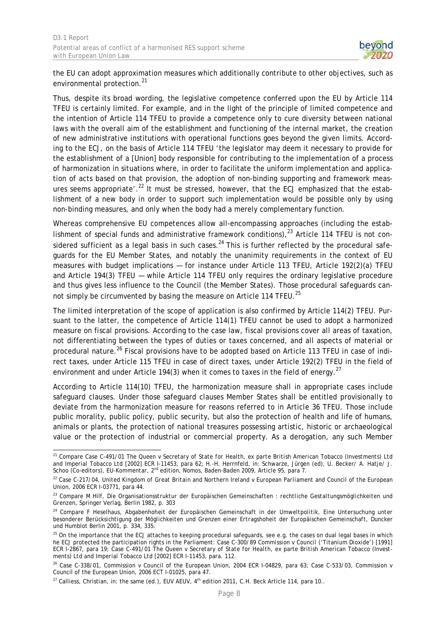

the EU can adopt approximation measures which additionally contribute to other objectives, such as environmental protection.<sup>21</sup>

Thus, despite its broad wording, the legislative competence conferred upon the EU by Article 114 TFEU is certainly limited. For example, and in the light of the principle of limited competence and the intention of Article 114 TFEU to provide a competence only to cure diversity between national laws with the overall aim of the establishment and functioning of the internal market, the creation of new administrative institutions with operational functions goes beyond the given limits. According to the ECJ, on the basis of Article 114 TFEU 'the legislator may deem it necessary to provide for the establishment of a [Union] body responsible for contributing to the implementation of a process of harmonization in situations where, in order to facilitate the uniform implementation and application of acts based on that provision, the adoption of non-binding supporting and framework measures seems appropriate'.<sup>22</sup> It must be stressed, however, that the ECJ emphasized that the establishment of a new body in order to support such implementation would be possible only by using non-binding measures, and only when the body had a merely complementary function.

Whereas comprehensive EU competences allow all-encompassing approaches (including the establishment of special funds and administrative framework conditions), $^{23}$  Article 114 TFEU is not considered sufficient as a legal basis in such cases.<sup>24</sup> This is further reflected by the procedural safeguards for the EU Member States, and notably the unanimity requirements in the context of EU measures with budget implications — for instance under Article 113 TFEU, Article 192(2)(a) TFEU and Article 194(3) TFEU — while Article 114 TFEU only requires the ordinary legislative procedure and thus gives less influence to the Council (the Member States). Those procedural safeguards cannot simply be circumvented by basing the measure on Article 114 TFEU.<sup>25</sup>

The limited interpretation of the scope of application is also confirmed by Article 114(2) TFEU. Pursuant to the latter, the competence of Article 114(1) TFEU cannot be used to adopt a harmonized measure on fiscal provisions. According to the case law, fiscal provisions cover all areas of taxation, not differentiating between the types of duties or taxes concerned, and all aspects of material or procedural nature.<sup>26</sup> Fiscal provisions have to be adopted based on Article 113 TFEU in case of indirect taxes, under Article 115 TFEU in case of direct taxes, under Article 192(2) TFEU in the field of environment and under Article 194(3) when it comes to taxes in the field of energy.<sup>27</sup>

According to Article 114(10) TFEU, the harmonization measure shall in appropriate cases include safeguard clauses. Under those safeguard clauses Member States shall be entitled provisionally to deviate from the harmonization measure for reasons referred to in Article 36 TFEU. Those include public morality, public policy, public security, but also the protection of health and life of humans, animals or plants, the protection of national treasures possessing artistic, historic or archaeological value or the protection of industrial or commercial property. As a derogation, any such Member

<sup>1</sup> 21 Compare Case C-491/01 *The Queen v Secretary of State for Health, ex parte British American Tobacco (Investments) Ltd and Imperial Tobacco Ltd* [2002] ECR I-11453, para 62; H.-H. Herrnfeld, in: Schwarze, Jürgen (ed), U. Becker/ A. Hatje/ J. Schoo (Co-editors), *EU-Kommentar*, 2nd edition, Nomos, Baden-Baden 2009, Article 95, para 7.

<sup>22</sup> Case C-217/04, *United Kingdom of Great Britain and Northern Ireland v European Parliament and Council of the European Union,* 2006 ECR I-03771, para 44.

<sup>23</sup> Compare M Hilf, *Die Organisationsstruktur der Europäischen Gemeinschaften : rechtliche Gestaltungsmöglichkeiten und Grenzen*, Springer Verlag, Berlin 1982, p. 303

<sup>24</sup> Compare F Heselhaus, *Abgabenhoheit der Europäischen Gemeinschaft in der Umweltpolitik, Eine Untersuchung unter besonderer Berücksichtigung der Möglichkeiten und Grenzen einer Ertragshoheit der Europäischen Gemeinschaft,* Duncker und Humblot Berlin 2001, p. 334, 335.

<sup>&</sup>lt;sup>25</sup> On the importance that the ECJ attaches to keeping procedural safeguards, see e.g. the cases on dual legal bases in which he ECJ protected the participation rights in the Parliament: Case C-300/89 *Commission v Council ('Titanium Dioxide')* [1991] ECR I-2867, para 19; Case C-491/01 *The Queen v Secretary of State for Health,* ex parte *British American Tobacco (Investments) Ltd and Imperial Tobacco Ltd* [2002] ECR I-11453, para. 112.

<sup>&</sup>lt;sup>26</sup> Case C-338/01, Commission v Council of the European Union, 2004 ECR I-04829, para 63; Case C-533/03, Commission v Council of the European Union, 2006 ECT I-01025, para 47.

<sup>&</sup>lt;sup>27</sup> Calliess, Christian, in: the same (ed.), *EUV AEUV*, 4<sup>th</sup> edition 2011, C.H. Beck Article 114, para 10..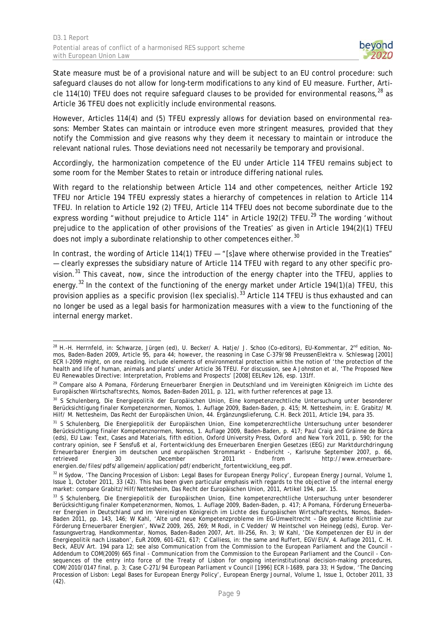-



State measure must be of a provisional nature and will be subject to an EU control procedure: such safeguard clauses do not allow for long-term modifications to any kind of EU measure. Further, Article 114(10) TFEU does not require safequard clauses to be provided for environmental reasons,  $^{28}$  as Article 36 TFEU does not explicitly include environmental reasons.

However, Articles 114(4) and (5) TFEU expressly allows for deviation based on environmental reasons: Member States can maintain or introduce even more stringent measures, provided that they notify the Commission and give reasons why they deem it necessary to maintain or introduce the relevant national rules. Those deviations need not necessarily be temporary and provisional.

Accordingly, the harmonization competence of the EU under Article 114 TFEU remains subject to some room for the Member States to retain or introduce differing national rules.

With regard to the relationship between Article 114 and other competences, neither Article 192 TFEU nor Article 194 TFEU expressly states a hierarchy of competences in relation to Article 114 TFEU. In relation to Article 192 (2) TFEU, Article 114 TFEU does not become subordinate due to the express wording "without prejudice to Article 114" in Article 192(2) TFEU.<sup>29</sup> The wording 'without prejudice to the application of other provisions of the Treaties' as given in Article 194(2)(1) TFEU does not imply a subordinate relationship to other competences either.<sup>30</sup>

In contrast, the wording of Article 114(1) TFEU — "[s]ave where otherwise provided in the Treaties" — clearly expresses the subsidiary nature of Article 114 TFEU with regard to any other *specific* provision.<sup>31</sup> This caveat, now, since the introduction of the energy chapter into the TFEU, applies to energy.<sup>32</sup> In the context of the functioning of the energy market under Article 194(1)(a) TFEU, this provision applies as a specific provision (*lex specialis*).<sup>33</sup> Article 114 TFEU is thus exhausted and can no longer be used as a legal basis for harmonization measures with a view to the functioning of the internal energy market.

<sup>28</sup> H.-H. Herrnfeld, in: Schwarze, Jürgen (ed), U. Becker/ A. Hatje/ J. Schoo (Co-editors), *EU-Kommentar*, 2nd edition, Nomos, Baden-Baden 2009, Article 95, para 44; however, the reasoning in Case C-379/98 *PreussenElektra* v. *Schleswag* [2001] ECR I-2099 might, on one reading, include elements of environmental protection within the notion of 'the protection of the health and life of human, animals and plants' under Article 36 TFEU. For discussion, see A Johnston *et al*, 'The Proposed New EU Renewables Directive: Interpretation, Problems and Prospects' [2008] EELRev 126, esp. 131ff.

<sup>29</sup> Compare also A Pomana, *Förderung Erneuerbarer Energien in Deutschland und im Vereinigten Königreich im Lichte des Europäischen Wirtschaftsrechts*, Nomos, Baden-Baden 2011, p. 121, with further references at page 13.

<sup>30</sup> S Schulenberg, *Die Energiepolitik der Europäischen Union, Eine kompetenzrechtliche Untersuchung unter besonderer Berücksichtigung finaler Kompetenznormen*, Nomos, 1. Auflage 2009, Baden-Baden, p. 415; M. Nettesheim, in: E. Grabitz/ M. Hilf/ M. Nettesheim, *Das Recht der Europäischen Union*, 44. Ergänzungslieferung, C.H. Beck 2011, Article 194, para 35.

<sup>31</sup> S Schulenberg, *Die Energiepolitik der Europäischen Union, Eine kompetenzrechtliche Untersuchung unter besonderer Berücksichtigung finaler Kompetenznormen*, Nomos, 1. Auflage 2009, Baden-Baden, p. 417; Paul Craig and Gráinne de Búrca (eds), *EU Law: Text, Cases and Materials*, fifth edition, Oxford University Press, Oxford and New York 2011, p. 590; for the contrary opinion, see F Sensfuß *et al*, *Fortentwicklung des Erneuerbaren Energien Gesetzes (EEG) zur Marktdurchdringung Erneuerbarer Energien im deutschen und europäischen Strommarkt* - Endbericht -, Karlsruhe September 2007, p. 66, 30 December 2011 from http://www.erneuerbareenergien.de/files/pdfs/allgemein/application/pdf/endbericht\_fortentwicklung\_eeg.pdf.

<sup>32</sup> H Sydow, 'The Dancing Procession of Lisbon: Legal Bases for European Energy Policy', *European Energy Journal*, Volume 1, Issue 1, October 2011, 33 (42). This has been given particular emphasis with regards to the objective of the internal energy market: compare Grabitz/Hilf/Nettesheim, Das Recht der Europäischen Union, 2011, Artikel 194, par. 15.

<sup>33</sup> S Schulenberg, *Die Energiepolitik der Europäischen Union, Eine kompetenzrechtliche Untersuchung unter besonderer Berücksichtigung finaler Kompetenznormen*, Nomos, 1. Auflage 2009, Baden-Baden, p. 417; A Pomana, *Förderung Erneuerbarer Energien in Deutschland und im Vereinigten Königreich im Lichte des Europäischen Wirtschaftsrechts*, Nomos, Baden-Baden 2011, pp. 143, 146; W Kahl, 'Alte und neue Kompetenzprobleme im EG-Umweltrecht – Die geplante Richtlinie zur Förderung Erneuerbarer Energien', NVwZ 2009, 265, 269; M Rodi, in C Vedder/ W Heintschel von Heinegg (eds), Europ. Verfassungsvertrag, Handkommentar, Nomos, Baden-Baden 2007, Art. III-256, Rn. 3; W Kahl, 'Die Kompetenzen der EU in der Energiepolitik nach Lissabon', EuR 2009, 601-621, 617; C Calliess, in: the same and Ruffert, EGV/EUV, 4. Auflage 2011, C. H. Beck, AEUV Art. 194 para 12; see also Communication from the Commission to the European Parliament and the Council - Addendum to COM(2009) 665 final - Communication from the Commission to the European Parliament and the Council - Consequences of the entry into force of the Treaty of Lisbon for ongoing interinstitutional decision-making procedures, COM/2010/0147 final, p. 3; Case C-271/94 *European Parliament* v Council [1996] ECR I-1689, para 33; H Sydow, 'The Dancing Procession of Lisbon: Legal Bases for European Energy Policy', European Energy Journal, Volume 1, Issue 1, October 2011, 33 (42).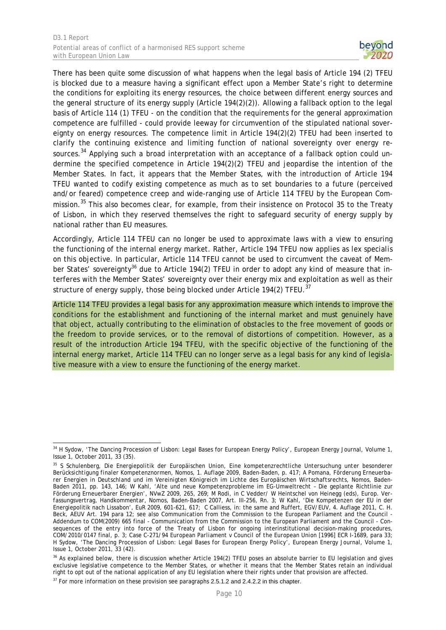

There has been quite some discussion of what happens when the legal basis of Article 194 (2) TFEU is blocked due to a measure having a significant effect upon a Member State's right to determine the conditions for exploiting its energy resources, the choice between different energy sources and the general structure of its energy supply (Article 194(2)(2)). Allowing a fallback option to the legal basis of Article 114 (1) TFEU - on the condition that the requirements for the general approximation competence are fulfilled - could provide leeway for circumvention of the stipulated national sovereignty on energy resources. The competence limit in Article 194(2)(2) TFEU had been inserted to clarify the continuing existence and limiting function of national sovereignty over energy resources.<sup>34</sup> Applying such a broad interpretation with an acceptance of a fallback option could undermine the specified competence in Article 194(2)(2) TFEU and jeopardise the intention of the Member States. In fact, it appears that the Member States, with the introduction of Article 194 TFEU wanted to codify existing competence as much as to set boundaries to a future (perceived and/or feared) competence creep and wide-ranging use of Article 114 TFEU by the European Commission.<sup>35</sup> This also becomes clear, for example, from their insistence on Protocol 35 to the Treaty of Lisbon, in which they reserved themselves the right to safeguard security of energy supply by national rather than EU measures.

Accordingly, Article 114 TFEU can no longer be used to approximate laws with a view to ensuring the functioning of the internal energy market. Rather, Article 194 TFEU now applies as *lex specialis* on this objective. In particular, Article 114 TFEU cannot be used to circumvent the caveat of Member States' sovereignty<sup>36</sup> due to Article 194(2) TFEU in order to adopt any kind of measure that interferes with the Member States' sovereignty over their energy mix and exploitation as well as their structure of energy supply, those being blocked under Article 194(2) TFEU.<sup>37</sup>

Article 114 TFEU provides a legal basis for any approximation measure which intends to improve the conditions for the establishment and functioning of the internal market and must genuinely have that object, actually contributing to the elimination of obstacles to the free movement of goods or the freedom to provide services, or to the removal of distortions of competition. However, as a result of the introduction Article 194 TFEU, with the specific objective of the functioning of the internal energy market, Article 114 TFEU can no longer serve as a legal basis for any kind of legislative measure with a view to ensure the functioning of the energy market.

<sup>1</sup> <sup>34</sup> H Sydow, 'The Dancing Procession of Lisbon: Legal Bases for European Energy Policy', European Energy Journal, Volume 1, Issue 1, October 2011, 33 (35).

<sup>35</sup> S Schulenberg, *Die Energiepolitik der Europäischen Union, Eine kompetenzrechtliche Untersuchung unter besonderer Berücksichtigung finaler Kompetenznormen*, Nomos, 1. Auflage 2009, Baden-Baden, p. 417; A Pomana, *Förderung Erneuerbarer Energien in Deutschland und im Vereinigten Königreich im Lichte des Europäischen Wirtschaftsrechts*, Nomos, Baden-Baden 2011, pp. 143, 146; W Kahl, 'Alte und neue Kompetenzprobleme im EG-Umweltrecht – Die geplante Richtlinie zur Förderung Erneuerbarer Energien', NVwZ 2009, 265, 269; M Rodi, in C Vedder/ W Heintschel von Heinegg (eds), *Europ. Verfassungsvertrag, Handkommentar*, Nomos, Baden-Baden 2007, Art. III-256, Rn. 3; W Kahl, 'Die Kompetenzen der EU in der Energiepolitik nach Lissabon', EuR 2009, 601-621, 617; C Calliess, in: the same and Ruffert, EGV/EUV, 4. Auflage 2011, C. H. Beck, AEUV Art. 194 para 12; see also Communication from the Commission to the European Parliament and the Council - Addendum to COM(2009) 665 final - Communication from the Commission to the European Parliament and the Council - Consequences of the entry into force of the Treaty of Lisbon for ongoing interinstitutional decision-making procedures, COM/2010/0147 final, p. 3; Case C-271/94 *European Parliament* v *Council of the European Union* [1996] ECR I-1689, para 33; H Sydow, 'The Dancing Procession of Lisbon: Legal Bases for European Energy Policy', European Energy Journal, Volume 1, Issue 1, October 2011, 33 (42).

<sup>&</sup>lt;sup>36</sup> As explained below, there is discussion whether Article 194(2) TFEU poses an absolute barrier to EU legislation and gives exclusive legislative competence to the Member States, or whether it means that the Member States retain an individual right to opt out of the national application of any EU legislation where their rights under that provision are affected.

 $37$  For more information on these provision see paragraphs 2.5.1.2 and 2.4.2.2 in this chapter.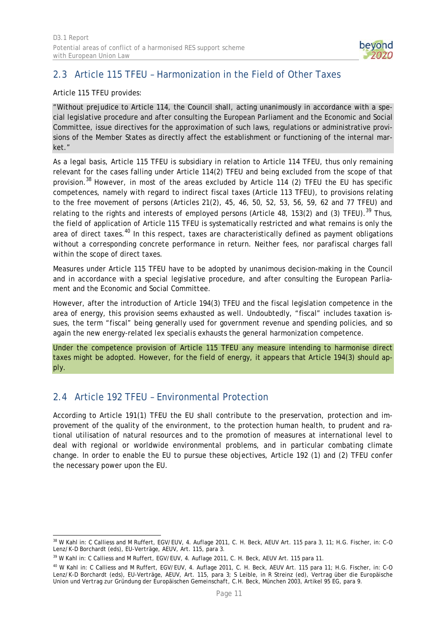

# 2.3 Article 115 TFEU – Harmonization in the Field of Other Taxes

Article 115 TFEU provides:

-

"Without prejudice to Article 114, the Council shall, acting unanimously in accordance with a special legislative procedure and after consulting the European Parliament and the Economic and Social Committee, issue directives for the approximation of such laws, regulations or administrative provisions of the Member States as directly affect the establishment or functioning of the internal market."

As a legal basis, Article 115 TFEU is subsidiary in relation to Article 114 TFEU, thus only remaining relevant for the cases falling under Article 114(2) TFEU and being excluded from the scope of that provision.<sup>38</sup> However, in most of the areas excluded by Article 114 (2) TFEU the EU has specific competences, namely with regard to indirect fiscal taxes (Article 113 TFEU), to provisions relating to the free movement of persons (Articles 21(2), 45, 46, 50, 52, 53, 56, 59, 62 and 77 TFEU) and relating to the rights and interests of employed persons (Article 48, 153(2) and (3) TFEU).<sup>39</sup> Thus. the field of application of Article 115 TFEU is systematically restricted and what remains is only the area of direct taxes.<sup>40</sup> In this respect, taxes are characteristically defined as payment obligations without a corresponding concrete performance in return. Neither fees, nor parafiscal charges fall within the scope of direct taxes.

Measures under Article 115 TFEU have to be adopted by unanimous decision-making in the Council and in accordance with a special legislative procedure, and after consulting the European Parliament and the Economic and Social Committee.

However, after the introduction of Article 194(3) TFEU and the fiscal legislation competence in the area of energy, this provision seems exhausted as well. Undoubtedly, "fiscal" includes taxation issues, the term "fiscal" being generally used for government revenue and spending policies, and so again the new energy-related *lex specialis* exhausts the general harmonization competence.

Under the competence provision of Article 115 TFEU any measure intending to harmonise direct taxes might be adopted. However, for the field of energy, it appears that Article 194(3) should apply.

# 2.4 Article 192 TFEU – Environmental Protection

According to Article 191(1) TFEU the EU shall contribute to the preservation, protection and improvement of the quality of the environment, to the protection human health, to prudent and rational utilisation of natural resources and to the promotion of measures at international level to deal with regional or worldwide environmental problems, and in particular combating climate change. In order to enable the EU to pursue these objectives, Article 192 (1) and (2) TFEU confer the necessary power upon the EU.

<sup>38</sup> W Kahl in: C Calliess and M Ruffert, *EGV/EUV*, 4. Auflage 2011, C. H. Beck, AEUV Art. 115 para 3, 11; H.G. Fischer, in: C-O Lenz/K-D Borchardt (eds), *EU-Verträge*, AEUV, Art. 115, para 3.

<sup>39</sup> W Kahl in: C Calliess and M Ruffert, *EGV/EUV*, 4. Auflage 2011, C. H. Beck, AEUV Art. 115 para 11.

<sup>40</sup> W Kahl in: C Calliess and M Ruffert, *EGV/EUV*, 4. Auflage 2011, C. H. Beck, AEUV Art. 115 para 11; H.G. Fischer, in: C-O Lenz/K-D Borchardt (eds), *EU-Verträge*, AEUV, Art. 115, para 3; S Leible, in R Streinz (ed), *Vertrag über die Europäische Union und Vertrag zur Gründung der Europäischen Gemeinschaft*, C.H. Beck, München 2003, Artikel 95 EG, para 9.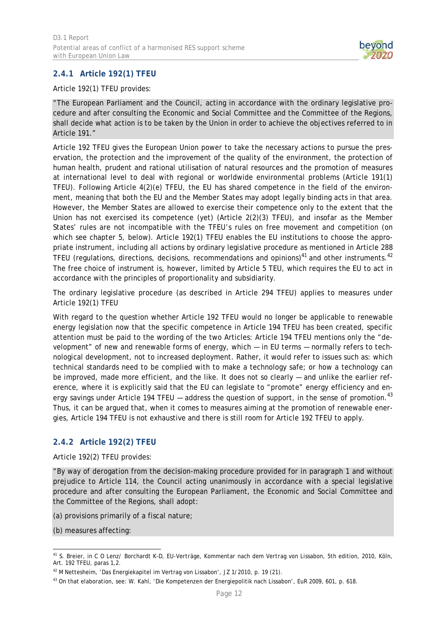

# **2.4.1 Article 192(1) TFEU**

Article 192(1) TFEU provides:

"The European Parliament and the Council, acting in accordance with the ordinary legislative procedure and after consulting the Economic and Social Committee and the Committee of the Regions, shall decide what action is to be taken by the Union in order to achieve the objectives referred to in Article 191."

Article 192 TFEU gives the European Union power to take the necessary actions to pursue the preservation, the protection and the improvement of the quality of the environment, the protection of human health, prudent and rational utilisation of natural resources and the promotion of measures at international level to deal with regional or worldwide environmental problems (Article 191(1) TFEU). Following Article 4(2)(e) TFEU, the EU has shared competence in the field of the environment, meaning that both the EU and the Member States may adopt legally binding acts in that area. However, the Member States are allowed to exercise their competence only to the extent that the Union has not exercised its competence (yet) (Article 2(2)(3) TFEU), and insofar as the Member States' rules are not incompatible with the TFEU's rules on free movement and competition (on which see chapter 5, below). Article 192(1) TFEU enables the EU institutions to choose the appropriate instrument, including all actions by ordinary legislative procedure as mentioned in Article 288 TFEU (regulations, directions, decisions, recommendations and opinions)<sup>41</sup> and other instruments.<sup>42</sup> The free choice of instrument is, however, limited by Article 5 TEU, which requires the EU to act in accordance with the principles of proportionality and subsidiarity.

The ordinary legislative procedure (as described in Article 294 TFEU) applies to measures under Article 192(1) TFEU

With regard to the question whether Article 192 TFEU would no longer be applicable to renewable energy legislation now that the specific competence in Article 194 TFEU has been created, specific attention must be paid to the wording of the two Articles: Article 194 TFEU mentions only the "development" of new and renewable forms of energy, which — in EU terms — normally refers to technological development, not to increased deployment. Rather, it would refer to issues such as: which technical standards need to be complied with to make a technology safe; or how a technology can be improved, made more efficient, and the like. It does not so clearly — and unlike the earlier reference, where it is explicitly said that the EU can legislate to "promote" energy efficiency and energy savings under Article 194 TFEU  $-$  address the question of support, in the sense of promotion.<sup>43</sup> Thus, it can be argued that, when it comes to measures aiming at the promotion of renewable energies, Article 194 TFEU is not exhaustive and there is still room for Article 192 TFEU to apply.

## **2.4.2 Article 192(2) TFEU**

Article 192(2) TFEU provides:

"By way of derogation from the decision-making procedure provided for in paragraph 1 and without prejudice to Article 114, the Council acting unanimously in accordance with a special legislative procedure and after consulting the European Parliament, the Economic and Social Committee and the Committee of the Regions, shall adopt:

(a) provisions primarily of a fiscal nature;

(b) measures affecting:

<sup>1</sup> *<sup>41</sup>* S. Breier, in C O Lenz/ Borchardt K-D, *EU-Verträge, Kommentar nach dem Vertrag von Lissabon*, 5th edition, 2010, Köln, Art. 192 TFEU, paras 1,2.

<sup>42</sup> M Nettesheim, 'Das Energiekapitel im Vertrag von Lissabon', *JZ* 1/2010, p. 19 (21).

<sup>43</sup> On that elaboration, see: W. Kahl, 'Die Kompetenzen der Energiepolitik nach Lissabon', EuR 2009, 601, p. 618.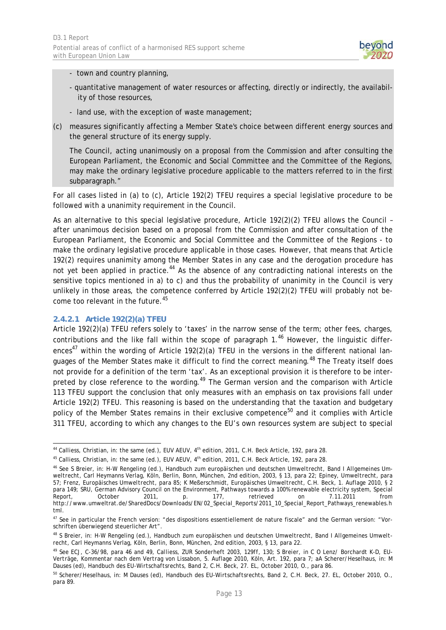

#### - town and country planning,

- quantitative management of water resources or affecting, directly or indirectly, the availabil ity of those resources,
- land use, with the exception of waste management;
- (c) measures significantly affecting a Member State's choice between different energy sources and the general structure of its energy supply.

 The Council, acting unanimously on a proposal from the Commission and after consulting the European Parliament, the Economic and Social Committee and the Committee of the Regions, may make the ordinary legislative procedure applicable to the matters referred to in the first subparagraph."

For all cases listed in (a) to (c), Article 192(2) TFEU requires a special legislative procedure to be followed with a unanimity requirement in the Council.

As an alternative to this special legislative procedure, Article 192(2)(2) TFEU allows the Council – after unanimous decision based on a proposal from the Commission and after consultation of the European Parliament, the Economic and Social Committee and the Committee of the Regions - to make the ordinary legislative procedure applicable in those cases. However, that means that Article 192(2) requires unanimity among the Member States in any case and the derogation procedure has not yet been applied in practice.<sup>44</sup> As the absence of any contradicting national interests on the sensitive topics mentioned in a) to c) and thus the probability of unanimity in the Council is very unlikely in those areas, the competence conferred by Article 192(2)(2) TFEU will probably not become too relevant in the future.<sup>45</sup>

### *2.4.2.1 Article 192(2)(a) TFEU*

Article 192(2)(a) TFEU refers solely to 'taxes' in the narrow sense of the term; other fees, charges, contributions and the like fall within the scope of paragraph  $1<sup>46</sup>$  However, the linguistic differences<sup>47</sup> within the wording of Article 192(2)(a) TFEU in the versions in the different national languages of the Member States make it difficult to find the correct meaning.<sup>48</sup> The Treaty itself does not provide for a definition of the term 'tax'. As an exceptional provision it is therefore to be interpreted by close reference to the wording.<sup>49</sup> The German version and the comparison with Article 113 TFEU support the conclusion that only measures with an emphasis on tax provisions fall under Article 192(2) TFEU. This reasoning is based on the understanding that the taxation and budgetary policy of the Member States remains in their exclusive competence<sup>50</sup> and it complies with Article 311 TFEU, according to which any changes to the EU's own resources system are subject to special

<sup>1</sup> <sup>44</sup> Calliess, Christian, in: the same (ed.), *EUV AEUV*, <sup>4th</sup> edition, 2011, C.H. Beck Article, 192, para 28.

<sup>&</sup>lt;sup>45</sup> Calliess, Christian, in: the same (ed.), *EUV AEUV*, <sup>4th</sup> edition, 2011, C.H. Beck Article, 192, para 28.

<sup>46</sup> See S Breier, in: H-W Rengeling (ed.), *Handbuch zum europäischen und deutschen Umweltrecht, Band I Allgemeines Umweltrecht*, Carl Heymanns Verlag, Köln, Berlin, Bonn, München, 2nd edition, 2003, § 13, para 22; *Epiney, Umweltrecht, para 57; Frenz, Europäisches Umweltrecht, para 85*; K Meßerschmidt, *Europäisches Umweltrecht*, C.H. Beck, 1. Auflage 2010, § 2 para 149; SRU, German Advisory Council on the Environment, Pathways towards a 100% renewable electricity system, Special<br>Report. 0. 0. 177. Perfeved on 7.11.2011 from Report, October 2011, p. 177, retrieved on 7.11.2011 from http://www.umweltrat.de/SharedDocs/Downloads/EN/02\_Special\_Reports/2011\_10\_Special\_Report\_Pathways\_renewables.h tml.

<sup>47</sup> See in particular the French version: "des dispositions essentiellement de nature fiscale" and the German version: "Vorschriften überwiegend steuerlicher Art".

<sup>48</sup> S Breier, in: H-W Rengeling (ed.), *Handbuch zum europäischen und deutschen Umweltrecht, Band I Allgemeines Umweltrecht*, Carl Heymanns Verlag, Köln, Berlin, Bonn, München, 2nd edition, 2003, § 13, para 22.

<sup>49</sup> *See ECJ, C-36/98, para 46 and 49, Calliess, ZUR Sonderheft 2003, 129ff, 130; S Breier,* in C O Lenz/ Borchardt K-D, *EU-Verträge, Kommentar nach dem Vertrag von Lissabon*, 5. Auflage 2010, Köln, Art. 192, para 7; *aA* Scherer/Heselhaus, in: M Dauses (ed), *Handbuch des EU-Wirtschaftsrechts, Band 2*, C.H. Beck, 27. EL, October 2010, O., para 86.

<sup>50</sup> Scherer/Heselhaus, in: M Dauses (ed), *Handbuch des EU-Wirtschaftsrechts, Band 2*, C.H. Beck, 27. EL, October 2010, O., para 89.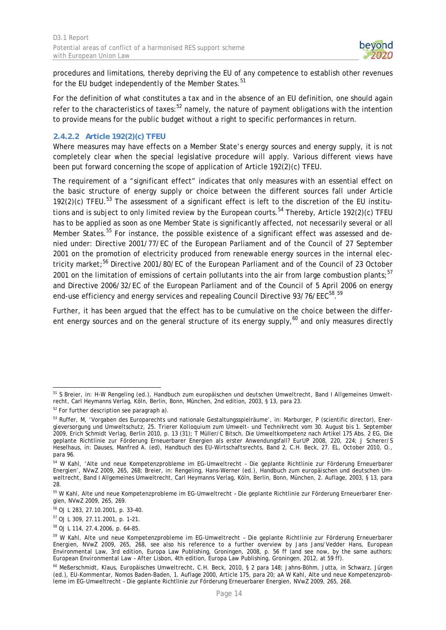

procedures and limitations, thereby depriving the EU of any competence to establish other revenues for the EU budget independently of the Member States.<sup>51</sup>

For the definition of what constitutes a tax and in the absence of an EU definition, one should again refer to the characteristics of taxes:  $52$  namely, the nature of payment obligations with the intention to provide means for the public budget without a right to specific performances in return.

### *2.4.2.2 Article 192(2)(c) TFEU*

Where measures may have effects on a Member State's energy sources and energy supply, it is not completely clear when the special legislative procedure will apply. Various different views have been put forward concerning the scope of application of Article 192(2)(c) TFEU.

The requirement of a "significant effect" indicates that only measures with an essential effect on the basic structure of energy supply or choice between the different sources fall under Article 192(2)(c) TFEU.<sup>53</sup> The assessment of a significant effect is left to the discretion of the EU institutions and is subject to only limited review by the European courts.<sup>54</sup> Thereby, Article 192(2)(c) TFEU has to be applied as soon as one Member State is significantly affected, not necessarily several or all Member States.<sup>55</sup> For instance, the possible existence of a significant effect was assessed and denied under: Directive 2001/77/EC of the European Parliament and of the Council of 27 September 2001 on the promotion of electricity produced from renewable energy sources in the internal electricity market;<sup>56</sup> Directive 2001/80/EC of the European Parliament and of the Council of 23 October 2001 on the limitation of emissions of certain pollutants into the air from large combustion plants:  $57$ and Directive 2006/32/EC of the European Parliament and of the Council of 5 April 2006 on energy end-use efficiency and energy services and repealing Council Directive 93/76/EEC<sup>58</sup>.<sup>59</sup>

Further, it has been argued that the effect has to be cumulative on the choice between the different energy sources and on the general structure of its energy supply,  $60$  and only measures directly

<sup>1</sup> <sup>51</sup> S Breier, in: H-W Rengeling (ed.), *Handbuch zum europäischen und deutschen Umweltrecht, Band I Allgemeines Umweltrecht*, Carl Heymanns Verlag, Köln, Berlin, Bonn, München, 2nd edition, 2003, § 13, para 23.

 $52$  For further description see paragraph a).

<sup>53</sup> Ruffer, M, 'Vorgaben des Europarechts und nationale Gestaltungsspielräume', in: Marburger, P (scientific director), *Energieversorgung und Umweltschutz, 25. Trierer Kolloquium zum Umwelt- und Technikrecht vom 30. August bis 1. September 2009*, Erich Schmidt Verlag, Berlin 2010*,* p. 13 (31); T Müller/C Bitsch, Die Umweltkompetenz nach Artikel 175 Abs. 2 EG, Die geplante Richtlinie zur Förderung Erneuerbarer Energien als erster Anwendungsfall? *EurUP* 2008, 220, 224; *J* Scherer/S Heselhaus, in: Dauses, Manfred A. (ed), *Handbuch des EU-Wirtschaftsrechts*, Band 2, C.H. Beck, 27. EL, October 2010, O., para 96.

<sup>54</sup> W Kahl, 'Alte und neue Kompetenzprobleme im EG-Umweltrecht – Die geplante Richtlinie zur Förderung Erneuerbarer Energien', *NVwZ* 2009, 265, 268; Breier, in: Rengeling, Hans-Werner (ed.), *Handbuch zum europäischen und deutschen Umweltrecht*, Band I Allgemeines Umweltrecht, Carl Heymanns Verlag, Köln, Berlin, Bonn, München, 2. Auflage, 2003, § 13, para 28.

<sup>&</sup>lt;sup>55</sup> W Kahl, Alte und neue Kompetenzprobleme im EG-Umweltrecht - Die geplante Richtlinie zur Förderung Erneuerbarer Energien, *NVwZ* 2009, 265, 269.

<sup>56</sup> OJ L 283, 27.10.2001, p. 33–40.

<sup>57</sup> OJ L 309, 27.11.2001, p. 1–21.

<sup>58</sup> OJ L 114, 27.4.2006, p. 64–85.

<sup>59</sup> W Kahl, *Alte und neue Kompetenzprobleme im EG-Umweltrecht – Die geplante Richtlinie zur Förderung Erneuerbarer Energien, NVwZ* 2009, 265, 268, see also his reference to a further overview by Jans Jans/Vedder Hans, *European Environmental Law*, 3rd edition, Europa Law Publishing, Groningen, 2008, p. 56 ff (and see now, by the same authors: *European Environmental Law – After Lisbon*, 4th edition, Europa Law Publishing, Groningen, 2012, at 59 ff).

<sup>60</sup> Meßerschmidt, Klaus, *Europäisches Umweltrecht*, C.H. Beck, 2010, § 2 para 148; Jahns-Böhm, Jutta, in Schwarz, Jürgen (ed.), *EU-Kommentar*, Nomos Baden-Baden, 1. Auflage 2000, Article 175, para 20; aA W Kahl, Alte und neue Kompetenzprobleme im EG-Umweltrecht – Die geplante Richtlinie zur Förderung Erneuerbarer Energien, *NVwZ* 2009, 265, 268.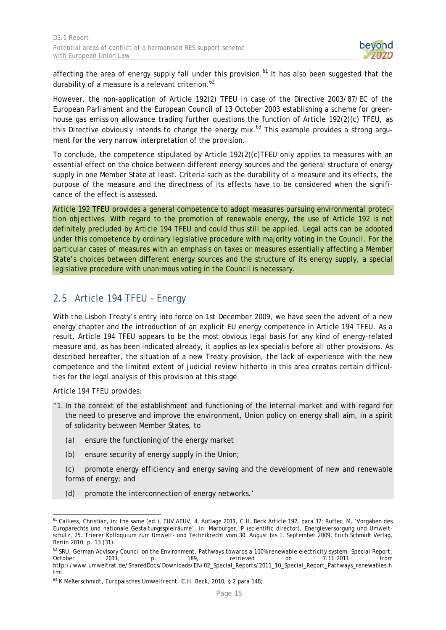

affecting the area of energy supply fall under this provision.<sup>61</sup> It has also been suggested that the durability of a measure is a relevant criterion.<sup>62</sup>

However, the non-application of Article 192(2) TFEU in case of the Directive 2003/87/EC of the European Parliament and the European Council of 13 October 2003 establishing a scheme for greenhouse gas emission allowance trading further questions the function of Article 192(2)(c) TFEU, as this Directive obviously intends to change the energy mix.<sup>63</sup> This example provides a strong argument for the very narrow interpretation of the provision.

To conclude, the competence stipulated by Article 192(2)(c)TFEU only applies to measures with an essential effect on the choice between different energy sources and the general structure of energy supply in one Member State at least. Criteria such as the durability of a measure and its effects, the purpose of the measure and the directness of its effects have to be considered when the significance of the effect is assessed.

Article 192 TFEU provides a general competence to adopt measures pursuing environmental protection objectives. With regard to the promotion of renewable energy, the use of Article 192 is not definitely precluded by Article 194 TFEU and could thus still be applied. Legal acts can be adopted under this competence by ordinary legislative procedure with majority voting in the Council. For the particular cases of measures with an emphasis on taxes or measures essentially affecting a Member State's choices between different energy sources and the structure of its energy supply, a special legislative procedure with unanimous voting in the Council is necessary.

# 2.5 Article 194 TFEU – Energy

With the Lisbon Treaty's entry into force on 1st December 2009, we have seen the advent of a new energy chapter and the introduction of an explicit EU energy competence in Article 194 TFEU. As a result, Article 194 TFEU appears to be the most obvious legal basis for any kind of energy-related measure and, as has been indicated already, it applies as *lex specialis* before all other provisions. As described hereafter, the situation of a new Treaty provision, the lack of experience with the new competence and the limited extent of judicial review hitherto in this area creates certain difficulties for the legal analysis of this provision at this stage.

Article 194 TFEU provides:

1

- "1. In the context of the establishment and functioning of the internal market and with regard for the need to preserve and improve the environment, Union policy on energy shall aim, in a spirit of solidarity between Member States, to
	- (a) ensure the functioning of the energy market
	- (b) ensure security of energy supply in the Union;
	- (c) promote energy efficiency and energy saving and the development of new and renewable forms of energy; and
	- (d) promote the interconnection of energy networks.'

<sup>61</sup> Calliess, Christian, in: the same (ed.), *EUV AEUV*, 4. Auflage 2011, C.H. Beck Article 192, para 32; Ruffer, M, 'Vorgaben des Europarechts und nationale Gestaltungsspielräume', in: Marburger, P (scientific director), *Energieversorgung und Umweltschutz, 25. Trierer Kolloquium zum Umwelt- und Technikrecht vom 30. August bis 1. September 2009*, Erich Schmidt Verlag, Berlin 2010*,* p. 13 (31).

<sup>62</sup> SRU, German Advisory Council on the Environment, *Pathways towards a 100% renewable electricity system, Special Report*, October 2011, p. 189, retrieved on 7.11.2011 from http://www.umweltrat.de/SharedDocs/Downloads/EN/02\_Special\_Reports/2011\_10\_Special\_Report\_Pathways\_renewables.h tml.

<sup>63</sup> K Meßerschmidt, *Europäisches Umweltrecht*, C.H. Beck, 2010, § 2 para 148;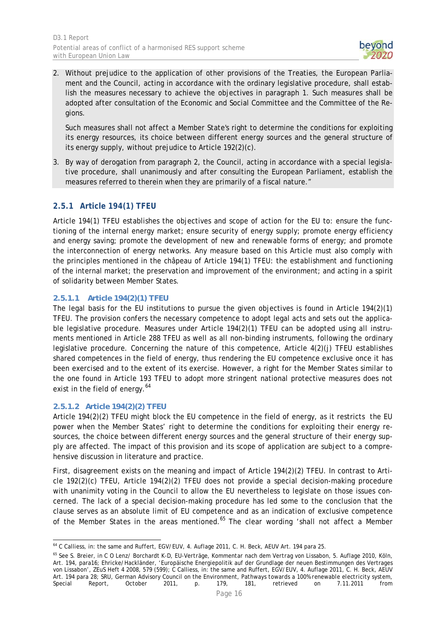

2. Without prejudice to the application of other provisions of the Treaties, the European Parliament and the Council, acting in accordance with the ordinary legislative procedure, shall establish the measures necessary to achieve the objectives in paragraph 1. Such measures shall be adopted after consultation of the Economic and Social Committee and the Committee of the Regions.

 Such measures shall not affect a Member State's right to determine the conditions for exploiting its energy resources, its choice between different energy sources and the general structure of its energy supply, without prejudice to Article 192(2)(c).

3. By way of derogation from paragraph 2, the Council, acting in accordance with a special legislative procedure, shall unanimously and after consulting the European Parliament, establish the measures referred to therein when they are primarily of a fiscal nature."

## **2.5.1 Article 194(1) TFEU**

Article 194(1) TFEU establishes the objectives and scope of action for the EU to: ensure the functioning of the internal energy market; ensure security of energy supply; promote energy efficiency and energy saving; promote the development of new and renewable forms of energy; and promote the interconnection of energy networks. Any measure based on this Article must also comply with the principles mentioned in the *châpeau* of Article 194(1) TFEU: the establishment and functioning of the internal market; the preservation and improvement of the environment; and acting in a spirit of solidarity between Member States.

## *2.5.1.1 Article 194(2)(1) TFEU*

The legal basis for the EU institutions to pursue the given objectives is found in Article 194(2)(1) TFEU. The provision confers the necessary competence to adopt legal acts and sets out the applicable legislative procedure. Measures under Article 194(2)(1) TFEU can be adopted using all instruments mentioned in Article 288 TFEU as well as all non-binding instruments, following the ordinary legislative procedure. Concerning the nature of this competence, Article 4(2)(j) TFEU establishes shared competences in the field of energy, thus rendering the EU competence exclusive once it has been exercised and to the extent of its exercise. However, a right for the Member States similar to the one found in Article 193 TFEU to adopt more stringent national protective measures does not exist in the field of energy.<sup>64</sup>

## *2.5.1.2 Article 194(2)(2) TFEU*

Article 194(2)(2) TFEU might block the EU competence in the field of energy, as it restricts the EU power when the Member States' right to determine the conditions for exploiting their energy resources, the choice between different energy sources and the general structure of their energy supply are affected. The impact of this provision and its scope of application are subject to a comprehensive discussion in literature and practice.

First, disagreement exists on the meaning and impact of Article 194(2)(2) TFEU. In contrast to Article 192(2)(c) TFEU, Article 194(2)(2) TFEU does not provide a special decision-making procedure with unanimity voting in the Council to allow the EU nevertheless to legislate on those issues concerned. The lack of a special decision-making procedure has led some to the conclusion that the clause serves as an absolute limit of EU competence and as an indication of exclusive competence of the Member States in the areas mentioned. $65$  The clear wording 'shall not affect a Member

<sup>-</sup>64 C Calliess, in: the same and Ruffert, *EGV/EUV*, 4. Auflage 2011, C. H. Beck, AEUV Art. 194 para 25.

<sup>65</sup> See S. Breier, in C O Lenz/ Borchardt K-D, *EU-Verträge, Kommentar nach dem Vertrag von Lissabon*, 5. Auflage 2010, Köln, Art. 194, para16; Ehricke/Hackländer, 'Europäische Energiepolitik auf der Grundlage der neuen Bestimmungen des Vertrages von Lissabon', *ZEuS* Heft 4 2008, 579 (599); C Calliess, in: the same and Ruffert, *EGV/EUV*, 4. Auflage 2011, C. H. Beck, AEUV Art. 194 para 28; SRU, German Advisory Council on the Environment, *Pathways towards a 100% renewable electricity system, Special Report*, October 2011, p. 179, 181, retrieved on 7.11.2011 from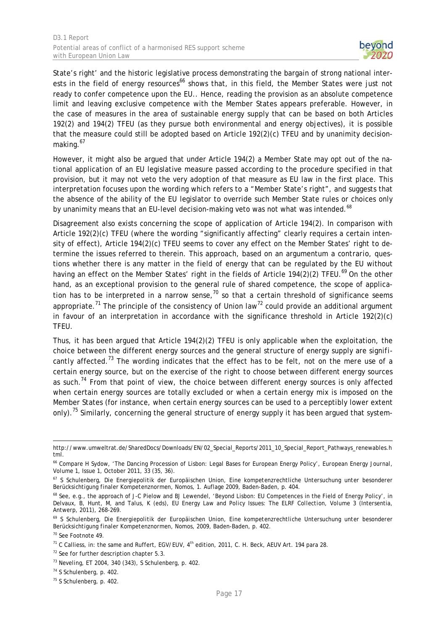State's right' and the historic legislative process demonstrating the bargain of strong national interests in the field of energy resources<sup>66</sup> shows that, in this field, the Member States were just not ready to confer competence upon the EU.. Hence, reading the provision as an absolute competence limit and leaving exclusive competence with the Member States appears preferable. However, in the case of measures in the area of sustainable energy supply that can be based on both Articles 192(2) and 194(2) TFEU (as they pursue both environmental and energy objectives), it is possible that the measure could still be adopted based on Article 192(2)(c) TFEU and by unanimity decisionmaking.<sup>67</sup>

However, it might also be argued that under Article 194(2) a Member State may opt out of the national application of an EU legislative measure passed according to the procedure specified in that provision, but it may *not* veto the very adoption of that measure as EU law in the first place. This interpretation focuses upon the wording which refers to a "Member State's right", and suggests that the absence of the ability of the EU legislator to override such Member State rules or choices only by unanimity means that an EU-level decision-making veto was not what was intended.<sup>68</sup>

Disagreement also exists concerning the scope of application of Article 194(2). In comparison with Article 192(2)(c) TFEU (where the wording "significantly affecting" clearly requires a certain intensity of effect), Article 194(2)(c) TFEU seems to cover *any* effect on the Member States' right to determine the issues referred to therein. This approach, based on an argumentum *a contrario*, questions whether there is any matter in the field of energy that can be regulated by the EU without having an effect on the Member States' right in the fields of Article 194(2)(2) TFEU.<sup>69</sup> On the other hand, as an exceptional provision to the general rule of shared competence, the scope of application has to be interpreted in a narrow sense,  $70$  so that a certain threshold of significance seems appropriate.<sup>71</sup> The principle of the consistency of Union law<sup>72</sup> could provide an additional argument in favour of an interpretation in accordance with the significance threshold in Article 192(2)(c) TFEU.

Thus, it has been argued that Article 194(2)(2) TFEU is only applicable when the exploitation, the choice between the different energy sources and the general structure of energy supply are *significantly* affected.73 The wording indicates that the effect has to be felt, not on the *mere use* of a certain energy source, but on the *exercise of the right to choose* between different energy sources as such.<sup>74</sup> From that point of view, the choice between different energy sources is only affected when certain energy sources are totally excluded or when a certain energy mix is imposed on the Member States (for instance, when certain energy sources can be used to a perceptibly lower extent only).<sup>75</sup> Similarly, concerning the general structure of energy supply it has been argued that system-

http://www.umweltrat.de/SharedDocs/Downloads/EN/02 Special Reports/2011\_10\_Special\_Report\_Pathways\_renewables.h tml.

<sup>66</sup> Compare H Sydow, 'The Dancing Procession of Lisbon: Legal Bases for European Energy Policy', *European Energy Journal, Volume* 1, Issue 1, October 2011, 33 (35, 36).

<sup>67</sup> S Schulenberg, *Die Energiepolitik der Europäischen Union, Eine kompetenzrechtliche Untersuchung unter besonderer Berücksichtigung finaler Kompetenznormen*, Nomos, 1. Auflage 2009, Baden-Baden, p. 404.

<sup>&</sup>lt;sup>68</sup> See, e.g., the approach of J-C Pielow and BJ Lewendel, 'Beyond Lisbon: EU Competences in the Field of Energy Policy', in Delvaux, B, Hunt, M, and Talus, K (eds), *EU Energy Law and Policy Issues: The ELRF Collection, Volume 3* (Intersentia, Antwerp, 2011), 268-269.

<sup>69</sup> S Schulenberg, *Die Energiepolitik der Europäischen Union, Eine kompetenzrechtliche Untersuchung unter besonderer Berücksichtigung finaler Kompetenznormen*, Nomos, 2009, Baden-Baden, p. 402.

<sup>70</sup> See Footnote 49.

<sup>&</sup>lt;sup>71</sup> C Calliess, in: the same and Ruffert, *EGV/EUV*, 4<sup>th</sup> edition, 2011, C. H. Beck, AEUV Art. 194 para 28.

 $72$  See for further description chapter 5.3.

*<sup>73</sup> Neveling, ET 2004, 340 (343),* S Schulenberg, p. 402.

<sup>74</sup> S Schulenberg, p. 402.

 $75$  S Schulenberg, p. 402.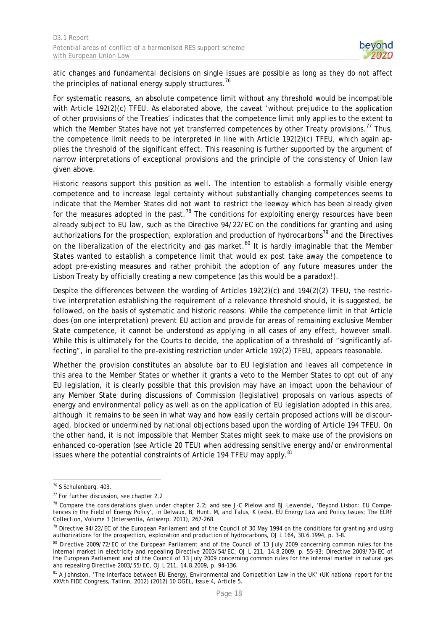

atic changes and fundamental decisions on single issues are possible as long as they do not affect the principles of national energy supply structures.<sup>76</sup>

For systematic reasons, an absolute competence limit without any threshold would be incompatible with Article 192(2)(c) TFEU. As elaborated above, the caveat 'without prejudice to the application of other provisions of the Treaties' indicates that the competence limit only applies to the extent to which the Member States have not yet transferred competences by other Treaty provisions.<sup>77</sup> Thus, the competence limit needs to be interpreted in line with Article 192(2)(c) TFEU, which again applies the threshold of the significant effect. This reasoning is further supported by the argument of narrow interpretations of exceptional provisions and the principle of the consistency of Union law given above.

Historic reasons support this position as well. The intention to establish a formally visible energy competence and to increase legal certainty without substantially changing competences seems to indicate that the Member States did not want to restrict the leeway which has been already given for the measures adopted in the past.<sup>78</sup> The conditions for exploiting energy resources have been already subject to EU law, such as the Directive 94/22/EC on the conditions for granting and using authorizations for the prospection, exploration and production of hydrocarbons<sup>79</sup> and the Directives on the liberalization of the electricity and gas market.<sup>80</sup> It is hardly imaginable that the Member States wanted to establish a competence limit that would *ex post* take away the competence to adopt pre-existing measures and rather prohibit the adoption of any future measures under the Lisbon Treaty by officially creating a new competence (as this would be a paradox!).

Despite the differences between the wording of Articles 192(2)(c) and 194(2)(2) TFEU, the restrictive interpretation establishing the requirement of a relevance threshold should, it is suggested, be followed, on the basis of systematic and historic reasons. While the competence limit in that Article does (on one interpretation) prevent EU action and provide for areas of remaining exclusive Member State competence, it cannot be understood as applying in all cases of *any* effect, however small. While this is ultimately for the Courts to decide, the application of a threshold of "significantly affecting", in parallel to the pre-existing restriction under Article 192(2) TFEU, appears reasonable.

Whether the provision constitutes an absolute bar to EU legislation and leaves all competence in this area to the Member States or whether it grants a veto to the Member States to opt out of any EU legislation, it is clearly possible that this provision may have an impact upon the behaviour of any Member State during discussions of Commission (legislative) proposals on various aspects of energy and environmental policy as well as on the application of EU legislation adopted in this area, although it remains to be seen in what way and how easily certain proposed actions will be discouraged, blocked or undermined by national objections based upon the wording of Article 194 TFEU. On the other hand, it is not impossible that Member States might seek to make use of the provisions on enhanced co-operation (see Article 20 TEU) when addressing sensitive energy and/or environmental issues where the potential constraints of Article 194 TFEU may apply.<sup>81</sup>

1

<sup>76</sup> S Schulenberg. 403.

<sup>77</sup> For further discussion, see chapter 2.2

 $78$  Compare the considerations given under chapter 2.2; and see J-C Pielow and BJ Lewendel, 'Beyond Lisbon: EU Competences in the Field of Energy Policy', in Delvaux, B, Hunt, M, and Talus, K (eds), *EU Energy Law and Policy Issues: The ELRF Collection, Volume 3* (Intersentia, Antwerp, 2011), 267-268.

<sup>79</sup> Directive 94/22/EC of the European Parliament and of the Council of 30 May 1994 on the conditions for granting and using authorizations for the prospection, exploration and production of hydrocarbons, OJ L 164, 30.6.1994, p. 3–8.

<sup>80</sup> Directive 2009/72/EC of the European Parliament and of the Council of 13 July 2009 concerning common rules for the internal market in electricity and repealing Directive 2003/54/EC, OJ L 211, 14.8.2009, p. 55–93; Directive 2009/73/EC of the European Parliament and of the Council of 13 July 2009 concerning common rules for the internal market in natural gas and repealing Directive 2003/55/EC, OJ L 211, 14.8.2009, p. 94–136.

<sup>81</sup> A Johnston, 'The Interface between EU Energy, Environmental and Competition Law in the UK' (UK national report for the XXVth FIDE Congress, Tallinn, 2012) (2012) 10 OGEL, Issue 4, Article 5.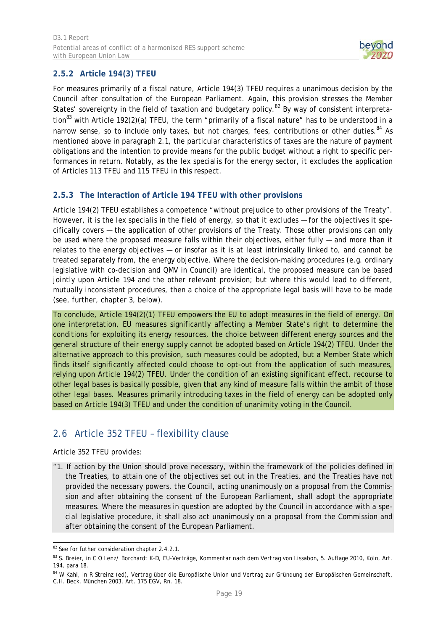

## **2.5.2 Article 194(3) TFEU**

For measures primarily of a fiscal nature, Article 194(3) TFEU requires a unanimous decision by the Council after consultation of the European Parliament. Again, this provision stresses the Member States' sovereignty in the field of taxation and budgetary policy.<sup>82</sup> By way of consistent interpretation<sup>83</sup> with Article 192(2)(a) TFEU, the term "primarily of a fiscal nature" has to be understood in a narrow sense, so to include only taxes, but not charges, fees, contributions or other duties.<sup>84</sup> As mentioned above in paragraph 2.1, the particular characteristics of taxes are the nature of payment obligations and the intention to provide means for the public budget without a right to specific performances in return. Notably, as the *lex specialis* for the energy sector, it excludes the application of Articles 113 TFEU and 115 TFEU in this respect.

## **2.5.3 The Interaction of Article 194 TFEU with other provisions**

Article 194(2) TFEU establishes a competence "without prejudice to other provisions of the Treaty". However, it is the *lex specialis* in the field of energy, so that it excludes — for the objectives it specifically covers — the application of other provisions of the Treaty. Those other provisions can only be used where the proposed measure falls within their objectives, either fully — and more than it relates to the energy objectives — or insofar as it is at least intrinsically linked to, and cannot be treated separately from, the energy objective. Where the decision-making procedures (e.g. ordinary legislative with co-decision and QMV in Council) are identical, the proposed measure can be based jointly upon Article 194 and the other relevant provision; but where this would lead to different, mutually inconsistent procedures, then a choice of *the* appropriate legal basis will have to be made (see, further, chapter 3, below).

To conclude, Article 194(2)(1) TFEU empowers the EU to adopt measures in the field of energy. On one interpretation, EU measures significantly affecting a Member State's right to determine the conditions for exploiting its energy resources, the choice between different energy sources and the general structure of their energy supply cannot be adopted based on Article 194(2) TFEU. Under the alternative approach to this provision, such measures could be adopted, but a Member State which finds itself significantly affected could choose to opt-out from the application of such measures, relying upon Article 194(2) TFEU. Under the condition of an existing significant effect, recourse to other legal bases is basically possible, given that any kind of measure falls within the ambit of those other legal bases. Measures primarily introducing taxes in the field of energy can be adopted only based on Article 194(3) TFEU and under the condition of unanimity voting in the Council.

# 2.6 Article 352 TFEU – flexibility clause

Article 352 TFEU provides:

"1. If action by the Union should prove necessary, within the framework of the policies defined in the Treaties, to attain one of the objectives set out in the Treaties, and the Treaties have not provided the necessary powers, the Council, acting unanimously on a proposal from the Commission and after obtaining the consent of the European Parliament, shall adopt the appropriate measures. Where the measures in question are adopted by the Council in accordance with a special legislative procedure, it shall also act unanimously on a proposal from the Commission and after obtaining the consent of the European Parliament.

<sup>1</sup>  $82$  See for futher consideration chapter 2.4.2.1.

<sup>83</sup> S. Breier, in C O Lenz/ Borchardt K-D, *EU-Verträge, Kommentar nach dem Vertrag von Lissabon*, 5. Auflage 2010, Köln, Art. 194, para 18.

<sup>84</sup> W Kahl, in R Streinz (ed), *Vertrag über die Europäische Union und Vertrag zur Gründung der Europäischen Gemeinschaft*, C.H. Beck, München 2003, Art. 175 EGV, Rn. 18.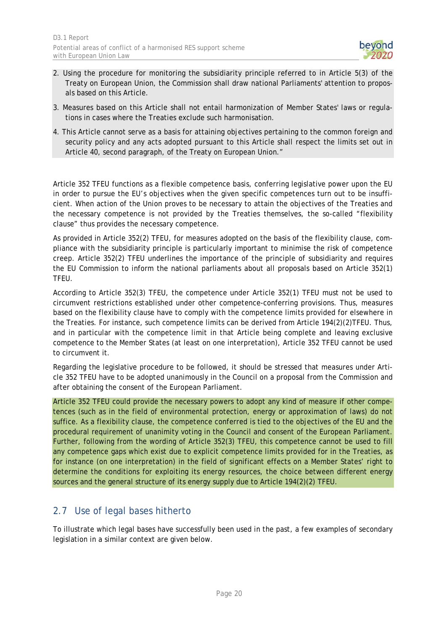

- 2. Using the procedure for monitoring the subsidiarity principle referred to in Article 5(3) of the Treaty on European Union, the Commission shall draw national Parliaments' attention to proposals based on this Article.
- 3. Measures based on this Article shall not entail harmonization of Member States' laws or regulations in cases where the Treaties exclude such harmonisation.
- 4. This Article cannot serve as a basis for attaining objectives pertaining to the common foreign and security policy and any acts adopted pursuant to this Article shall respect the limits set out in Article 40, second paragraph, of the Treaty on European Union."

Article 352 TFEU functions as a flexible competence basis, conferring legislative power upon the EU in order to pursue the EU's objectives when the given specific competences turn out to be insufficient. When action of the Union proves to be necessary to attain the objectives of the Treaties and the necessary competence is not provided by the Treaties themselves, the so-called "flexibility clause" thus provides the necessary competence.

As provided in Article 352(2) TFEU, for measures adopted on the basis of the flexibility clause, compliance with the subsidiarity principle is particularly important to minimise the risk of competence creep. Article 352(2) TFEU underlines the importance of the principle of subsidiarity and requires the EU Commission to inform the national parliaments about all proposals based on Article 352(1) TFEU.

According to Article 352(3) TFEU, the competence under Article 352(1) TFEU must not be used to circumvent restrictions established under other competence-conferring provisions. Thus, measures based on the flexibility clause have to comply with the competence limits provided for elsewhere in the Treaties. For instance, such competence limits can be derived from Article 194(2)(2)TFEU. Thus, and in particular with the competence limit in that Article being complete and leaving exclusive competence to the Member States (at least on one interpretation), Article 352 TFEU cannot be used to circumvent it.

Regarding the legislative procedure to be followed, it should be stressed that measures under Article 352 TFEU have to be adopted unanimously in the Council on a proposal from the Commission and after obtaining the consent of the European Parliament.

Article 352 TFEU could provide the necessary powers to adopt any kind of measure if other competences (such as in the field of environmental protection, energy or approximation of laws) do not suffice. As a flexibility clause, the competence conferred is tied to the objectives of the EU and the procedural requirement of unanimity voting in the Council and consent of the European Parliament. Further, following from the wording of Article 352(3) TFEU, this competence cannot be used to fill any competence gaps which exist due to explicit competence limits provided for in the Treaties, as for instance (on one interpretation) in the field of significant effects on a Member States' right to determine the conditions for exploiting its energy resources, the choice between different energy sources and the general structure of its energy supply due to Article 194(2)(2) TFEU.

# 2.7 Use of legal bases hitherto

To illustrate which legal bases have successfully been used in the past, a few examples of secondary legislation in a similar context are given below.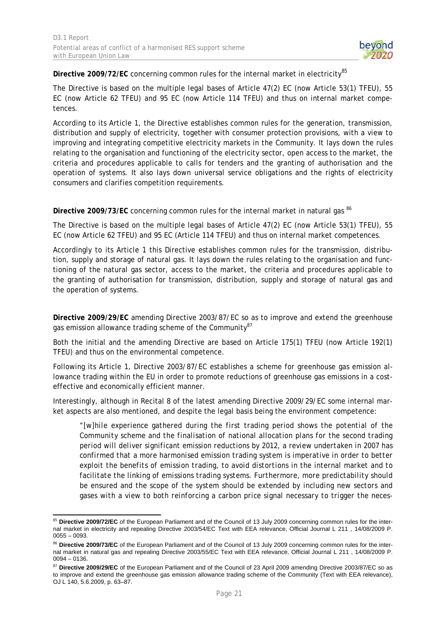Directive 2009/72/EC concerning common rules for the internal market in electricitv<sup>85</sup>

The Directive is based on the multiple legal bases of Article 47(2) EC (now Article 53(1) TFEU), 55 EC (now Article 62 TFEU) and 95 EC (now Article 114 TFEU) and thus on internal market competences.

According to its Article 1, the Directive establishes common rules for the generation, transmission, distribution and supply of electricity, together with consumer protection provisions, with a view to improving and integrating competitive electricity markets in the Community. It lays down the rules relating to the organisation and functioning of the electricity sector, open access to the market, the criteria and procedures applicable to calls for tenders and the granting of authorisation and the operation of systems. It also lays down universal service obligations and the rights of electricity consumers and clarifies competition requirements.

Directive 2009/73/EC concerning common rules for the internal market in natural gas <sup>86</sup>

The Directive is based on the multiple legal bases of Article 47(2) EC (now Article 53(1) TFEU), 55 EC (now Article 62 TFEU) and 95 EC (Article 114 TFEU) and thus on internal market competences.

Accordingly to its Article 1 this Directive establishes common rules for the transmission, distribution, supply and storage of natural gas. It lays down the rules relating to the organisation and functioning of the natural gas sector, access to the market, the criteria and procedures applicable to the granting of authorisation for transmission, distribution, supply and storage of natural gas and the operation of systems.

**Directive 2009/29/EC** amending Directive 2003/87/EC so as to improve and extend the greenhouse gas emission allowance trading scheme of the Community $^{87}$ 

Both the initial and the amending Directive are based on Article 175(1) TFEU (now Article 192(1) TFEU) and thus on the environmental competence.

Following its Article 1, Directive 2003/87/EC establishes a scheme for greenhouse gas emission allowance trading within the EU in order to promote reductions of greenhouse gas emissions in a costeffective and economically efficient manner.

Interestingly, although in Recital 8 of the latest amending Directive 2009/29/EC some internal market aspects are also mentioned, and despite the legal basis being the environment competence:

*"[w]hile experience gathered during the first trading period shows the potential of the Community scheme and the finalisation of national allocation plans for the second trading period will deliver significant emission reductions by 2012, a review undertaken in 2007 has confirmed that a more harmonised emission trading system is imperative in order to better exploit the benefits of emission trading, to avoid distortions in the internal market and to facilitate the linking of emissions trading systems. Furthermore, more predictability should be ensured and the scope of the system should be extended by including new sectors and gases with a view to both reinforcing a carbon price signal necessary to trigger the neces-*

-

<sup>&</sup>lt;sup>85</sup> Directive 2009/72/EC of the European Parliament and of the Council of 13 July 2009 concerning common rules for the internal market in electricity and repealing Directive 2003/54/EC Text with EEA relevance, Official Journal L 211 , 14/08/2009 P. 0055 – 0093.

<sup>86</sup> Directive 2009/73/EC of the European Parliament and of the Council of 13 July 2009 concerning common rules for the internal market in natural gas and repealing Directive 2003/55/EC Text with EEA relevance, Official Journal L 211 , 14/08/2009 P. 0094 – 0136.

<sup>87</sup> Directive 2009/29/EC of the European Parliament and of the Council of 23 April 2009 amending Directive 2003/87/EC so as to improve and extend the greenhouse gas emission allowance trading scheme of the Community (Text with EEA relevance), OJ L 140, 5.6.2009, p. 63–87.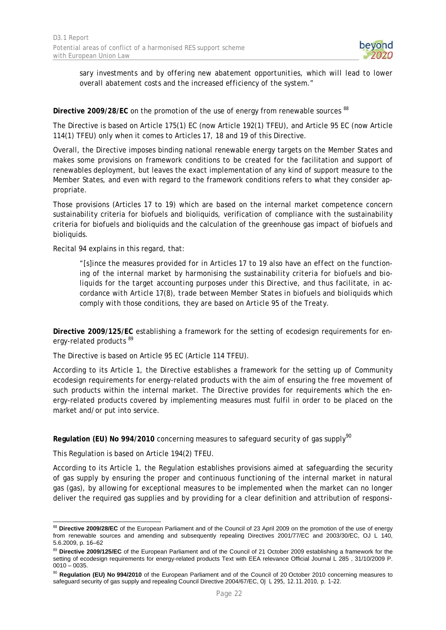

*sary investments and by offering new abatement opportunities, which will lead to lower overall abatement costs and the increased efficiency of the system."* 

Directive 2009/28/EC on the promotion of the use of energy from renewable sources <sup>88</sup>

The Directive is based on Article 175(1) EC (now Article 192(1) TFEU), and Article 95 EC (now Article 114(1) TFEU) only when it comes to Articles 17, 18 and 19 of this Directive.

Overall, the Directive imposes binding national renewable energy targets on the Member States and makes some provisions on framework conditions to be created for the facilitation and support of renewables deployment, but leaves the exact implementation of any kind of support measure to the Member States, and even with regard to the framework conditions refers to what they consider appropriate.

Those provisions (Articles 17 to 19) which are based on the internal market competence concern sustainability criteria for biofuels and bioliquids, verification of compliance with the sustainability criteria for biofuels and bioliquids and the calculation of the greenhouse gas impact of biofuels and bioliquids.

Recital 94 explains in this regard, that:

"*[s]ince the measures provided for in Articles 17 to 19 also have an effect on the functioning of the internal market by harmonising the sustainability criteria for biofuels and bioliquids for the target accounting purposes under this Directive, and thus facilitate, in accordance with Article 17(8), trade between Member States in biofuels and bioliquids which comply with those conditions, they are based on Article 95 of the Treaty.* 

**Directive 2009/125/EC** establishing a framework for the setting of ecodesign requirements for energy-related products  $89$ 

The Directive is based on Article 95 EC (Article 114 TFEU).

According to its Article 1, the Directive establishes a framework for the setting up of Community ecodesign requirements for energy-related products with the aim of ensuring the free movement of such products within the internal market. The Directive provides for requirements which the energy-related products covered by implementing measures must fulfil in order to be placed on the market and/or put into service.

Regulation (EU) No 994/2010 concerning measures to safeguard security of gas supply<sup>90</sup>

This Regulation is based on Article 194(2) TFEU.

According to its Article 1, the Regulation establishes provisions aimed at safeguarding the security of gas supply by ensuring the proper and continuous functioning of the internal market in natural gas (gas), by allowing for exceptional measures to be implemented when the market can no longer deliver the required gas supplies and by providing for a clear definition and attribution of responsi-

<sup>1</sup> <sup>88</sup> Directive 2009/28/EC of the European Parliament and of the Council of 23 April 2009 on the promotion of the use of energy from renewable sources and amending and subsequently repealing Directives 2001/77/EC and 2003/30/EC, OJ L 140, 5.6.2009, p. 16–62

<sup>89</sup> **Directive 2009/125/EC** of the European Parliament and of the Council of 21 October 2009 establishing a framework for the setting of ecodesign requirements for energy-related products Text with EEA relevance Official Journal L 285 , 31/10/2009 P.  $0010 - 0035$ .

<sup>90</sup> **Regulation (EU) No 994/2010** of the European Parliament and of the Council of 20 October 2010 concerning measures to safeguard security of gas supply and repealing Council Directive 2004/67/EC, *OJ L 295, 12.11.2010, p. 1–22.*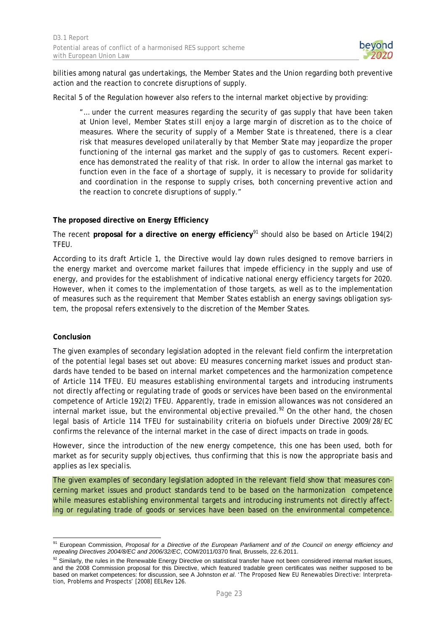

bilities among natural gas undertakings, the Member States and the Union regarding both preventive action and the reaction to concrete disruptions of supply.

Recital 5 of the Regulation however also refers to the internal market objective by providing:

*"… under the current measures regarding the security of gas supply that have been taken at Union level, Member States still enjoy a large margin of discretion as to the choice of measures. Where the security of supply of a Member State is threatened, there is a clear risk that measures developed unilaterally by that Member State may jeopardize the proper functioning of the internal gas market and the supply of gas to customers. Recent experience has demonstrated the reality of that risk. In order to allow the internal gas market to function even in the face of a shortage of supply, it is necessary to provide for solidarity and coordination in the response to supply crises, both concerning preventive action and the reaction to concrete disruptions of supply."* 

#### **The proposed directive on Energy Efficiency**

The recent **proposal for a directive on energy efficiency**91 should also be based on Article 194(2) TFEU.

According to its draft Article 1, the Directive would lay down rules designed to remove barriers in the energy market and overcome market failures that impede efficiency in the supply and use of energy, and provides for the establishment of indicative national energy efficiency targets for 2020. However, when it comes to the implementation of those targets, as well as to the implementation of measures such as the requirement that Member States establish an energy savings obligation system, the proposal refers extensively to the discretion of the Member States.

#### **Conclusion**

The given examples of secondary legislation adopted in the relevant field confirm the interpretation of the potential legal bases set out above: EU measures concerning market issues and product standards have tended to be based on internal market competences and the harmonization competence of Article 114 TFEU. EU measures establishing environmental targets and introducing instruments not directly affecting or regulating trade of goods or services have been based on the environmental competence of Article 192(2) TFEU. Apparently, trade in emission allowances was not considered an internal market issue, but the environmental objective prevailed.<sup>92</sup> On the other hand, the chosen legal basis of Article 114 TFEU for sustainability criteria on biofuels under Directive 2009/28/EC confirms the relevance of the internal market in the case of direct impacts on trade in goods.

However, since the introduction of the new energy competence, this one has been used, both for market as for security supply objectives, thus confirming that this is now the appropriate basis and applies as *lex specialis*.

The given examples of secondary legislation adopted in the relevant field show that measures concerning market issues and product standards tend to be based on the harmonization competence while measures establishing environmental targets and introducing instruments not directly affecting or regulating trade of goods or services have been based on the environmental competence.

<sup>1</sup> 91 European Commission, *Proposal for a Directive of the European Parliament and of the Council on energy efficiency and repealing Directives 2004/8/EC and 2006/32/EC*, COM/2011/0370 final, Brussels, 22.6.2011.

 $92$  Similarly, the rules in the Renewable Energy Directive on statistical transfer have not been considered internal market issues, and the 2008 Commission proposal for this Directive, which featured tradable green certificates was neither supposed to be based on market competences: for discussion, see A Johnston *et al*. 'The Proposed New EU Renewables Directive: Interpretation, Problems and Prospects' [2008] EELRev 126.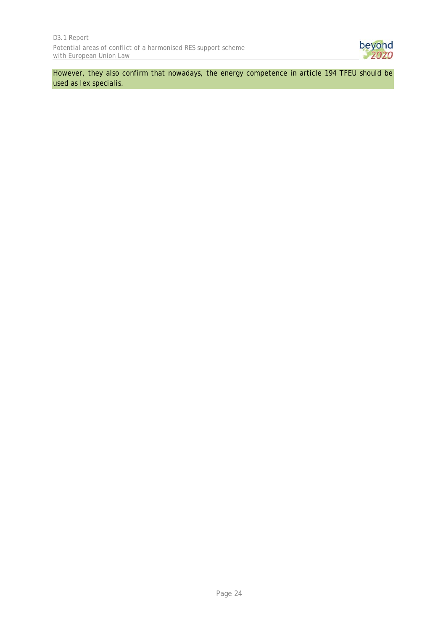

However, they also confirm that nowadays, the energy competence in article 194 TFEU should be used as *lex specialis*.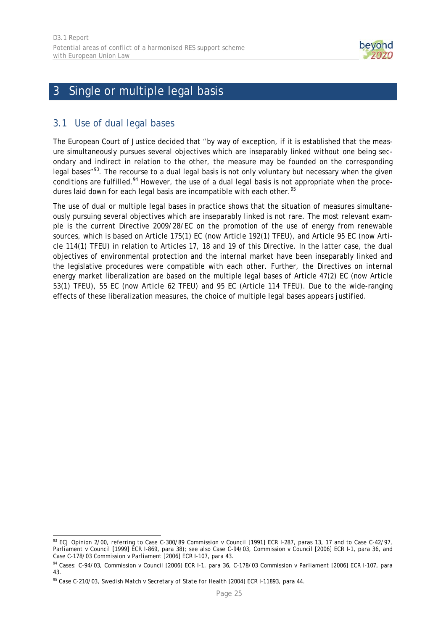

# 3 Single or multiple legal basis

# 3.1 Use of dual legal bases

The European Court of Justice decided that "by way of exception, if it is established that the measure simultaneously pursues several objectives which are inseparably linked without one being secondary and indirect in relation to the other, the measure may be founded on the corresponding legal bases<sup>"93</sup>. The recourse to a dual legal basis is not only voluntary but necessary when the given conditions are fulfilled.<sup>94</sup> However, the use of a dual legal basis is not appropriate when the procedures laid down for each legal basis are incompatible with each other.<sup>95</sup>

The use of dual or multiple legal bases in practice shows that the situation of measures simultaneously pursuing several objectives which are inseparably linked is not rare. The most relevant example is the current Directive 2009/28/EC on the promotion of the use of energy from renewable sources, which is based on Article 175(1) EC (now Article 192(1) TFEU), and Article 95 EC (now Article 114(1) TFEU) in relation to Articles 17, 18 and 19 of this Directive. In the latter case, the dual objectives of environmental protection and the internal market have been inseparably linked and the legislative procedures were compatible with each other. Further, the Directives on internal energy market liberalization are based on the multiple legal bases of Article 47(2) EC (now Article 53(1) TFEU), 55 EC (now Article 62 TFEU) and 95 EC (Article 114 TFEU). Due to the wide-ranging effects of these liberalization measures, the choice of multiple legal bases appears justified.

<sup>-</sup>93 ECJ Opinion 2/00, referring to Case C-300/89 *Commission v Council* [1991] ECR I-287, paras 13, 17 and to Case C-42/97, *Parliament* v *Council* [1999] ECR I-869, para 38); see also Case C-94/03, *Commission v Council* [2006] ECR I-1, para 36, and Case C-178/03 *Commission v Parliament* [2006] ECR I-107, para 43.

<sup>94</sup> Cases: C-94/03, *Commission v Council* [2006] ECR I-1, para 36, C-178/03 *Commission v Parliament* [2006] ECR I-107, para 43.

<sup>95</sup> Case C-210/03, *Swedish Match v Secretary of State for Health* [2004] ECR I-11893, para 44.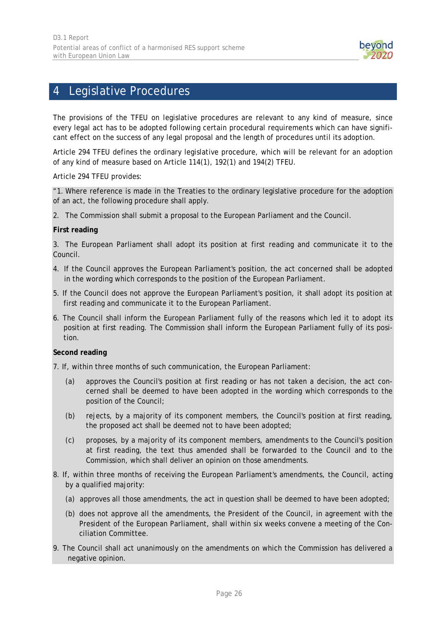

# 4 Legislative Procedures

The provisions of the TFEU on legislative procedures are relevant to any kind of measure, since every legal act has to be adopted following certain procedural requirements which can have significant effect on the success of any legal proposal and the length of procedures until its adoption.

Article 294 TFEU defines the ordinary legislative procedure, which will be relevant for an adoption of any kind of measure based on Article 114(1), 192(1) and 194(2) TFEU.

Article 294 TFEU provides:

"1. Where reference is made in the Treaties to the ordinary legislative procedure for the adoption of an act, the following procedure shall apply.

2. The Commission shall submit a proposal to the European Parliament and the Council.

#### **First reading**

3. The European Parliament shall adopt its position at first reading and communicate it to the Council.

- 4. If the Council approves the European Parliament's position, the act concerned shall be adopted in the wording which corresponds to the position of the European Parliament.
- 5. If the Council does not approve the European Parliament's position, it shall adopt its position at first reading and communicate it to the European Parliament.
- 6. The Council shall inform the European Parliament fully of the reasons which led it to adopt its position at first reading. The Commission shall inform the European Parliament fully of its position.

#### **Second reading**

7. If, within three months of such communication, the European Parliament:

- (a) approves the Council's position at first reading or has not taken a decision, the act concerned shall be deemed to have been adopted in the wording which corresponds to the position of the Council;
- (b) rejects, by a majority of its component members, the Council's position at first reading, the proposed act shall be deemed not to have been adopted;
- (c) proposes, by a majority of its component members, amendments to the Council's position at first reading, the text thus amended shall be forwarded to the Council and to the Commission, which shall deliver an opinion on those amendments.
- 8. If, within three months of receiving the European Parliament's amendments, the Council, acting by a qualified majority:
	- (a) approves all those amendments, the act in question shall be deemed to have been adopted;
	- (b) does not approve all the amendments, the President of the Council, in agreement with the President of the European Parliament, shall within six weeks convene a meeting of the Conciliation Committee.
- 9. The Council shall act unanimously on the amendments on which the Commission has delivered a negative opinion.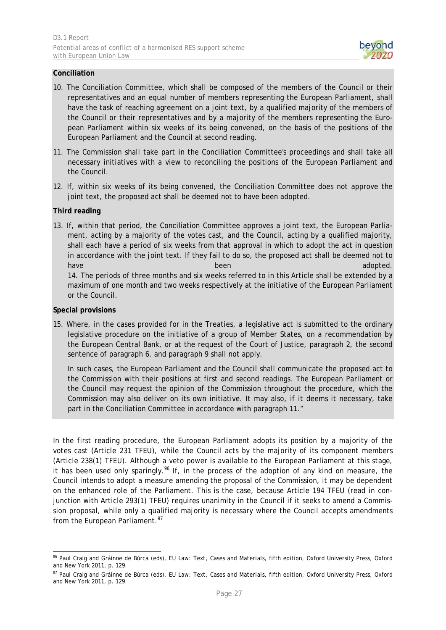

### **Conciliation**

- 10. The Conciliation Committee, which shall be composed of the members of the Council or their representatives and an equal number of members representing the European Parliament, shall have the task of reaching agreement on a joint text, by a qualified majority of the members of the Council or their representatives and by a majority of the members representing the European Parliament within six weeks of its being convened, on the basis of the positions of the European Parliament and the Council at second reading.
- 11. The Commission shall take part in the Conciliation Committee's proceedings and shall take all necessary initiatives with a view to reconciling the positions of the European Parliament and the Council.
- 12. If, within six weeks of its being convened, the Conciliation Committee does not approve the joint text, the proposed act shall be deemed not to have been adopted.

#### **Third reading**

13. If, within that period, the Conciliation Committee approves a joint text, the European Parliament, acting by a majority of the votes cast, and the Council, acting by a qualified majority, shall each have a period of six weeks from that approval in which to adopt the act in question in accordance with the joint text. If they fail to do so, the proposed act shall be deemed not to have been adopted. The state of the been adopted been adopted. 14. The periods of three months and six weeks referred to in this Article shall be extended by a maximum of one month and two weeks respectively at the initiative of the European Parliament or the Council.

#### **Special provisions**

15. Where, in the cases provided for in the Treaties, a legislative act is submitted to the ordinary legislative procedure on the initiative of a group of Member States, on a recommendation by the European Central Bank, or at the request of the Court of Justice, paragraph 2, the second sentence of paragraph 6, and paragraph 9 shall not apply.

 In such cases, the European Parliament and the Council shall communicate the proposed act to the Commission with their positions at first and second readings. The European Parliament or the Council may request the opinion of the Commission throughout the procedure, which the Commission may also deliver on its own initiative. It may also, if it deems it necessary, take part in the Conciliation Committee in accordance with paragraph 11."

In the first reading procedure, the European Parliament adopts its position by a majority of the votes cast (Article 231 TFEU), while the Council acts by the majority of its component members (Article 238(1) TFEU). Although a veto power is available to the European Parliament at this stage, it has been used only sparingly.<sup>96</sup> If, in the process of the adoption of any kind on measure, the Council intends to adopt a measure amending the proposal of the Commission, it may be dependent on the enhanced role of the Parliament. This is the case, because Article 194 TFEU (read in conjunction with Article 293(1) TFEU) requires unanimity in the Council if it seeks to amend a Commission proposal, while only a qualified majority is necessary where the Council accepts amendments from the European Parliament.<sup>97</sup>

<sup>1</sup> 96 Paul Craig and Gráinne de Búrca (eds), *EU Law: Text, Cases and Materials*, fifth edition, Oxford University Press, Oxford and New York 2011, p. 129.

<sup>97</sup> Paul Craig and Gráinne de Búrca (eds), *EU Law: Text, Cases and Materials*, fifth edition, Oxford University Press, Oxford and New York 2011, p. 129.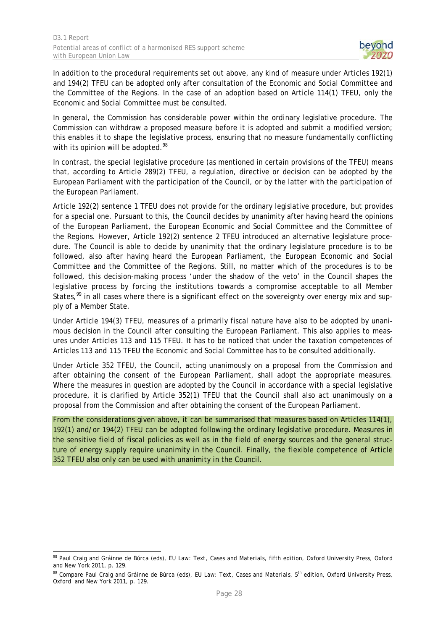

In addition to the procedural requirements set out above, any kind of measure under Articles 192(1) and 194(2) TFEU can be adopted only after consultation of the Economic and Social Committee and the Committee of the Regions. In the case of an adoption based on Article 114(1) TFEU, only the Economic and Social Committee must be consulted.

In general, the Commission has considerable power within the ordinary legislative procedure. The Commission can withdraw a proposed measure before it is adopted and submit a modified version; this enables it to shape the legislative process, ensuring that no measure fundamentally conflicting with its opinion will be adopted.<sup>98</sup>

In contrast, the special legislative procedure (as mentioned in certain provisions of the TFEU) means that, according to Article 289(2) TFEU, a regulation, directive or decision can be adopted by the European Parliament with the participation of the Council, or by the latter with the participation of the European Parliament.

Article 192(2) sentence 1 TFEU does not provide for the ordinary legislative procedure, but provides for a special one. Pursuant to this, the Council decides by unanimity after having heard the opinions of the European Parliament, the European Economic and Social Committee and the Committee of the Regions. However, Article 192(2) sentence 2 TFEU introduced an alternative legislature procedure. The Council is able to decide by unanimity that the ordinary legislature procedure is to be followed, also after having heard the European Parliament, the European Economic and Social Committee and the Committee of the Regions. Still, no matter which of the procedures is to be followed, this decision-making process 'under the shadow of the veto' in the Council shapes the legislative process by forcing the institutions towards a compromise acceptable to all Member States,<sup>99</sup> in all cases where there is a significant effect on the sovereignty over energy mix and supply of a Member State.

Under Article 194(3) TFEU, measures of a primarily fiscal nature have also to be adopted by unanimous decision in the Council after consulting the European Parliament. This also applies to measures under Articles 113 and 115 TFEU. It has to be noticed that under the taxation competences of Articles 113 and 115 TFEU the Economic and Social Committee has to be consulted additionally.

Under Article 352 TFEU, the Council, acting unanimously on a proposal from the Commission and after obtaining the consent of the European Parliament, shall adopt the appropriate measures. Where the measures in question are adopted by the Council in accordance with a special legislative procedure, it is clarified by Article 352(1) TFEU that the Council shall also act unanimously on a proposal from the Commission and after obtaining the consent of the European Parliament.

From the considerations given above, it can be summarised that measures based on Articles 114(1), 192(1) and/or 194(2) TFEU can be adopted following the ordinary legislative procedure. Measures in the sensitive field of fiscal policies as well as in the field of energy sources and the general structure of energy supply require unanimity in the Council. Finally, the flexible competence of Article 352 TFEU also only can be used with unanimity in the Council.

<sup>1</sup> 98 Paul Craig and Gráinne de Búrca (eds), *EU Law: Text, Cases and Materials*, fifth edition, Oxford University Press, Oxford and New York 2011, p. 129.

<sup>&</sup>lt;sup>99</sup> Compare Paul Craig and Gráinne de Búrca (eds), *EU Law: Text, Cases and Materials*, 5<sup>th</sup> edition, Oxford University Press, Oxford and New York 2011, p. 129.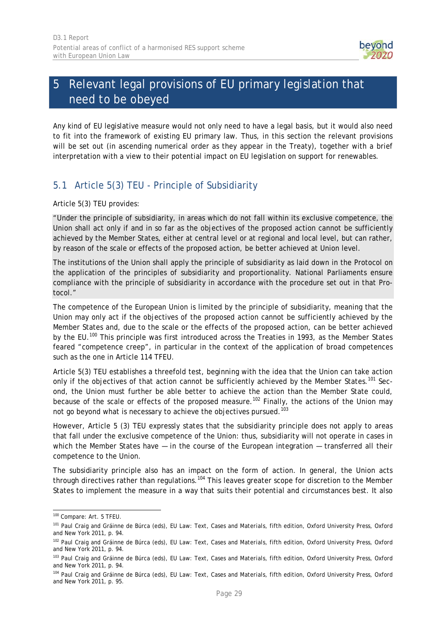

# 5 Relevant legal provisions of EU primary legislation that need to be obeyed

Any kind of EU legislative measure would not only need to have a legal basis, but it would also need to fit into the framework of existing EU primary law. Thus, in this section the relevant provisions will be set out (in ascending numerical order as they appear in the Treaty), together with a brief interpretation with a view to their potential impact on EU legislation on support for renewables.

# 5.1 Article 5(3) TEU - Principle of Subsidiarity

Article 5(3) TEU provides:

"Under the principle of subsidiarity, in areas which do not fall within its exclusive competence, the Union shall act only if and in so far as the objectives of the proposed action cannot be sufficiently achieved by the Member States, either at central level or at regional and local level, but can rather, by reason of the scale or effects of the proposed action, be better achieved at Union level.

The institutions of the Union shall apply the principle of subsidiarity as laid down in the Protocol on the application of the principles of subsidiarity and proportionality. National Parliaments ensure compliance with the principle of subsidiarity in accordance with the procedure set out in that Protocol."

The competence of the European Union is limited by the principle of subsidiarity, meaning that the Union may only act if the objectives of the proposed action cannot be sufficiently achieved by the Member States and, due to the scale or the effects of the proposed action, can be better achieved by the EU.<sup>100</sup> This principle was first introduced across the Treaties in 1993, as the Member States feared "competence creep", in particular in the context of the application of broad competences such as the one in Article 114 TFEU.

Article 5(3) TEU establishes a threefold test, beginning with the idea that the Union can take action only if the objectives of that action cannot be sufficiently achieved by the Member States.<sup>101</sup> Second, the Union must further be able better to achieve the action than the Member State could, because of the scale or effects of the proposed measure.<sup>102</sup> Finally, the actions of the Union may not go beyond what is necessary to achieve the objectives pursued.<sup>103</sup>

However, Article 5 (3) TEU expressly states that the subsidiarity principle does not apply to areas that fall under the exclusive competence of the Union: thus, subsidiarity will not operate in cases in which the Member States have — in the course of the European integration — transferred all their competence to the Union.

The subsidiarity principle also has an impact on the form of action. In general, the Union acts through directives rather than regulations.<sup>104</sup> This leaves greater scope for discretion to the Member States to implement the measure in a way that suits their potential and circumstances best. It also

1

<sup>100</sup> Compare: Art. 5 TFEU.

<sup>101</sup> Paul Craig and Gráinne de Búrca (eds), *EU Law: Text, Cases and Materials*, fifth edition, Oxford University Press, Oxford and New York 2011, p. 94.

<sup>102</sup> Paul Craig and Gráinne de Búrca (eds), *EU Law: Text, Cases and Materials*, fifth edition, Oxford University Press, Oxford and New York 2011, p. 94.

<sup>103</sup> Paul Craig and Gráinne de Búrca (eds), *EU Law: Text, Cases and Materials*, fifth edition, Oxford University Press, Oxford and New York 2011, p. 94.

<sup>104</sup> Paul Craig and Gráinne de Búrca (eds), *EU Law: Text, Cases and Materials*, fifth edition, Oxford University Press, Oxford and New York 2011, p. 95.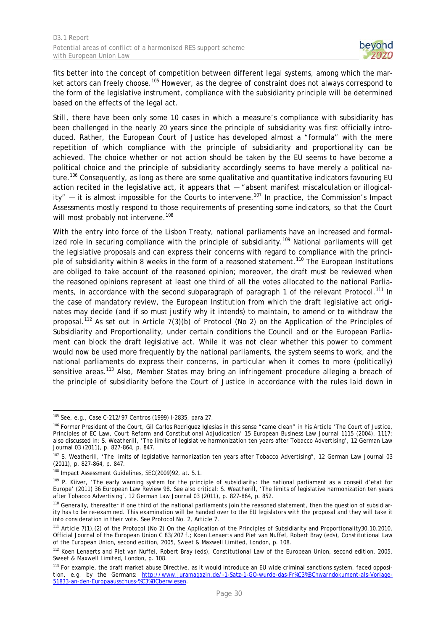fits better into the concept of competition between different legal systems, among which the market actors can freely choose.<sup>105</sup> However, as the degree of constraint does not always correspond to the form of the legislative instrument, compliance with the subsidiarity principle will be determined based on the effects of the legal act.

Still, there have been only some 10 cases in which a measure's compliance with subsidiarity has been challenged in the nearly 20 years since the principle of subsidiarity was first officially introduced. Rather, the European Court of Justice has developed almost a "formula" with the mere repetition of which compliance with the principle of subsidiarity and proportionality can be achieved. The choice whether or not action should be taken by the EU seems to have become a political choice and the principle of subsidiarity accordingly seems to have merely a political nature.<sup>106</sup> Consequently, as long as there are some qualitative and quantitative indicators favouring EU action recited in the legislative act, it appears that — "absent manifest miscalculation or illogicality"  $-$  it is almost impossible for the Courts to intervene.<sup>107</sup> In practice, the Commission's Impact Assessments mostly respond to those requirements of presenting some indicators, so that the Court will most probably not intervene.<sup>108</sup>

With the entry into force of the Lisbon Treaty, national parliaments have an increased and formalized role in securing compliance with the principle of subsidiarity.<sup>109</sup> National parliaments will get the legislative proposals and can express their concerns with regard to compliance with the principle of subsidiarity within 8 weeks in the form of a reasoned statement.<sup>110</sup> The European Institutions are obliged to take account of the reasoned opinion; moreover, the draft must be reviewed when the reasoned opinions represent at least one third of all the votes allocated to the national Parliaments, in accordance with the second subparagraph of paragraph 1 of the relevant Protocol.<sup>111</sup> In the case of mandatory review, the European Institution from which the draft legislative act originates may decide (and if so must justify why it intends) to maintain, to amend or to withdraw the proposal.112 As set out in Article 7(3)(b) of Protocol (No 2) on the Application of the Principles of Subsidiarity and Proportionality, under certain conditions the Council and or the European Parliament can block the draft legislative act. While it was not clear whether this power to comment would now be used more frequently by the national parliaments, the system seems to work, and the national parliaments do express their concerns, in particular when it comes to more (politically) sensitive areas.<sup>113</sup> Also, Member States may bring an infringement procedure alleging a breach of the principle of subsidiarity before the Court of Justice in accordance with the rules laid down in

<sup>1</sup> 105 See, e.g., Case C-212/97 *Centros* (1999) I-2835, para 27.

<sup>106</sup> Former President of the Court, Gil Carlos Rodriguez Iglesias in this sense "came clean" in his Article 'The Court of Justice, Principles of EC Law, Court Reform and Constitutional Adjudication' 15 European Business Law Journal 1115 (2004), 1117; also discussed in: S. Weatherill, 'The limits of legislative harmonization ten years after Tobacco Advertising', 12 German Law Journal 03 (2011), p. 827-864, p. 847.

<sup>107</sup> S. Weatherill, 'The limits of legislative harmonization ten years after Tobacco Advertising", 12 German Law Journal 03 (2011), p. 827-864, p. 847.

<sup>108</sup> Impact Assessment Guidelines, SEC(2009)92, at. 5.1.

<sup>&</sup>lt;sup>109</sup> P. Kiiver, 'The early warning system for the principle of subsidiarity: the national parliament as a conseil d'etat for Europe' (2011) 36 European Law Review 98. See also critical: S. Weatherill, 'The limits of legislative harmonization ten years after Tobacco Advertising', 12 German Law Journal 03 (2011), p. 827-864, p. 852.

<sup>110</sup> Generally, thereafter if one third of the national parliaments join the reasoned statement, then the question of subsidiarity has to be re-examined. This examination will be handed over to the EU legislators with the proposal and they will take it into consideration in their vote. See Protocol No. 2, Article 7.

<sup>111</sup> Article 7(1),(2) of the Protocol (No 2) On the Application of the Principles of Subsidiarity and Proportionality30.10.2010, Official Journal of the European Union C 83/207 f.; Koen Lenaerts and Piet van Nuffel, Robert Bray (eds), *Constitutional Law of the European Union,* second edition, 2005, Sweet & Maxwell Limited, London, p. 108.

<sup>112</sup> Koen Lenaerts and Piet van Nuffel, Robert Bray (eds), *Constitutional Law of the European Union*, second edition, 2005, Sweet & Maxwell Limited, London, p. 108.

<sup>&</sup>lt;sup>113</sup> For example, the draft market abuse Directive, as it would introduce an EU wide criminal sanctions system, faced opposition, e.g. by the Germans: http://www.juramagazin.de/-1-Satz-1-GO-wurde-das-Fr%C3%BChwarndokument-als-Vorlage-51833-an-den-Europaausschuss-%C3%BCberwiesen.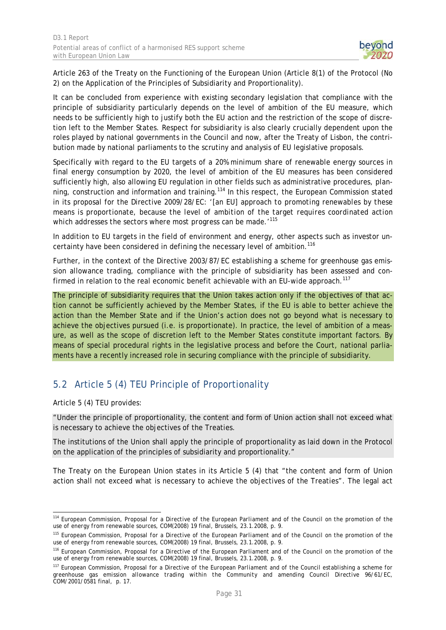Article 263 of the Treaty on the Functioning of the European Union (Article 8(1) of the Protocol (No 2) on the Application of the Principles of Subsidiarity and Proportionality).

It can be concluded from experience with existing secondary legislation that compliance with the principle of subsidiarity particularly depends on the level of ambition of the EU measure, which needs to be sufficiently high to justify both the EU action and the restriction of the scope of discretion left to the Member States. Respect for subsidiarity is also clearly crucially dependent upon the roles played by national governments in the Council and now, after the Treaty of Lisbon, the contribution made by national parliaments to the scrutiny and analysis of EU legislative proposals.

Specifically with regard to the EU targets of a 20% minimum share of renewable energy sources in final energy consumption by 2020, the level of ambition of the EU measures has been considered sufficiently high, also allowing EU regulation in other fields such as administrative procedures, planning, construction and information and training.<sup>114</sup> In this respect, the European Commission stated in its proposal for the Directive 2009/28/EC: *'[an EU] approach to promoting renewables by these means is proportionate, because the level of ambition of the target requires coordinated action which addresses the sectors where most progress can be made.'115*

In addition to EU targets in the field of environment and energy, other aspects such as investor uncertainty have been considered in defining the necessary level of ambition.<sup>116</sup>

Further, in the context of the Directive 2003/87/EC establishing a scheme for greenhouse gas emission allowance trading, compliance with the principle of subsidiarity has been assessed and confirmed in relation to the real economic benefit achievable with an EU-wide approach.<sup>117</sup>

The principle of subsidiarity requires that the Union takes action only if the objectives of that action cannot be sufficiently achieved by the Member States, if the EU is able to better achieve the action than the Member State and if the Union's action does not go beyond what is necessary to achieve the objectives pursued (i.e. is proportionate). In practice, the level of ambition of a measure, as well as the scope of discretion left to the Member States constitute important factors. By means of special procedural rights in the legislative process and before the Court, national parliaments have a recently increased role in securing compliance with the principle of subsidiarity.

# 5.2 Article 5 (4) TEU Principle of Proportionality

Article 5 (4) TEU provides:

"Under the principle of proportionality, the content and form of Union action shall not exceed what is necessary to achieve the objectives of the Treaties.

The institutions of the Union shall apply the principle of proportionality as laid down in the Protocol on the application of the principles of subsidiarity and proportionality."

The Treaty on the European Union states in its Article 5 (4) that "the content and form of Union action shall not exceed what is necessary to achieve the objectives of the Treaties". The legal act

<sup>1</sup> 114 European Commission, *Proposal for a Directive of the European Parliament and of the Council on the promotion of the use of energy from renewable sources*, COM(2008) 19 final, Brussels, 23.1.2008, p. 9.

<sup>115</sup> European Commission, *Proposal for a Directive of the European Parliament and of the Council on the promotion of the use of energy from renewable sources*, COM(2008) 19 final, Brussels, 23.1.2008, p. 9.

<sup>116</sup> European Commission, *Proposal for a Directive of the European Parliament and of the Council on the promotion of the use of energy from renewable sources*, COM(2008) 19 final, Brussels, 23.1.2008, p. 9.

<sup>117</sup> European Commission, *Proposal for a Directive of the European Parliament and of the Council establishing a scheme for greenhouse gas emission allowance trading within the Community and amending Council Directive 96/61/EC*, COM/2001/0581 final, p. 17.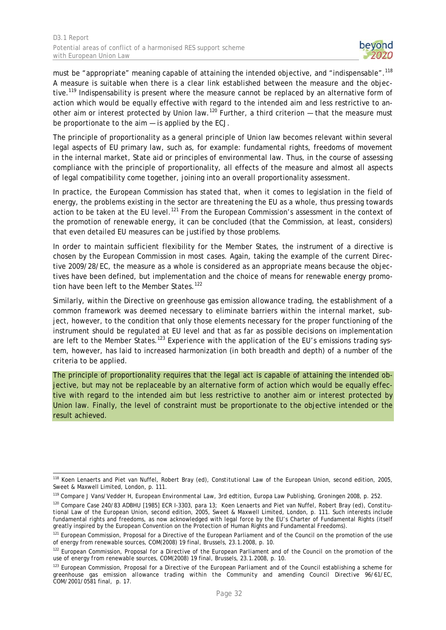

must be "appropriate" meaning capable of attaining the intended objective, and "indispensable".<sup>118</sup> A measure is suitable when there is a clear link established between the measure and the objective.<sup>119</sup> Indispensability is present where the measure cannot be replaced by an alternative form of action which would be equally effective with regard to the intended aim and less restrictive to another aim or interest protected by Union law.<sup>120</sup> Further, a third criterion  $-$  that the measure must be proportionate to the aim — is applied by the ECJ.

The principle of proportionality as a general principle of Union law becomes relevant within several legal aspects of EU primary law, such as, for example: fundamental rights, freedoms of movement in the internal market, State aid or principles of environmental law. Thus, in the course of assessing compliance with the principle of proportionality, all effects of the measure and almost all aspects of legal compatibility come together, joining into an overall proportionality assessment.

In practice, the European Commission has stated that, when it comes to legislation in the field of energy, the problems existing in the sector are threatening the EU as a whole, thus pressing towards action to be taken at the EU level.<sup>121</sup> From the European Commission's assessment in the context of the promotion of renewable energy, it can be concluded (that the Commission, at least, considers) that even detailed EU measures can be justified by those problems.

In order to maintain sufficient flexibility for the Member States, the instrument of a directive is chosen by the European Commission in most cases. Again, taking the example of the current Directive 2009/28/EC, the measure as a whole is considered as an appropriate means because the objectives have been defined, but implementation and the choice of means for renewable energy promotion have been left to the Member States.<sup>122</sup>

Similarly, within the Directive on greenhouse gas emission allowance trading, the establishment of a common framework was deemed necessary to eliminate barriers within the internal market, subject, however, to the condition that only those elements necessary for the proper functioning of the instrument should be regulated at EU level and that as far as possible decisions on implementation are left to the Member States.<sup>123</sup> Experience with the application of the EU's emissions trading system, however, has laid to increased harmonization (in both breadth and depth) of a number of the criteria to be applied.

The principle of proportionality requires that the legal act is capable of attaining the intended objective, but may not be replaceable by an alternative form of action which would be equally effective with regard to the intended aim but less restrictive to another aim or interest protected by Union law. Finally, the level of constraint must be proportionate to the objective intended or the result achieved.

<sup>1</sup> 118 Koen Lenaerts and Piet van Nuffel, Robert Bray (ed), *Constitutional Law of the European Union*, second edition, 2005, Sweet & Maxwell Limited, London, p. 111.

<sup>119</sup> Compare J Vans/Vedder H, *European Environmental Law*, 3rd edtition, Europa Law Publishing, Groningen 2008, p. 252.

<sup>120</sup> Compare Case 240/83 *ADBHU* [1985] ECR I-3303, para 13; Koen Lenaerts and Piet van Nuffel, Robert Bray (ed), *Constitutional Law of the European Union*, second edition, 2005, Sweet & Maxwell Limited, London, p. 111. Such interests include fundamental rights and freedoms, as now acknowledged with legal force by the EU's Charter of Fundamental Rights (itself greatly inspired by the European Convention on the Protection of Human Rights and Fundamental Freedoms).

<sup>&</sup>lt;sup>121</sup> European Commission, Proposal for a Directive of the European Parliament and of the Council on the promotion of the use of energy from renewable sources, COM(2008) 19 final, Brussels, 23.1.2008, p. 10.

<sup>122</sup> European Commission, *Proposal for a Directive of the European Parliament and of the Council on the promotion of the use of energy from renewable sources*, COM(2008) 19 final, Brussels, 23.1.2008, p. 10.

<sup>123</sup> European Commission, *Proposal for a Directive of the European Parliament and of the Council establishing a scheme for greenhouse gas emission allowance trading within the Community and amending Council Directive 96/61/EC*, COM/2001/0581 final, p. 17.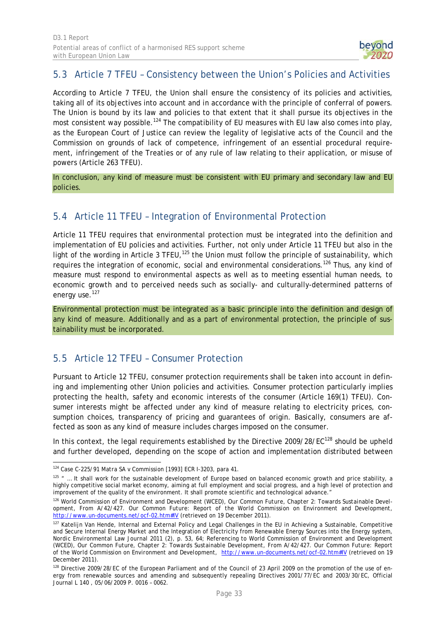### 5.3 Article 7 TFEU – Consistency between the Union's Policies and Activities

According to Article 7 TFEU, the Union shall ensure the consistency of its policies and activities, taking all of its objectives into account and in accordance with the principle of conferral of powers. The Union is bound by its law and policies to that extent that it shall pursue its objectives in the most consistent way possible.<sup>124</sup> The compatibility of EU measures with EU law also comes into play, as the European Court of Justice can review the legality of legislative acts of the Council and the Commission on grounds of lack of competence, infringement of an essential procedural requirement, infringement of the Treaties or of any rule of law relating to their application, or misuse of powers (Article 263 TFEU).

In conclusion, any kind of measure must be consistent with EU primary and secondary law and EU policies.

### 5.4 Article 11 TFEU – Integration of Environmental Protection

Article 11 TFEU requires that environmental protection must be integrated into the definition and implementation of EU policies and activities. Further, not only under Article 11 TFEU but also in the light of the wording in Article 3 TFEU, $125$  the Union must follow the principle of sustainability, which requires the integration of economic, social and environmental considerations.<sup>126</sup> Thus, any kind of measure must respond to environmental aspects as well as to meeting essential human needs, to economic growth and to perceived needs such as socially- and culturally-determined patterns of energy use.<sup>127</sup>

Environmental protection must be integrated as a basic principle into the definition and design of any kind of measure. Additionally and as a part of environmental protection, the principle of sustainability must be incorporated.

### 5.5 Article 12 TFEU – Consumer Protection

Pursuant to Article 12 TFEU, consumer protection requirements shall be taken into account in defining and implementing other Union policies and activities. Consumer protection particularly implies protecting the health, safety and economic interests of the consumer (Article 169(1) TFEU). Consumer interests might be affected under any kind of measure relating to electricity prices, consumption choices, transparency of pricing and guarantees of origin. Basically, consumers are affected as soon as any kind of measure includes charges imposed on the consumer.

In this context, the legal requirements established by the Directive 2009/28/EC<sup>128</sup> should be upheld and further developed, depending on the scope of action and implementation distributed between

<sup>1</sup> 124 Case C-225/91 *Matra SA v Commission* [1993] ECR I-3203, para 41.

<sup>125 &</sup>quot; ... It shall work for the sustainable development of Europe based on balanced economic growth and price stability, a highly competitive social market economy, aiming at full employment and social progress, and a high level of protection and improvement of the quality of the environment. It shall promote scientific and technological advance."

<sup>&</sup>lt;sup>126</sup> World Commission of Environment and Development (WCED), Our Common Future, Chapter 2: Towards Sustainable Devel*opment, From A/42/427. Our Common Future: Report of the World Commission on Environment and Development,* http://www.un-documents.net/ocf-02.htm#IV (retrieved on 19 December 2011).

<sup>127</sup> Katelijn Van Hende, Internal and External Policy and Legal Challenges in the EU in Achieving a Sustainable, Competitive and Secure Internal Energy Market and the Integration of Electricity from Renewable Energy Sources into the Energy system, *Nordic Environmental Law Journal* 2011 (2), p. 53, 64; Referencing to World Commission of Environment and Development (WCED), *Our Common Future, Chapter 2: Towards Sustainable Development, From A/42/427. Our Common Future: Report of the World Commission on Environment and Development,* http://www.un-documents.net/ocf-02.htm#IV (retrieved on 19 December 2011).

<sup>128</sup> Directive 2009/28/EC of the European Parliament and of the Council of 23 April 2009 on the promotion of the use of energy from renewable sources and amending and subsequently repealing Directives 2001/77/EC and 2003/30/EC, Official Journal L 140 , 05/06/2009 P. 0016 – 0062.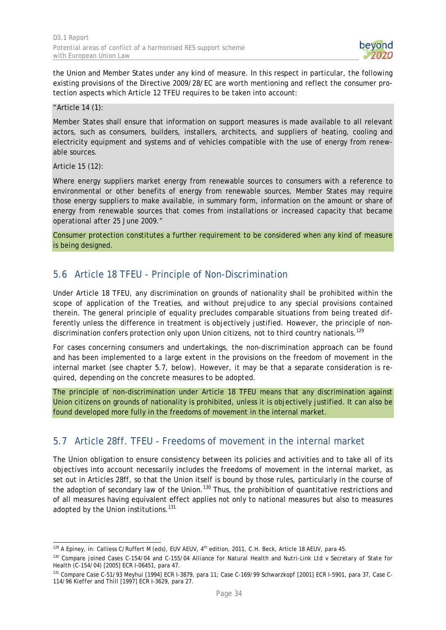

the Union and Member States under any kind of measure. In this respect in particular, the following existing provisions of the Directive 2009/28/EC are worth mentioning and reflect the consumer protection aspects which Article 12 TFEU requires to be taken into account:

#### "Article 14 (1):

Member States shall ensure that information on support measures is made available to all relevant actors, such as consumers, builders, installers, architects, and suppliers of heating, cooling and electricity equipment and systems and of vehicles compatible with the use of energy from renewable sources.

Article 15 (12):

Where energy suppliers market energy from renewable sources to consumers with a reference to environmental or other benefits of energy from renewable sources, Member States may require those energy suppliers to make available, in summary form, information on the amount or share of energy from renewable sources that comes from installations or increased capacity that became operational after 25 June 2009."

Consumer protection constitutes a further requirement to be considered when any kind of measure is being designed.

#### 5.6 Article 18 TFEU - Principle of Non-Discrimination

Under Article 18 TFEU, any discrimination on grounds of nationality shall be prohibited within the scope of application of the Treaties, and without prejudice to any special provisions contained therein. The general principle of equality precludes comparable situations from being treated differently unless the difference in treatment is objectively justified. However, the principle of nondiscrimination confers protection only upon Union citizens, not to third country nationals.<sup>129</sup>

For cases concerning consumers and undertakings, the non-discrimination approach can be found and has been implemented to a large extent in the provisions on the freedom of movement in the internal market (see chapter 5.7, below). However, it may be that a separate consideration is required, depending on the concrete measures to be adopted.

The principle of non-discrimination under Article 18 TFEU means that any discrimination against Union citizens on grounds of nationality is prohibited, unless it is objectively justified. It can also be found developed more fully in the freedoms of movement in the internal market.

### 5.7 Article 28ff. TFEU - Freedoms of movement in the internal market

The Union obligation to ensure consistency between its policies and activities and to take all of its objectives into account necessarily includes the freedoms of movement in the internal market, as set out in Articles 28ff, so that the Union itself is bound by those rules, particularly in the course of the adoption of secondary law of the Union.<sup>130</sup> Thus, the prohibition of quantitative restrictions and of all measures having equivalent effect applies not only to national measures but also to measures adopted by the Union institutions.<sup>131</sup>

<sup>1</sup> <sup>129</sup> A Epiney, in: Calliess C/Ruffert M (eds), *EUV AEUV*, 4<sup>th</sup> edition, 2011, C.H. Beck, Article 18 AEUV, para 45.

<sup>130</sup> Compare joined Cases C-154/04 and C-155/04 *Alliance for Natural Health and Nutri-Link Ltd v Secretary of State for Health* (C-154/04) [2005] ECR I-06451, para 47.

<sup>131</sup> Compare Case C-51/93 *Meyhui* [1994] ECR I-3879, para 11; Case C-169/99 *Schwarzkopf* [2001] ECR I-5901, para 37, Case C-114/96 *Kieffer and Thill* [1997] ECR I-3629, para 27.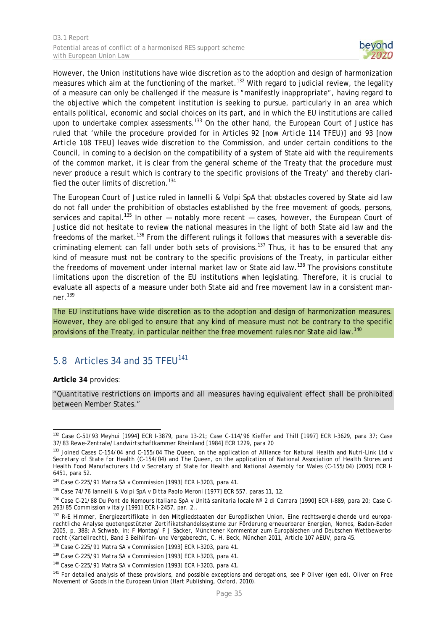

However, the Union institutions have wide discretion as to the adoption and design of harmonization measures which aim at the functioning of the market.<sup>132</sup> With regard to judicial review, the legality of a measure can only be challenged if the measure is "manifestly inappropriate", having regard to the objective which the competent institution is seeking to pursue, particularly in an area which entails political, economic and social choices on its part, and in which the EU institutions are called upon to undertake complex assessments.<sup>133</sup> On the other hand, the European Court of Justice has ruled that 'while the procedure provided for in Articles 92 [*now Article 114 TFEU*)] and 93 [*now Article 108 TFEU*] leaves wide discretion to the Commission, and under certain conditions to the Council, in coming to a decision on the compatibility of a system of State aid with the requirements of the common market, it is clear from the general scheme of the Treaty that the procedure must never produce a result which is contrary to the specific provisions of the Treaty' and thereby clarified the outer limits of discretion.<sup>134</sup>

The European Court of Justice ruled in *Iannelli & Volpi SpA* that obstacles covered by State aid law do not fall under the prohibition of obstacles established by the free movement of goods, persons, services and capital.<sup>135</sup> In other  $-$  notably more recent  $-$  cases, however, the European Court of Justice did not hesitate to review the national measures in the light of both State aid law and the freedoms of the market.<sup>136</sup> From the different rulings it follows that measures with a severable discriminating element can fall under both sets of provisions.<sup>137</sup> Thus, it has to be ensured that any kind of measure must not be contrary to the specific provisions of the Treaty, in particular either the freedoms of movement under internal market law or State aid law.<sup>138</sup> The provisions constitute limitations upon the discretion of the EU institutions when legislating. Therefore, it is crucial to evaluate all aspects of a measure under both State aid and free movement law in a consistent manner.139

The EU institutions have wide discretion as to the adoption and design of harmonization measures. However, they are obliged to ensure that any kind of measure must not be contrary to the specific provisions of the Treaty, in particular neither the free movement rules nor State aid law.<sup>140</sup>

### 5.8 Articles 34 and 35 TFEU $<sup>141</sup>$ </sup>

#### **Article 34** provides:

"Quantitative restrictions on imports and all measures having equivalent effect shall be prohibited between Member States."

<sup>1</sup> 132 Case C-51/93 *Meyhui* [1994] ECR I-3879, para 13-21; Case C-114/96 *Kieffer and Thill* [1997] ECR I-3629, para 37; Case 37/83 *Rewe-Zentrale/Landwirtschaftkammer Rheinland* [1984] ECR 1229, para 20

<sup>133</sup> Joined Cases C-154/04 and C-155/04 *The Queen, on the application of Alliance for Natural Health and Nutri-Link Ltd v Secretary of State for Health* (C-154/04) and *The Queen, on the application of National Association of Health Stores and Health Food Manufacturers Ltd v Secretary of State for Health and National Assembly for Wales* (C-155/04) [2005] ECR I-6451, para 52.

<sup>134</sup> Case C-225/91 *Matra SA v Commission* [1993] ECR I-3203, para 41.

<sup>135</sup> Case 74/76 *Iannelli & Volpi SpA v Ditta Paolo Meroni* [1977] ECR 557, paras 11, 12.

<sup>136</sup> Case C-21/88 *Du Pont de Nemours Italiana SpA v Unità sanitaria locale Nº 2 di Carrara* [1990] ECR I-889, para 20; Case C-263/85 *Commission v Italy* [1991] ECR I-2457, par. 2..

<sup>137</sup> R-E Himmer, *Energiezertifikate in den Mitgliedstaaten der Europäischen Union, Eine rechtsvergleichende und europarechtliche Analyse quotengestützter Zertifikatshandelssysteme zur Förderung erneuerbarer Energien*, Nomos, Baden-Baden 2005, p. 388; A Schwab, in: F Montag/ F J Säcker, *Münchener Kommentar zum Europäischen und Deutschen Wettbewerbsrecht (Kartellrecht), Band 3 Beihilfen- und Vergaberecht*, C. H. Beck, München 2011, Article 107 AEUV, para 45.

<sup>138</sup> Case C-225/91 *Matra SA v Commission* [1993] ECR I-3203, para 41.

<sup>139</sup> Case C-225/91 *Matra SA v Commission* [1993] ECR I-3203, para 41.

<sup>140</sup> Case C-225/91 *Matra SA v Commission* [1993] ECR I-3203, para 41.

<sup>141</sup> For detailed analysis of these provisions, and possible exceptions and derogations, see P Oliver (gen ed), *Oliver on Free Movement of Goods in the European Union* (Hart Publishing, Oxford, 2010).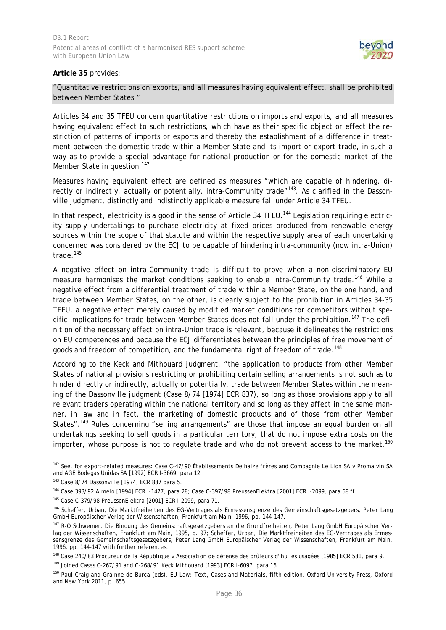

#### **Article 35** provides:

"Quantitative restrictions on exports, and all measures having equivalent effect, shall be prohibited between Member States."

Articles 34 and 35 TFEU concern quantitative restrictions on imports and exports, and all measures having equivalent effect to such restrictions, which have as their specific object or effect the restriction of patterns of imports or exports and thereby the establishment of a difference in treatment between the domestic trade within a Member State and its import or export trade, in such a way as to provide a special advantage for national production or for the domestic market of the Member State in question.<sup>142</sup>

Measures having equivalent effect are defined as measures "which are capable of hindering, directly or indirectly, actually or potentially, intra-Community trade<sup>"143</sup>. As clarified in the *Dassonville* judgment, distinctly and indistinctly applicable measure fall under Article 34 TFEU.

In that respect, electricity is a good in the sense of Article 34 TFEU.<sup>144</sup> Legislation requiring electricity supply undertakings to purchase electricity at fixed prices produced from renewable energy sources within the scope of that statute and within the respective supply area of each undertaking concerned was considered by the ECJ to be capable of hindering intra-community (now intra-Union) trade.<sup>145</sup>

A negative effect on intra-Community trade is difficult to prove when a non-discriminatory EU measure harmonises the market conditions seeking to enable intra-Community trade.<sup>146</sup> While a negative effect from a differential treatment of trade within a Member State, on the one hand, and trade between Member States, on the other, is clearly subject to the prohibition in Articles 34-35 TFEU, a negative effect merely caused by modified market conditions for competitors without specific implications for trade between Member States does not fall under the prohibition.<sup>147</sup> The definition of the necessary effect on intra-Union trade is relevant, because it delineates the restrictions on EU competences and because the ECJ differentiates between the principles of free movement of goods and freedom of competition, and the fundamental right of freedom of trade.<sup>148</sup>

According to the *Keck and Mithouard* judgment, "the application to products from other Member States of national provisions restricting or prohibiting certain selling arrangements is not such as to hinder directly or indirectly, actually or potentially, trade between Member States within the meaning of the *Dassonville* judgment (Case 8/74 [1974] ECR 837), so long as those provisions apply to all relevant traders operating within the national territory and so long as they affect in the same manner, in law and in fact, the marketing of domestic products and of those from other Member States".<sup>149</sup> Rules concerning "selling arrangements" are those that impose an equal burden on all undertakings seeking to sell goods in a particular territory, that do not impose extra costs on the importer, whose purpose is not to regulate trade and who do not prevent access to the market.<sup>150</sup>

-

<sup>142</sup> See, for export-related measures: Case C-47/90 *Établissements Delhaize frères and Compagnie Le Lion SA v Promalvin SA and AGE Bodegas Unidas SA* [1992] ECR I-3669, para 12.

<sup>143</sup> Case 8/74 *Dassonville* [1974] ECR 837 para 5.

<sup>144</sup> Case 393/92 *Almelo* [1994] ECR I-1477, para 28; Case C-397/98 *PreussenElektra* [2001] ECR I-2099, para 68 ff.

<sup>145</sup> Case C-379/98 *PreussenElektra* [2001] ECR I-2099, para 71.

<sup>146</sup> Scheffer, Urban, *Die Marktfreiheiten des EG-Vertrages als Ermessensgrenze des Gemeinschaftsgesetzgebers*, Peter Lang GmbH Europäischer Verlag der Wissenschaften, Frankfurt am Main, 1996, pp. 144-147.

<sup>147</sup> R-O Schwemer, *Die Bindung des Gemeinschaftsgesetzgebers an die Grundfreiheiten*, Peter Lang GmbH Europäischer Verlag der Wissenschaften, Frankfurt am Main, 1995, p. 97; Scheffer, Urban, *Die Marktfreiheiten des EG-Vertrages als Ermessensgrenze des Gemeinschaftsgesetzgebers*, Peter Lang GmbH Europäischer Verlag der Wissenschaften, Frankfurt am Main, 1996, pp. 144-147 with further references.

<sup>&</sup>lt;sup>148</sup> Case 240/83 Procureur de la République v Association de défense des brûleurs d' huiles usagées [1985] ECR 531, para 9.

<sup>149</sup> Joined Cases C-267/91 and C-268/91 *Keck Mithouard* [1993] ECR I-6097, para 16.

<sup>150</sup> Paul Craig and Gráinne de Búrca (eds), *EU Law: Text, Cases and Materials*, fifth edition, Oxford University Press, Oxford and New York 2011, p. 655.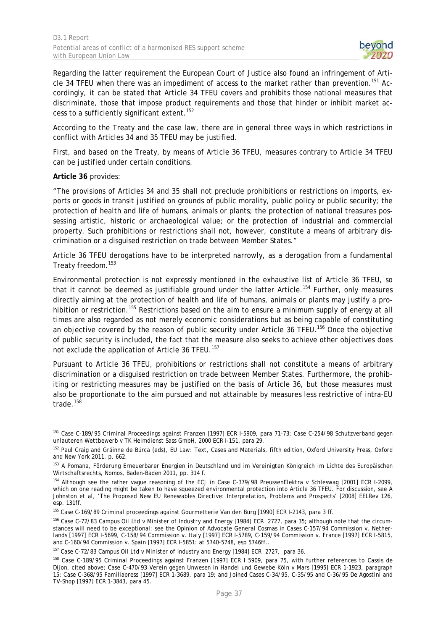

Regarding the latter requirement the European Court of Justice also found an infringement of Article 34 TFEU when there was an impediment of access to the market rather than prevention.<sup>151</sup> Accordingly, it can be stated that Article 34 TFEU covers and prohibits those national measures that discriminate, those that impose product requirements and those that hinder or inhibit market access to a sufficiently significant extent.<sup>152</sup>

According to the Treaty and the case law, there are in general three ways in which restrictions in conflict with Articles 34 and 35 TFEU may be justified.

First, and based on the Treaty, by means of Article 36 TFEU, measures contrary to Article 34 TFEU can be justified under certain conditions.

#### **Article 36** provides:

"The provisions of Articles 34 and 35 shall not preclude prohibitions or restrictions on imports, exports or goods in transit justified on grounds of public morality, public policy or public security; the protection of health and life of humans, animals or plants; the protection of national treasures possessing artistic, historic or archaeological value; or the protection of industrial and commercial property. Such prohibitions or restrictions shall not, however, constitute a means of arbitrary discrimination or a disguised restriction on trade between Member States."

Article 36 TFEU derogations have to be interpreted narrowly, as a derogation from a fundamental Treaty freedom.153

Environmental protection is not expressly mentioned in the exhaustive list of Article 36 TFEU, so that it cannot be deemed as justifiable ground under the latter Article.<sup>154</sup> Further, only measures directly aiming at the protection of health and life of humans, animals or plants may justify a prohibition or restriction.<sup>155</sup> Restrictions based on the aim to ensure a minimum supply of energy at all times are also regarded as not merely economic considerations but as being capable of constituting an objective covered by the reason of public security under Article 36 TFEU.<sup>156</sup> Once the objective of public security is included, the fact that the measure also seeks to achieve other objectives does not exclude the application of Article 36 TFEU.<sup>157</sup>

Pursuant to Article 36 TFEU, prohibitions or restrictions shall not constitute a means of arbitrary discrimination or a disguised restriction on trade between Member States. Furthermore, the prohibiting or restricting measures may be justified on the basis of Article 36, but those measures must also be proportionate to the aim pursued and not attainable by measures less restrictive of intra-EU trade.<sup>158</sup>

<sup>-</sup>151 Case C-189/95 *Criminal Proceedings against Franzen* [1997] ECR I-5909, para 71-73; Case C-254/98 S*chutzverband gegen unlauteren Wettbewerb v TK Heimdienst Sass GmbH*, 2000 ECR I-151, para 29.

<sup>152</sup> Paul Craig and Gráinne de Búrca (eds), *EU Law: Text, Cases and Materials*, fifth edition, Oxford University Press, Oxford and New York 2011, p. 662.

<sup>153</sup> A Pomana, *Förderung Erneuerbarer Energien in Deutschland und im Vereinigten Königreich im Lichte des Europäischen Wirtschaftsrechts*, Nomos, Baden-Baden 2011, pp. 314 f.

<sup>154</sup> Although see the rather vague reasoning of the ECJ in Case C-379/98 *PreussenElektra v Schleswag* [2001] ECR I-2099, which on one reading might be taken to have squeezed environmental protection into Article 36 TFEU. For discussion, see A Johnston *et al*, 'The Proposed New EU Renewables Directive: Interpretation, Problems and Prospects' [2008] EELRev 126, esp. 131ff.

<sup>155</sup> Case C-169/89 *Criminal proceedings against Gourmetterie Van den Burg* [1990] ECR I-2143, para 3 ff.

<sup>156</sup> Case C-72/83 *Campus Oil Ltd v Minister of Industry and Energy* [1984] ECR 2727*,* para 35; although note that the circumstances will need to be exceptional: see the Opinion of Advocate General Cosmas in Cases C-157/94 *Commission v. Netherlands* [1997] ECR I-5699, C-158/94 *Commission v. Italy* [1997] ECR I-5789, C-159/94 *Commission v. France* [1997] ECR I-5815, and C-160/94 *Commission v. Spain* [1997] ECR I-5851: at 5740-5748, esp 5746ff..

<sup>157</sup> Case C-72/83 *Campus Oil Ltd v Minister of Industry and Energy* [1984] ECR 2727*,* para 36.

<sup>158</sup> Case C-189/95 *Criminal Proceedings against Franzen* [1997] ECR I 5909, para 75, with further references to *Cassis de Dijon*, cited above; Case C-470/93 *Verein gegen Unwesen in Handel und Gewebe Köln v Mars* [1995] ECR 1-1923, paragraph 15; Case C-368/95 *Familiapress* [1997] ECR 1-3689, para 19; and Joined Cases C-34/95, C-35/95 and C-36/95 *De Agostini and TV-Shop* [1997] ECR 1-3843, para 45.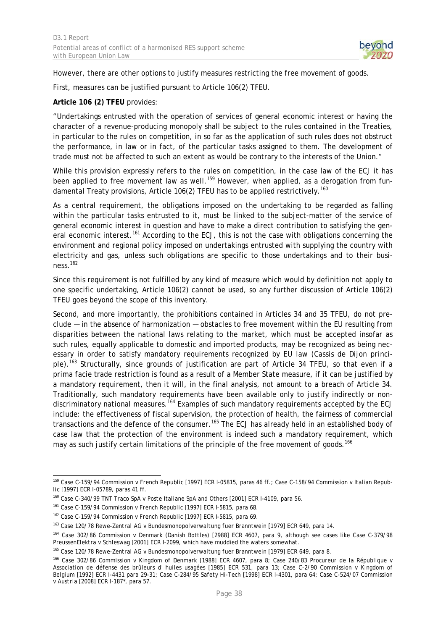

However, there are other options to justify measures restricting the free movement of goods.

First, measures can be justified pursuant to Article 106(2) TFEU.

#### **Article 106 (2) TFEU** provides:

"Undertakings entrusted with the operation of services of general economic interest or having the character of a revenue-producing monopoly shall be subject to the rules contained in the Treaties, in particular to the rules on competition, in so far as the application of such rules does not obstruct the performance, in law or in fact, of the particular tasks assigned to them. The development of trade must not be affected to such an extent as would be contrary to the interests of the Union."

While this provision expressly refers to the rules on competition, in the case law of the ECJ it has been applied to free movement law as well.<sup>159</sup> However, when applied, as a derogation from fundamental Treaty provisions, Article 106(2) TFEU has to be applied restrictively.<sup>160</sup>

As a central requirement, the obligations imposed on the undertaking to be regarded as falling within the particular tasks entrusted to it, must be linked to the subject-matter of the service of general economic interest in question and have to make a direct contribution to satisfying the general economic interest.<sup>161</sup> According to the ECJ, this is not the case with obligations concerning the environment and regional policy imposed on undertakings entrusted with supplying the country with electricity and gas, unless such obligations are specific to those undertakings and to their business.162

Since this requirement is not fulfilled by any kind of measure which would by definition not apply to one specific undertaking, Article 106(2) cannot be used, so any further discussion of Article 106(2) TFEU goes beyond the scope of this inventory.

Second, and more importantly, the prohibitions contained in Articles 34 and 35 TFEU, do not preclude — in the absence of harmonization — obstacles to free movement within the EU resulting from disparities between the national laws relating to the market, which must be accepted insofar as such rules, equally applicable to domestic and imported products, may be recognized as being necessary in order to satisfy mandatory requirements recognized by EU law (*Cassis de Dijon princi*ple).<sup>163</sup> Structurally, since grounds of justification are part of Article 34 TFEU, so that even if a *prima facie* trade restriction is found as a result of a Member State measure, if it can be justified by a mandatory requirement, then it will, in the final analysis, not amount to a breach of Article 34. Traditionally, such mandatory requirements have been available only to justify indirectly or nondiscriminatory national measures.<sup>164</sup> Examples of such mandatory requirements accepted by the ECJ include: the effectiveness of fiscal supervision, the protection of health, the fairness of commercial transactions and the defence of the consumer.<sup>165</sup> The ECJ has already held in an established body of case law that the protection of the environment is indeed such a mandatory requirement, which may as such justify certain limitations of the principle of the free movement of goods.<sup>166</sup>

1

<sup>159</sup> Case C-159/94 *Commission v French Republic* [1997] ECR I-05815, paras 46 ff.; Case C-158/94 *Commission v Italian Republic* [1997] ECR I-05789, paras 41 ff.

<sup>160</sup> Case C-340/99 *TNT Traco SpA v Poste Italiane SpA and Others* [2001] ECR I-4109, para 56.

<sup>161</sup> Case C-159/94 *Commission v French Republic* [1997] ECR I-5815, para 68.

<sup>162</sup> Case C-159/94 *Commission v French Republic* [1997] ECR I-5815, para 69.

<sup>163</sup> Case 120/78 *Rewe-Zentral AG v Bundesmonopolverwaltung fuer Branntwein* [1979] ECR 649, para 14.

<sup>164</sup> Case 302/86 *Commission v Denmark (Danish Bottles)* [2988] ECR 4607, para 9, although see cases like Case C-379/98 *PreussenElektra v Schleswag* [2001] ECR I-2099, which have muddied the waters somewhat.

<sup>165</sup> Case 120/78 *Rewe-Zentral AG v Bundesmonopolverwaltung fuer Branntwein* [1979] ECR 649, para 8.

<sup>166</sup> Case 302/86 *Commission v Kingdom of Denmark* [1988] ECR 4607, para 8; Case 240/83 *Procureur de la République v Association de défense des brûleurs d' huiles usagées* [1985] ECR 531, para 13; Case C-2/90 *Commission v Kingdom of Belgium* [1992] ECR I-4431 para 29-31; Case C-284/95 S*afety Hi-Tech* [1998] ECR I-4301, para 64; Case C-524/07 *Commission v Austria* [2008] ECR I-187\*, para 57.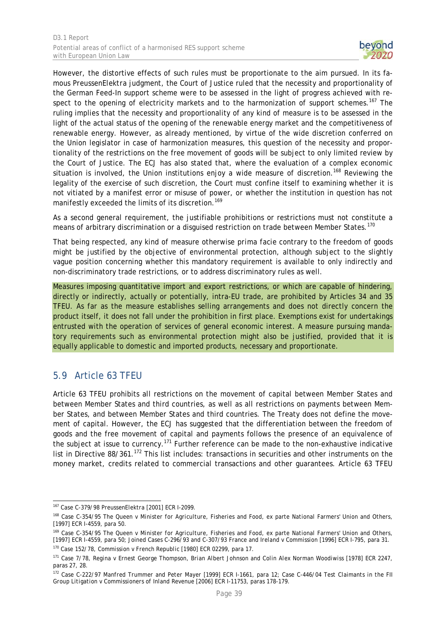However, the distortive effects of such rules must be proportionate to the aim pursued. In its famous *PreussenElektra* judgment*,* the Court of Justice ruled that the necessity and proportionality of the German Feed-In support scheme were to be assessed in the light of progress achieved with respect to the opening of electricity markets and to the harmonization of support schemes.<sup>167</sup> The ruling implies that the necessity and proportionality of any kind of measure is to be assessed in the light of the actual status of the opening of the renewable energy market and the competitiveness of renewable energy. However, as already mentioned, by virtue of the wide discretion conferred on the Union legislator in case of harmonization measures, this question of the necessity and proportionality of the restrictions on the free movement of goods will be subject to only limited review by the Court of Justice. The ECJ has also stated that, where the evaluation of a complex economic situation is involved, the Union institutions enjoy a wide measure of discretion.<sup>168</sup> Reviewing the legality of the exercise of such discretion, the Court must confine itself to examining whether it is not vitiated by a manifest error or misuse of power, or whether the institution in question has not manifestly exceeded the limits of its discretion.<sup>169</sup>

As a second general requirement, the justifiable prohibitions or restrictions must not constitute a means of arbitrary discrimination or a disquised restriction on trade between Member States.<sup>170</sup>

That being respected, any kind of measure otherwise *prima facie* contrary to the freedom of goods might be justified by the objective of environmental protection, although subject to the slightly vague position concerning whether this mandatory requirement is available to only indirectly and non-discriminatory trade restrictions, or to address discriminatory rules as well.

Measures imposing quantitative import and export restrictions, or which are capable of hindering, directly or indirectly, actually or potentially, intra-EU trade, are prohibited by Articles 34 and 35 TFEU. As far as the measure establishes selling arrangements and does not directly concern the product itself, it does not fall under the prohibition in first place. Exemptions exist for undertakings entrusted with the operation of services of general economic interest. A measure pursuing mandatory requirements such as environmental protection might also be justified, provided that it is equally applicable to domestic and imported products, necessary and proportionate.

### 5.9 Article 63 TFEU

Article 63 TFEU prohibits all restrictions on the movement of capital between Member States and between Member States and third countries, as well as all restrictions on payments between Member States, and between Member States and third countries. The Treaty does not define the movement of capital. However, the ECJ has suggested that the differentiation between the freedom of goods and the free movement of capital and payments follows the presence of an equivalence of the subject at issue to currency.<sup>171</sup> Further reference can be made to the non-exhaustive indicative list in Directive 88/361.<sup>172</sup> This list includes: transactions in securities and other instruments on the money market, credits related to commercial transactions and other guarantees. Article 63 TFEU

<sup>1</sup> 167 Case C-379/98 *PreussenElektra* [2001] ECR I-2099.

<sup>&</sup>lt;sup>168</sup> Case C-354/95 *The Queen v Minister for Agriculture, Fisheries and Food, ex parte National Farmers' Union and Others,* [1997] ECR I-4559, para 50.

<sup>&</sup>lt;sup>169</sup> Case C-354/95 *The Queen v Minister for Agriculture, Fisheries and Food, ex parte National Farmers' Union and Others,* [1997] ECR I-4559, para 50; Joined Cases C-296/93 and C-307/93 *France and Ireland v Commission* [1996] ECR I-795, para 31.

<sup>170</sup> Case 152/78, *Commission v French Republic* [1980] ECR 02299, para 17.

<sup>171</sup> Case 7/78, *Regina v Ernest George Thompson, Brian Albert Johnson and Colin Alex Norman Woodiwiss* [1978] ECR 2247, paras 27, 28.

<sup>172</sup> Case C-222/97 *Manfred Trummer and Peter Mayer* [1999] ECR I-1661, para 12; Case C-446/04 *Test Claimants in the FII Group Litigation v Commissioners of Inland Revenue* [2006] ECR I-11753, paras 178-179.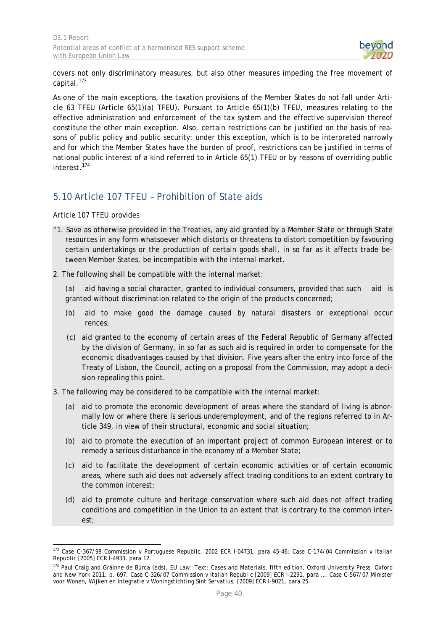covers not only discriminatory measures, but also other measures impeding the free movement of capital.173

As one of the main exceptions, the taxation provisions of the Member States do not fall under Article 63 TFEU (Article 65(1)(a) TFEU). Pursuant to Article 65(1)(b) TFEU, measures relating to the effective administration and enforcement of the tax system and the effective supervision thereof constitute the other main exception. Also, certain restrictions can be justified on the basis of reasons of public policy and public security: under this exception, which is to be interpreted narrowly and for which the Member States have the burden of proof, restrictions can be justified in terms of national public interest of a kind referred to in Article 65(1) TFEU or by reasons of overriding public interest.174

#### 5.10 Article 107 TFEU – Prohibition of State aids

#### Article 107 TFEU provides

1

- "1. Save as otherwise provided in the Treaties, any aid granted by a Member State or through State resources in any form whatsoever which distorts or threatens to distort competition by favouring certain undertakings or the production of certain goods shall, in so far as it affects trade between Member States, be incompatible with the internal market.
- 2. The following shall be compatible with the internal market:
	- (a) aid having a social character, granted to individual consumers, provided that such aid is granted without discrimination related to the origin of the products concerned;
	- (b) aid to make good the damage caused by natural disasters or exceptional occur rences;
	- (c) aid granted to the economy of certain areas of the Federal Republic of Germany affected by the division of Germany, in so far as such aid is required in order to compensate for the economic disadvantages caused by that division. Five years after the entry into force of the Treaty of Lisbon, the Council, acting on a proposal from the Commission, may adopt a decision repealing this point.
- 3. The following may be considered to be compatible with the internal market:
	- (a) aid to promote the economic development of areas where the standard of living is abnormally low or where there is serious underemployment, and of the regions referred to in Article 349, in view of their structural, economic and social situation;
	- (b) aid to promote the execution of an important project of common European interest or to remedy a serious disturbance in the economy of a Member State;
	- (c) aid to facilitate the development of certain economic activities or of certain economic areas, where such aid does not adversely affect trading conditions to an extent contrary to the common interest;
	- (d) aid to promote culture and heritage conservation where such aid does not affect trading conditions and competition in the Union to an extent that is contrary to the common interest;

<sup>173</sup> Case C-367/98 *Commission v Portuguese Republic*, 2002 ECR I-04731, para 45-46; Case C-174/04 *Commission v Italian Republic* [2005] ECR I-4933, para 12.

<sup>174</sup> Paul Craig and Gráinne de Búrca (eds), *EU Law: Text: Cases and Materials*, fifth edition, Oxford University Press, Oxford and New York 2011, p. 697. Case C-326/07 *Commission v Italian Republic* [2009] ECR I-2291, para …; Case C-567/07 *Minister voor Wonen, Wijken en Integratie v Woningstichting Sint Servatius*, [2009] ECR I-9021, para 25.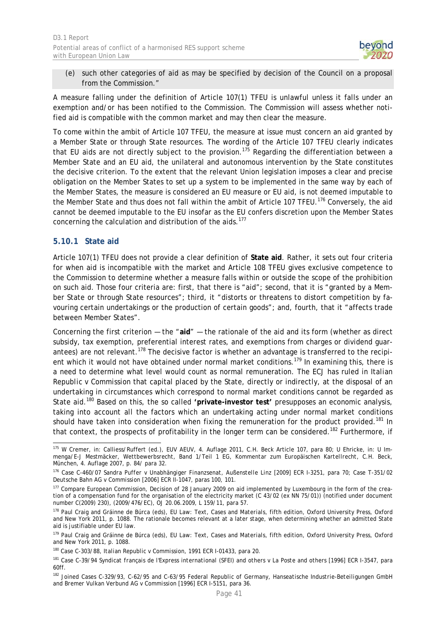

 (e) such other categories of aid as may be specified by decision of the Council on a proposal from the Commission."

A measure falling under the definition of Article 107(1) TFEU is unlawful unless it falls under an exemption and/or has been notified to the Commission. The Commission will assess whether notified aid is compatible with the common market and may then clear the measure.

To come within the ambit of Article 107 TFEU, the measure at issue must concern an aid granted by a Member State or through State resources. The wording of the Article 107 TFEU clearly indicates that EU aids are not directly subject to the provision.<sup>175</sup> Regarding the differentiation between a Member State and an EU aid, the unilateral and autonomous intervention by the State constitutes the decisive criterion. To the extent that the relevant Union legislation imposes a clear and precise obligation on the Member States to set up a system to be implemented in the same way by each of the Member States, the measure is considered an EU measure or EU aid, is not deemed imputable to the Member State and thus does not fall within the ambit of Article 107 TFEU.<sup>176</sup> Conversely, the aid cannot be deemed imputable to the EU insofar as the EU confers discretion upon the Member States concerning the calculation and distribution of the aids.<sup>177</sup>

#### **5.10.1 State aid**

Article 107(1) TFEU does not provide a clear definition of **State aid**. Rather, it sets out four criteria for when aid is incompatible with the market and Article 108 TFEU gives exclusive competence to the Commission to determine whether a measure falls within or outside the scope of the prohibition on such aid. Those four criteria are: first, that there is "aid"; second, that it is "granted by a Member State or through State resources"; third, it "distorts or threatens to distort competition by favouring certain undertakings or the production of certain goods"; and, fourth, that it "affects trade between Member States".

Concerning the first criterion — the "**aid**" — the rationale of the aid and its form (whether as direct subsidy, tax exemption, preferential interest rates, and exemptions from charges or dividend guarantees) are not relevant.<sup>178</sup> The decisive factor is whether an advantage is transferred to the recipient which it would not have obtained under normal market conditions.<sup>179</sup> In examining this, there is a need to determine what level would count as normal remuneration. The ECJ has ruled in *Italian Republic v Commission* that capital placed by the State, directly or indirectly, at the disposal of an undertaking in circumstances which correspond to normal market conditions cannot be regarded as State aid.180 Based on this, the so called **'private-investor test'** presupposes an economic analysis, taking into account all the factors which an undertaking acting under normal market conditions should have taken into consideration when fixing the remuneration for the product provided.<sup>181</sup> In that context, the prospects of profitability in the longer term can be considered.<sup>182</sup> Furthermore, if

<sup>-</sup>175 W Cremer, in: Calliess/Ruffert (ed.), *EUV AEUV*, 4. Auflage 2011, C.H. Beck Article 107, para 80; U Ehricke, in: U Immenga/E-J Mestmäcker, *Wettbewerbsrecht, Band 1/Teil 1 EG, Kommentar zum Europäischen Kartellrecht*, C.H. Beck, München, 4. Auflage 2007, p. 84/ para 32.

<sup>176</sup> Case C-460/07 *Sandra Puffer v Unabhängiger Finanzsenat, Außenstelle Linz* [2009] ECR I-3251, para 70; Case T-351/02 *Deutsche Bahn AG v Commission* [2006] ECR II-1047, paras 100, 101.

<sup>&</sup>lt;sup>177</sup> Compare European Commission, Decision of 28 January 2009 on aid implemented by Luxembourg in the form of the creation of a compensation fund for the organisation of the electricity market (C 43/02 (ex NN 75/01)) (notified under document number C(2009) 230), (2009/476/EC), OJ 20.06.2009, L 159/11, para 57.

<sup>178</sup> Paul Craig and Gráinne de Búrca (eds), *EU Law: Text, Cases and Materials*, fifth edition, Oxford University Press, Oxford and New York 2011, p. 1088. The rationale becomes relevant at a later stage, when determining whether an admitted State aid is justifiable under EU law.

<sup>179</sup> Paul Craig and Gráinne de Búrca (eds), *EU Law: Text, Cases and Materials*, fifth edition, Oxford University Press, Oxford and New York 2011, p. 1088.

<sup>180</sup> Case C-303/88, *Italian Republic v Commission*, 1991 ECR I-01433, para 20.

<sup>181</sup> Case C-39/94 *Syndicat français de l'Express international (SFEI) and others v La Poste and others* [1996] ECR I-3547, para 60ff.

<sup>182</sup> Joined Cases C-329/93, C-62/95 and C-63/95 *Federal Republic of Germany, Hanseatische Industrie-Beteiligungen GmbH and Bremer Vulkan Verbund AG v Commission* [1996] ECR I-5151, para 36.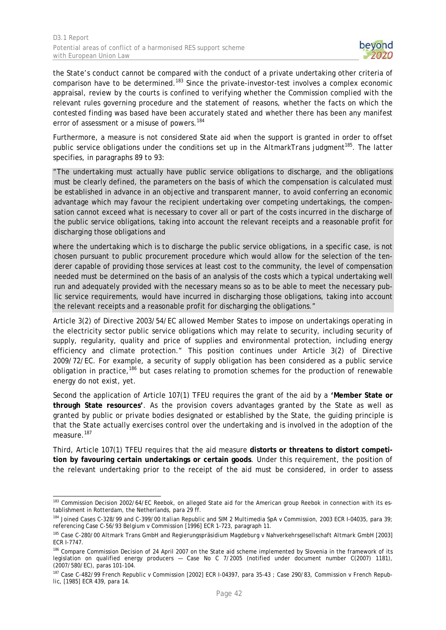

the State's conduct cannot be compared with the conduct of a private undertaking other criteria of comparison have to be determined.<sup>183</sup> Since the private-investor-test involves a complex economic appraisal, review by the courts is confined to verifying whether the Commission complied with the relevant rules governing procedure and the statement of reasons, whether the facts on which the contested finding was based have been accurately stated and whether there has been any manifest error of assessment or a misuse of powers.<sup>184</sup>

Furthermore, a measure is not considered State aid when the support is granted in order to offset public service obligations under the conditions set up in the *AltmarkTrans* judgment<sup>185</sup>. The latter specifies, in paragraphs 89 to 93:

"The undertaking must actually have public service obligations to discharge, and the obligations must be clearly defined, the parameters on the basis of which the compensation is calculated must be established in advance in an objective and transparent manner, to avoid conferring an economic advantage which may favour the recipient undertaking over competing undertakings, the compensation cannot exceed what is necessary to cover all or part of the costs incurred in the discharge of the public service obligations, taking into account the relevant receipts and a reasonable profit for discharging those obligations and

where the undertaking which is to discharge the public service obligations, in a specific case, is not chosen pursuant to public procurement procedure which would allow for the selection of the tenderer capable of providing those services at least cost to the community, the level of compensation needed must be determined on the basis of an analysis of the costs which a typical undertaking well run and adequately provided with the necessary means so as to be able to meet the necessary public service requirements, would have incurred in discharging those obligations, taking into account the relevant receipts and a reasonable profit for discharging the obligations."

Article 3(2) of Directive 2003/54/EC allowed Member States to impose on undertakings operating in the electricity sector public service obligations which may relate to security, including security of supply, regularity, quality and price of supplies and environmental protection, including energy efficiency and climate protection." This position continues under Article 3(2) of Directive 2009/72/EC. For example, a security of supply obligation has been considered as a public service obligation in practice,<sup>186</sup> but cases relating to promotion schemes for the production of renewable energy do not exist, yet.

Second the application of Article 107(1) TFEU requires the grant of the aid by a **'Member State or through State resources'**. As the provision covers advantages granted by the State as well as granted by public or private bodies designated or established by the State, the guiding principle is that the State actually exercises control over the undertaking and is involved in the adoption of the measure.<sup>187</sup>

Third, Article 107(1) TFEU requires that the aid measure **distorts or threatens to distort competition by favouring certain undertakings or certain goods**. Under this requirement, the position of the relevant undertaking prior to the receipt of the aid must be considered, in order to assess

<sup>-</sup>183 Commission Decision 2002/64/EC *Reebok*, on alleged State aid for the American group Reebok in connection with its establishment in Rotterdam, the Netherlands, para 29 ff.

<sup>184</sup> Joined Cases C-328/99 and C-399/*00 Italian Republic and SIM 2 Multimedia SpA v Commission*, 2003 ECR I-04035, para 39; referencing Case C-56/93 *Belgium v Commission* [1996] ECR 1-723, paragraph 11.

<sup>185</sup> Case C-280/00 *Altmark Trans GmbH and Regierungspräsidium Magdeburg v Nahverkehrsgesellschaft Altmark GmbH* [2003] ECR I-7747.

<sup>186</sup> Compare Commission Decision of 24 April 2007 on the State aid scheme implemented by Slovenia in the framework of its legislation on qualified energy producers — Case No C 7/2005 (notified under document number C(2007) 1181), (2007/580/EC), paras 101-104.

<sup>187</sup> Case C-482/99 *French Republic v Commission* [2002] ECR I-04397, para 35-43 ; Case 290/83, *Commission v French Republic*, [1985] ECR 439, para 14.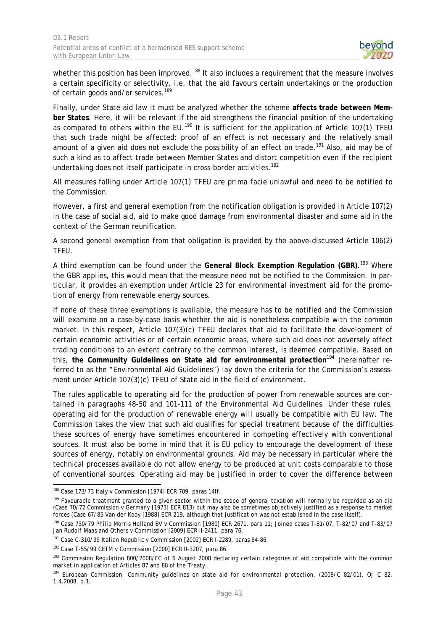whether this position has been improved.<sup>188</sup> It also includes a requirement that the measure involves a certain specificity or selectivity, i.e. that the aid favours certain undertakings or the production of certain goods and/or services.<sup>189</sup>

Finally, under State aid law it must be analyzed whether the scheme **affects trade between Member States**. Here, it will be relevant if the aid strengthens the financial position of the undertaking as compared to others within the EU.<sup>190</sup> It is sufficient for the application of Article 107(1) TFEU that such trade might be affected: proof of an effect is not necessary and the relatively small amount of a given aid does not exclude the possibility of an effect on trade.<sup>191</sup> Also, aid may be of such a kind as to affect trade between Member States and distort competition even if the recipient undertaking does not itself participate in cross-border activities.<sup>192</sup>

All measures falling under Article 107(1) TFEU are *prima facie* unlawful and need to be notified to the Commission.

However, a first and general exemption from the notification obligation is provided in Article 107(2) in the case of social aid, aid to make good damage from environmental disaster and some aid in the context of the German reunification.

A second general exemption from that obligation is provided by the above-discussed Article 106(2) TFEU.

A third exemption can be found under the **General Block Exemption Regulation (GBR)**. 193 Where the GBR applies, this would mean that the measure need not be notified to the Commission. In particular, it provides an exemption under Article 23 for environmental investment aid for the promotion of energy from renewable energy sources.

If none of these three exemptions is available, the measure has to be notified and the Commission will examine on a case-by-case basis whether the aid is nonetheless compatible with the common market. In this respect, Article 107(3)(c) TFEU declares that aid to facilitate the development of certain economic activities or of certain economic areas, where such aid does not adversely affect trading conditions to an extent contrary to the common interest, is deemed compatible. Based on this, **the Community Guidelines on State aid for environmental protection**194 (hereinafter referred to as the "Environmental Aid Guidelines") lay down the criteria for the Commission's assessment under Article 107(3)(c) TFEU of State aid in the field of environment.

The rules applicable to operating aid for the production of power from renewable sources are contained in paragraphs 48-50 and 101-111 of the Environmental Aid Guidelines. Under these rules, operating aid for the production of renewable energy will usually be compatible with EU law. The Commission takes the view that such aid qualifies for special treatment because of the difficulties these sources of energy have sometimes encountered in competing effectively with conventional sources. It must also be borne in mind that it is EU policy to encourage the development of these sources of energy, notably on environmental grounds. Aid may be necessary in particular where the technical processes available do not allow energy to be produced at unit costs comparable to those of conventional sources. Operating aid may be justified in order to cover the difference between

1

<sup>188</sup> Case 173/73 *Italy v Commission* [1974] ECR 709, paras 14ff.

<sup>189</sup> Favourable treatment granted to a given sector within the scope of general taxation will normally be regarded as an aid (Case 70/72 *Commission v Germany* [1973] ECR 813) but may also be sometimes objectively justified as a response to market forces (Case 67/85 *Van der Kooy* [1988] ECR 219, although that justification was not established in the case itself).

<sup>190</sup> Case 730/79 *Philip Morris Holland BV v Commission* [1980] ECR 2671, para 11; Joined cases T-81/07, T-82/07 and T-83/07 *Jan Rudolf Maas and Others v Commission* [2009] ECR II-2411, para 76.

<sup>191</sup> Case C-310/99 *Italian Republic v Commission* [2002] ECR I-2289, paras 84-86.

<sup>192</sup> Case T-55/99 *CETM v Commission* [2000] ECR II-3207, para 86.

<sup>193</sup> Commission Regulation 800/2008/EC of 6 August 2008 declaring certain categories of aid compatible with the common market in application of Articles 87 and 88 of the Treaty.

<sup>194</sup> European Commission, *Community guidelines on state aid for environmental protection*, (2008/C 82/01), OJ C 82, 1.4.2008, p.1.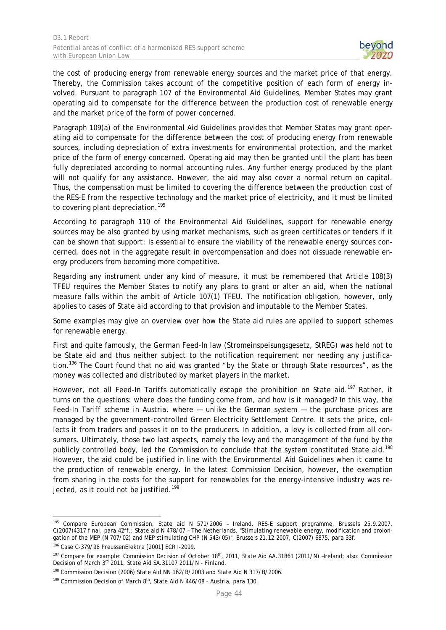

the cost of producing energy from renewable energy sources and the market price of that energy. Thereby, the Commission takes account of the competitive position of each form of energy involved. Pursuant to paragraph 107 of the Environmental Aid Guidelines, Member States may grant operating aid to compensate for the difference between the production cost of renewable energy and the market price of the form of power concerned.

Paragraph 109(a) of the Environmental Aid Guidelines provides that Member States may grant operating aid to compensate for the difference between the cost of producing energy from renewable sources, including depreciation of extra investments for environmental protection, and the market price of the form of energy concerned. Operating aid may then be granted until the plant has been fully depreciated according to normal accounting rules. Any further energy produced by the plant will not qualify for any assistance. However, the aid may also cover a normal return on capital. Thus, the compensation must be limited to covering the difference between the production cost of the RES-E from the respective technology and the market price of electricity, and it must be limited to covering plant depreciation.<sup>195</sup>

According to paragraph 110 of the Environmental Aid Guidelines, support for renewable energy sources may be also granted by using market mechanisms, such as green certificates or tenders if it can be shown that support: is essential to ensure the viability of the renewable energy sources concerned, does not in the aggregate result in overcompensation and does not dissuade renewable energy producers from becoming more competitive.

Regarding any instrument under any kind of measure, it must be remembered that Article 108(3) TFEU requires the Member States to notify any plans to grant or alter an aid, when the national measure falls within the ambit of Article 107(1) TFEU. The notification obligation, however, only applies to cases of State aid according to that provision and imputable to the Member States.

Some examples may give an overview over how the State aid rules are applied to support schemes for renewable energy.

First and quite famously, the German Feed-In law (Stromeinspeisungsgesetz, StREG) was held not to be State aid and thus neither subject to the notification requirement nor needing any justification.<sup>196</sup> The Court found that no aid was granted "by the State or through State resources", as the money was collected and distributed by market players in the market.

However, not all Feed-In Tariffs automatically escape the prohibition on State aid.<sup>197</sup> Rather, it turns on the questions: where does the funding come from, and how is it managed? In this way, the Feed-In Tariff scheme in Austria, where  $-$  unlike the German system  $-$  the purchase prices are managed by the government-controlled Green Electricity Settlement Centre. It sets the price, collects it from traders and passes it on to the producers. In addition, a levy is collected from all consumers. Ultimately, those two last aspects, namely the levy and the management of the fund by the publicly controlled body, led the Commission to conclude that the system constituted State aid.<sup>198</sup> However, the aid could be justified in line with the Environmental Aid Guidelines when it came to the production of renewable energy. In the latest Commission Decision, however, the exemption from sharing in the costs for the support for renewables for the energy-intensive industry was rejected, as it could not be justified.<sup>199</sup>

1

<sup>195</sup> Compare European Commission, State aid N 571/2006 - Ireland. RES-E support programme, Brussels 25.9.2007, C(2007)4317 final, para 42ff.; State aid N 478/07 – The Netherlands, "Stimulating renewable energy, modification and prolongation of the MEP (N 707/02) and MEP stimulating CHP (N 543/05)", Brussels 21.12.2007, C(2007) 6875, para 33f.

<sup>196</sup> Case C-379/98 *PreussenElektra* [2001] ECR I-2099.

<sup>&</sup>lt;sup>197</sup> Compare for example: Commission Decision of October 18<sup>th</sup>, 2011, State Aid AA.31861 (2011/N) -Ireland; also: Commission Decision of March 3rd 2011, State Aid SA.31107 2011/N - Finland.

<sup>&</sup>lt;sup>198</sup> Commission Decision (2006) State Aid NN 162/B/2003 and State Aid N 317/B/2006.

 $199$  Commission Decision of March  $8<sup>th</sup>$ , State Aid N 446/08 - Austria, para 130.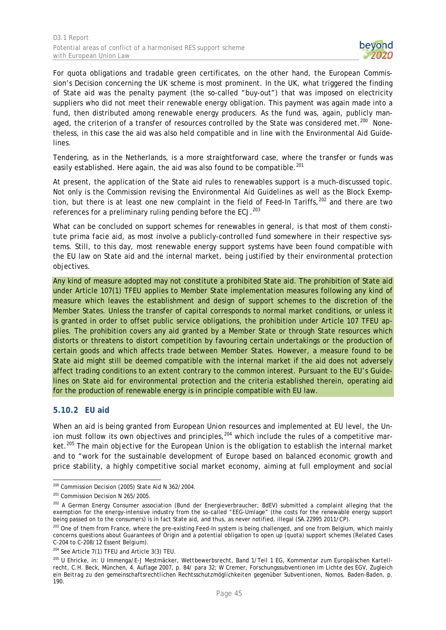For quota obligations and tradable green certificates, on the other hand, the European Commission's Decision concerning the UK scheme is most prominent. In the UK, what triggered the finding of State aid was the penalty payment (the so-called "buy-out") that was imposed on electricity suppliers who did not meet their renewable energy obligation. This payment was again made into a fund, then distributed among renewable energy producers. As the fund was, again, publicly managed, the criterion of a transfer of resources controlled by the State was considered met.<sup>200</sup> Nonetheless, in this case the aid was also held compatible and in line with the Environmental Aid Guidelines.

Tendering, as in the Netherlands, is a more straightforward case, where the transfer or funds was easily established. Here again, the aid was also found to be compatible.<sup>201</sup>

At present, the application of the State aid rules to renewables support is a much-discussed topic. Not only is the Commission revising the Environmental Aid Guidelines as well as the Block Exemption, but there is at least one new complaint in the field of Feed-In Tariffs,<sup>202</sup> and there are two references for a preliminary ruling pending before the ECJ.<sup>203</sup>

What can be concluded on support schemes for renewables in general, is that most of them constitute *prima facie* aid, as most involve a publicly-controlled fund somewhere in their respective systems. Still, to this day, most renewable energy support systems have been found compatible with the EU law on State aid and the internal market, being justified by their environmental protection objectives.

Any kind of measure adopted may not constitute a prohibited State aid. The prohibition of State aid under Article 107(1) TFEU applies to Member State implementation measures following any kind of measure which leaves the establishment and design of support schemes to the discretion of the Member States. Unless the transfer of capital corresponds to normal market conditions, or unless it is granted in order to offset public service obligations, the prohibition under Article 107 TFEU applies. The prohibition covers any aid granted by a Member State or through State resources which distorts or threatens to distort competition by favouring certain undertakings or the production of certain goods and which affects trade between Member States. However, a measure found to be State aid might still be deemed compatible with the internal market if the aid does not adversely affect trading conditions to an extent contrary to the common interest. Pursuant to the EU's Guidelines on State aid for environmental protection and the criteria established therein, operating aid for the production of renewable energy is in principle compatible with EU law.

#### **5.10.2 EU aid**

When an aid is being granted from European Union resources and implemented at EU level, the Union must follow its own objectives and principles,  $204$  which include the rules of a competitive market.<sup>205</sup> The main objective for the European Union is the obligation to establish the internal market and to "work for the sustainable development of Europe based on balanced economic growth and price stability, a highly competitive social market economy, aiming at full employment and social

<sup>1</sup> <sup>200</sup> Commission Decision (2005) State Aid N 362/2004.

<sup>&</sup>lt;sup>201</sup> Commission Decision N 265/2005.

<sup>&</sup>lt;sup>202</sup> A German Energy Consumer association (Bund der Energieverbraucher; BdEV) submitted a complaint alleging that the exemption for the energy-intensive industry from the so-called "EEG-Umlage" (the costs for the renewable energy support being passed on to the consumers) is in fact State aid, and thus, as never notified, illegal (SA.22995 2011/CP).

<sup>&</sup>lt;sup>203</sup> One of them from France, where the pre-existing Feed-In system is being challenged, and one from Belgium, which mainly concerns questions about Guarantees of Origin and a potential obligation to open up (quota) support schemes (Related Cases C-204 to C-208/12 *Essent Belgium*).

<sup>&</sup>lt;sup>204</sup> See Article 7(1) TFEU and Article 3(3) TEU.

<sup>205</sup> U Ehricke, in: U Immenga/E-J Mestmäcker, *Wettbewerbsrecht, Band 1/Teil 1 EG, Kommentar zum Europäischen Kartellrecht*, C.H. Beck, München, 4. Auflage 2007, p. 84/ para 32; W Cremer, *Forschungssubventionen im Lichte des EGV, Zugleich ein Beitrag zu den gemeinschaftsrechtlichen Rechtsschutzmöglichkeiten gegenüber Subventionen*, Nomos, Baden-Baden, p. 190.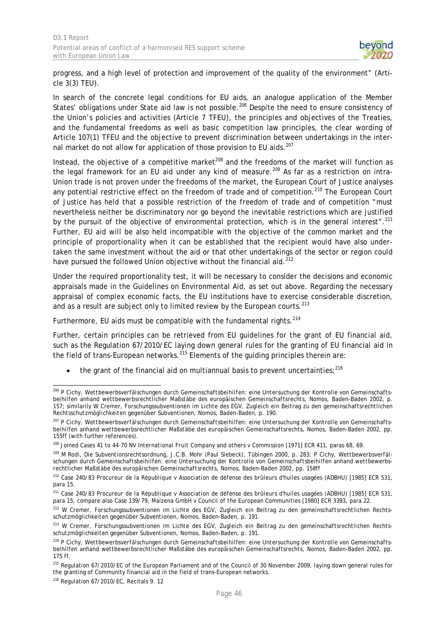progress, and a high level of protection and improvement of the quality of the environment" (Article 3(3) TEU).

In search of the concrete legal conditions for EU aids, an analogue application of the Member States' obligations under State aid law is not possible.<sup>206</sup> Despite the need to ensure consistency of the Union's policies and activities (Article 7 TFEU), the principles and objectives of the Treaties, and the fundamental freedoms as well as basic competition law principles, the clear wording of Article 107(1) TFEU and the objective to prevent discrimination between undertakings in the internal market do not allow for application of those provision to EU aids.<sup>207</sup>

Instead, the objective of a competitive market<sup>208</sup> and the freedoms of the market will function as the legal framework for an EU aid under any kind of measure.<sup>209</sup> As far as a restriction on intra-Union trade is not proven under the freedoms of the market, the European Court of Justice analyses any potential restrictive effect on the freedom of trade and of competition.<sup>210</sup> The European Court of Justice has held that a possible restriction of the freedom of trade and of competition "must nevertheless neither be discriminatory nor go beyond the inevitable restrictions which are justified by the pursuit of the objective of environmental protection, which is in the general interest".<sup>211</sup> Further, EU aid will be also held incompatible with the objective of the common market and the principle of proportionality when it can be established that the recipient would have also undertaken the same investment without the aid or that other undertakings of the sector or region could have pursued the followed Union objective without the financial aid.<sup>212</sup>

Under the required proportionality test, it will be necessary to consider the decisions and economic appraisals made in the Guidelines on Environmental Aid, as set out above. Regarding the necessary appraisal of complex economic facts, the EU institutions have to exercise considerable discretion, and as a result are subject only to limited review by the European courts.<sup>213</sup>

Furthermore, EU aids must be compatible with the fundamental rights.<sup>214</sup>

Further, certain principles can be retrieved from EU guidelines for the grant of EU financial aid, such as the Regulation 67/2010/EC laying down general rules for the granting of EU financial aid in the field of trans-European networks.<sup>215</sup> Elements of the guiding principles therein are:

the grant of the financial aid on multiannual basis to prevent uncertainties; $^{216}$ 

<sup>1</sup> 206 P Cichy, *Wettbewerbsverfälschungen durch Gemeinschaftsbeihilfen: eine Untersuchung der Kontrolle von Gemeinschaftsbeihilfen anhand wettbewerbsrechtlicher Maßstäbe des europäischen Gemeinschaftsrechts*, Nomos, Baden-Baden 2002, p. 157; similarily W Cremer, *Forschungssubventionen im Lichte des EGV, Zugleich ein Beitrag zu den gemeinschaftsrechtlichen Rechtsschutzmöglichkeiten gegenüber Subventionen*, Nomos, Baden-Baden, p. 190.

<sup>207</sup> P Cichy, *Wettbewerbsverfälschungen durch Gemeinschaftsbeihilfen: eine Untersuchung der Kontrolle von Gemeinschaftsbeihilfen anhand wettbewerbsrechtlicher Maßstäbe des europäischen Gemeinschaftsrechts*, Nomos, Baden-Baden 2002, pp. 155ff (with further references).

<sup>208</sup> Joined Cases 41 to 44-70 *NV International Fruit Company and others v Commission* [1971] ECR 411, paras 68, 69.

<sup>209</sup> M Rodi, *Die Subventionsrechtsordnung*, J.C.B. Mohr (Paul Siebeck), Tübingen 2000, p. 283; P Cichy, *Wettbewerbsverfälschungen durch Gemeinschaftsbeihilfen: eine Untersuchung der Kontrolle von Gemeinschaftsbeihilfen anhand wettbewerbsrechtlicher Maßstäbe des europäischen Gemeinschaftsrechts*, Nomos, Baden-Baden 2002, pp. 158ff

<sup>210</sup> Case 240/83 *Procureur de la République v Association de défense des brûleurs d'huiles usagées (ADBHU*) [1985] ECR 531, para 15.

<sup>211</sup> Case 240/83 *Procureur de la République v Association de défense des brûleurs d'huiles usagées* (ADBHU) [1985] ECR 531, para 15; compare also Case 139/79, *Maizena GmbH v Council of the European Communities* [1980] ECR 3393, para 22.

<sup>212</sup> W Cremer, *Forschungssubventionen im Lichte des EGV, Zugleich ein Beitrag zu den gemeinschaftsrechtlichen Rechtsschutzmöglichkeiten gegenüber Subventionen*, Nomos, Baden-Baden, p. 191.

<sup>213</sup> W Cremer, *Forschungssubventionen im Lichte des EGV, Zugleich ein Beitrag zu den gemeinschaftsrechtlichen Rechtsschutzmöglichkeiten gegenüber Subventionen*, Nomos, Baden-Baden, p. 191.

<sup>214</sup> P Cichy, *Wettbewerbsverfälschungen durch Gemeinschaftsbeihilfen: eine Untersuchung der Kontrolle von Gemeinschaftsbeihilfen anhand wettbewerbsrechtlicher Maßstäbe des europäischen Gemeinschaftsrechts*, Nomos, Baden-Baden 2002, pp. 175 ff.

<sup>&</sup>lt;sup>215</sup> Regulation 67/2010/EC of the European Parliament and of the Council of 30 November 2009, laying down general rules for the granting of Community financial aid in the field of trans-European networks.

 $216$  Regulation 67/2010/EC, Recitals 9. 12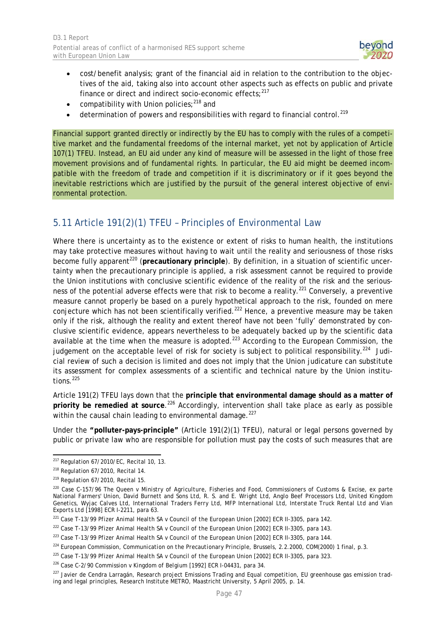

- cost/benefit analysis; grant of the financial aid in relation to the contribution to the objectives of the aid, taking also into account other aspects such as effects on public and private finance or direct and indirect socio-economic effects;<sup>217</sup>
- compatibility with Union policies: $218$  and
- determination of powers and responsibilities with regard to financial control.<sup>219</sup>

Financial support granted directly or indirectly by the EU has to comply with the rules of a competitive market and the fundamental freedoms of the internal market, yet not by application of Article 107(1) TFEU. Instead, an EU aid under any kind of measure will be assessed in the light of those free movement provisions and of fundamental rights. In particular, the EU aid might be deemed incompatible with the freedom of trade and competition if it is discriminatory or if it goes beyond the inevitable restrictions which are justified by the pursuit of the general interest objective of environmental protection.

### 5.11 Article 191(2)(1) TFEU – Principles of Environmental Law

Where there is uncertainty as to the existence or extent of risks to human health, the institutions may take protective measures without having to wait until the reality and seriousness of those risks become fully apparent<sup>220</sup> (precautionary principle). By definition, in a situation of scientific uncertainty when the precautionary principle is applied, a risk assessment cannot be required to provide the Union institutions with conclusive scientific evidence of the reality of the risk and the seriousness of the potential adverse effects were that risk to become a reality.<sup>221</sup> Conversely, a preventive measure cannot properly be based on a purely hypothetical approach to the risk, founded on mere conjecture which has not been scientifically verified.<sup>222</sup> Hence, a preventive measure may be taken only if the risk, although the reality and extent thereof have not been 'fully' demonstrated by conclusive scientific evidence, appears nevertheless to be adequately backed up by the scientific data available at the time when the measure is adopted.<sup>223</sup> According to the European Commission, the judgement on the acceptable level of risk for society is subject to political responsibility.<sup>224</sup> Judicial review of such a decision is limited and does not imply that the Union judicature can substitute its assessment for complex assessments of a scientific and technical nature by the Union institutions $225$ 

Article 191(2) TFEU lays down that the **principle that environmental damage should as a matter of priority be remedied at source**. 226 Accordingly, intervention shall take place as early as possible within the causal chain leading to environmental damage.<sup>227</sup>

Under the **"polluter-pays-principle"** (Article 191(2)(1) TFEU), natural or legal persons governed by public or private law who are responsible for pollution must pay the costs of such measures that are

<sup>-</sup> $2^{17}$  Regulation 67/2010/EC, Recital 10, 13.

<sup>&</sup>lt;sup>218</sup> Regulation 67/2010, Recital 14.

<sup>219</sup> Regulation 67/2010, Recital 15.

<sup>220</sup> Case C-157/96 *The Queen v Ministry of Agriculture, Fisheries and Food, Commissioners of Customs & Excise,* ex parte *National Farmers' Union, David Burnett and Sons Ltd, R. S. and E. Wright Ltd, Anglo Beef Processors Ltd, United Kingdom Genetics, Wyjac Calves Ltd, International Traders Ferry Ltd, MFP International Ltd, Interstate Truck Rental Ltd and Vian Exports Ltd* [1998] ECR I-2211, para 63.

<sup>221</sup> Case T-13/99 *Pfizer Animal Health SA v Council of the European Union* [2002] ECR II-3305, para 142.

<sup>222</sup> Case T-13/99 *Pfizer Animal Health SA v Council of the European Union* [2002] ECR II-3305, para 143.

<sup>223</sup> Case T-13/99 *Pfizer Animal Health SA v Council of the European Union* [2002] ECR II-3305, para 144.

<sup>224</sup> European Commission, *Communication on the Precautionary Principle*, Brussels, 2.2.2000, COM(2000) 1 final, p.3.

<sup>225</sup> Case T-13/99 *Pfizer Animal Health SA v Council of the European Union* [2002] ECR II-3305, para 323.

<sup>226</sup> Case C-2/90 *Commission v Kingdom of Belgium* [1992] ECR I-04431, para 34.

<sup>&</sup>lt;sup>227</sup> Javier de Cendra Larragán, Research project Emissions Trading and Equal competition, EU greenhouse gas emission trad*ing and legal principles*, Research Institute METRO, Maastricht University, 5 April 2005, p. 14.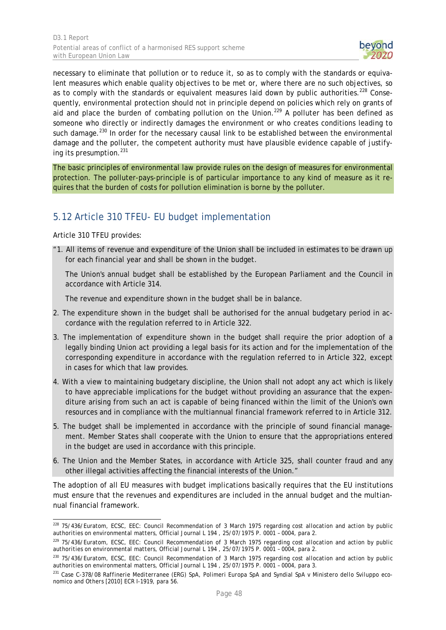

necessary to eliminate that pollution or to reduce it, so as to comply with the standards or equivalent measures which enable quality objectives to be met or, where there are no such objectives, so as to comply with the standards or equivalent measures laid down by public authorities.<sup>228</sup> Consequently, environmental protection should not in principle depend on policies which rely on grants of aid and place the burden of combating pollution on the Union.<sup>229</sup> A polluter has been defined as someone who directly or indirectly damages the environment or who creates conditions leading to such damage.<sup>230</sup> In order for the necessary causal link to be established between the environmental damage and the polluter, the competent authority must have plausible evidence capable of justifying its presumption. $231$ 

The basic principles of environmental law provide rules on the design of measures for environmental protection. The polluter-pays-principle is of particular importance to any kind of measure as it requires that the burden of costs for pollution elimination is borne by the polluter.

### 5.12 Article 310 TFEU- EU budget implementation

Article 310 TFEU provides:

1

"1. All items of revenue and expenditure of the Union shall be included in estimates to be drawn up for each financial year and shall be shown in the budget.

 The Union's annual budget shall be established by the European Parliament and the Council in accordance with Article 314.

The revenue and expenditure shown in the budget shall be in balance.

- 2. The expenditure shown in the budget shall be authorised for the annual budgetary period in accordance with the regulation referred to in Article 322.
- 3. The implementation of expenditure shown in the budget shall require the prior adoption of a legally binding Union act providing a legal basis for its action and for the implementation of the corresponding expenditure in accordance with the regulation referred to in Article 322, except in cases for which that law provides.
- 4. With a view to maintaining budgetary discipline, the Union shall not adopt any act which is likely to have appreciable implications for the budget without providing an assurance that the expenditure arising from such an act is capable of being financed within the limit of the Union's own resources and in compliance with the multiannual financial framework referred to in Article 312.
- 5. The budget shall be implemented in accordance with the principle of sound financial management. Member States shall cooperate with the Union to ensure that the appropriations entered in the budget are used in accordance with this principle.
- 6. The Union and the Member States, in accordance with Article 325, shall counter fraud and any other illegal activities affecting the financial interests of the Union."

The adoption of all EU measures with budget implications basically requires that the EU institutions must ensure that the revenues and expenditures are included in the annual budget and the multiannual financial framework.

<sup>228 75/436/</sup>Euratom, ECSC, EEC: *Council Recommendation of 3 March 1975 regarding cost allocation and action by public authorities on environmental matters*, Official Journal L 194 , 25/07/1975 P. 0001 – 0004, para 2.

<sup>229 75/436/</sup>Euratom, ECSC, EEC: *Council Recommendation of 3 March 1975 regarding cost allocation and action by public authorities on environmental matters*, Official Journal L 194 , 25/07/1975 P. 0001 – 0004, para 2.

<sup>230 75/436/</sup>Euratom, ECSC, EEC: *Council Recommendation of 3 March 1975 regarding cost allocation and action by public authorities on environmental matters*, Official Journal L 194 , 25/07/1975 P. 0001 – 0004, para 3.

<sup>231</sup> Case C-378/08 *Raffinerie Mediterranee (ERG) SpA, Polimeri Europa SpA and Syndial SpA v Ministero dello Sviluppo economico and Others* [2010] ECR I-1919, para 56.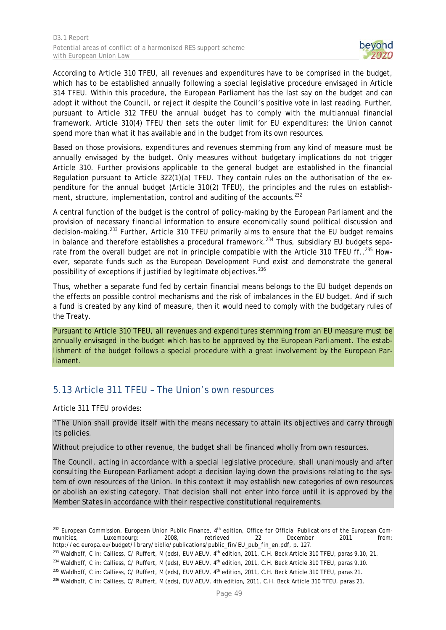According to Article 310 TFEU, all revenues and expenditures have to be comprised in the budget, which has to be established annually following a special legislative procedure envisaged in Article 314 TFEU. Within this procedure, the European Parliament has the last say on the budget and can adopt it without the Council, or reject it despite the Council's positive vote in last reading. Further, pursuant to Article 312 TFEU the annual budget has to comply with the multiannual financial framework. Article 310(4) TFEU then sets the outer limit for EU expenditures: the Union cannot spend more than what it has available and in the budget from its own resources.

Based on those provisions, expenditures and revenues stemming from any kind of measure must be annually envisaged by the budget. Only measures without budgetary implications do not trigger Article 310. Further provisions applicable to the general budget are established in the financial Regulation pursuant to Article 322(1)(a) TFEU. They contain rules on the authorisation of the expenditure for the annual budget (Article 310(2) TFEU), the principles and the rules on establishment, structure, implementation, control and auditing of the accounts.<sup>232</sup>

A central function of the budget is the control of policy-making by the European Parliament and the provision of necessary financial information to ensure economically sound political discussion and decision-making.<sup>233</sup> Further, Article 310 TFEU primarily aims to ensure that the EU budget remains in balance and therefore establishes a procedural framework.<sup>234</sup> Thus, subsidiary EU budgets separate from the overall budget are not in principle compatible with the Article 310 TFEU ff..<sup>235</sup> However, separate funds such as the European Development Fund exist and demonstrate the general possibility of exceptions if justified by legitimate objectives. $236$ 

Thus, whether a separate fund fed by certain financial means belongs to the EU budget depends on the effects on possible control mechanisms and the risk of imbalances in the EU budget. And if such a fund is created by any kind of measure, then it would need to comply with the budgetary rules of the Treaty.

Pursuant to Article 310 TFEU, all revenues and expenditures stemming from an EU measure must be annually envisaged in the budget which has to be approved by the European Parliament. The establishment of the budget follows a special procedure with a great involvement by the European Parliament.

### 5.13 Article 311 TFEU – The Union's own resources

Article 311 TFEU provides:

"The Union shall provide itself with the means necessary to attain its objectives and carry through its policies.

Without prejudice to other revenue, the budget shall be financed wholly from own resources.

The Council, acting in accordance with a special legislative procedure, shall unanimously and after consulting the European Parliament adopt a decision laying down the provisions relating to the system of own resources of the Union. In this context it may establish new categories of own resources or abolish an existing category. That decision shall not enter into force until it is approved by the Member States in accordance with their respective constitutional requirements.

<sup>-</sup><sup>232</sup> European Commission, *European Union Public Finance*, 4<sup>th</sup> edition, Office for Official Publications of the European Communities, Luxembourg: 2008, retrieved 22 December 2011 from: http://ec.europa.eu/budget/library/biblio/publications/public\_fin/EU\_pub\_fin\_en.pdf, p. 127.

<sup>233</sup> Waldhoff, C in: Calliess, C/ Ruffert, M (eds), *EUV AEUV*, 4th edition, 2011, C.H. Beck Article 310 TFEU, paras 9,10, 21.

<sup>&</sup>lt;sup>234</sup> Waldhoff, C in: Calliess, C/ Ruffert, M (eds), *EUV AEUV*, 4<sup>th</sup> edition, 2011, C.H. Beck Article 310 TFEU, paras 9,10.

<sup>&</sup>lt;sup>235</sup> Waldhoff, C in: Calliess, C/ Ruffert, M (eds), *EUV AEUV*, 4<sup>th</sup> edition, 2011, C.H. Beck Article 310 TFEU, paras 21.

<sup>236</sup> Waldhoff, C in: Calliess, C/ Ruffert, M (eds), *EUV AEUV*, 4th edition, 2011, C.H. Beck Article 310 TFEU, paras 21.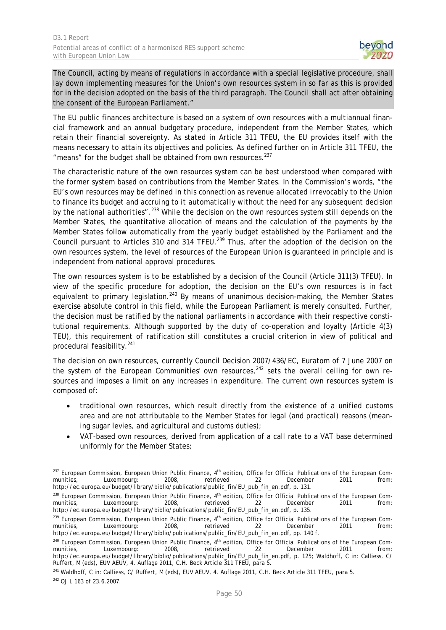The Council, acting by means of regulations in accordance with a special legislative procedure, shall lay down implementing measures for the Union's own resources system in so far as this is provided for in the decision adopted on the basis of the third paragraph. The Council shall act after obtaining the consent of the European Parliament."

The EU public finances architecture is based on a system of own resources with a multiannual financial framework and an annual budgetary procedure, independent from the Member States, which retain their financial sovereignty. As stated in Article 311 TFEU, the EU provides itself with the means necessary to attain its objectives and policies. As defined further on in Article 311 TFEU, the "means" for the budget shall be obtained from own resources. $^{237}$ 

The characteristic nature of the own resources system can be best understood when compared with the former system based on contributions from the Member States. In the Commission's words, "*the EU's own resources may be defined in this connection as revenue allocated irrevocably to the Union to finance its budget and accruing to it automatically without the need for any subsequent decision by the national authorities*".238 While the decision on the own resources system still depends on the Member States, the quantitative allocation of means and the calculation of the payments by the Member States follow automatically from the yearly budget established by the Parliament and the Council pursuant to Articles 310 and 314 TFEU.<sup>239</sup> Thus, after the adoption of the decision on the own resources system, the level of resources of the European Union is guaranteed in principle and is independent from national approval procedures.

The own resources system is to be established by a decision of the Council (Article 311(3) TFEU). In view of the specific procedure for adoption, the decision on the EU's own resources is in fact equivalent to primary legislation.<sup>240</sup> By means of unanimous decision-making, the Member States exercise absolute control in this field, while the European Parliament is merely consulted. Further, the decision must be ratified by the national parliaments in accordance with their respective constitutional requirements. Although supported by the duty of co-operation and loyalty (Article 4(3) TEU), this requirement of ratification still constitutes a crucial criterion in view of political and procedural feasibility.241

The decision on own resources, currently Council Decision 2007/436/EC, Euratom of 7 June 2007 on the system of the European Communities' own resources,<sup>242</sup> sets the overall ceiling for own resources and imposes a limit on any increases in expenditure. The current own resources system is composed of:

- traditional own resources, which result directly from the existence of a unified customs area and are not attributable to the Member States for legal (and practical) reasons (meaning sugar levies, and agricultural and customs duties);
- VAT-based own resources, derived from application of a call rate to a VAT base determined uniformly for the Member States;

<sup>-</sup><sup>237</sup> European Commission, *European Union Public Finance*, 4<sup>th</sup> edition, Office for Official Publications of the European Communities, Luxembourg: 2008, retrieved 22 December 2011 from: http://ec.europa.eu/budget/library/biblio/publications/public\_fin/EU\_pub\_fin\_en.pdf, p. 131.

<sup>&</sup>lt;sup>238</sup> European Commission, *European Union Public Finance*, 4<sup>th</sup> edition, Office for Official Publications of the European Communities, Luxembourg: 2008, retrieved 22 December 2011 from: http://ec.europa.eu/budget/library/biblio/publications/public\_fin/EU\_pub\_fin\_en.pdf, p. 135.

<sup>&</sup>lt;sup>239</sup> European Commission, *European Union Public Finance*, 4<sup>th</sup> edition, Office for Official Publications of the European Communities, Luxembourg: 2008, retrieved 22 December 2011 from: http://ec.europa.eu/budget/library/biblio/publications/public\_fin/EU\_pub\_fin\_en.pdf, pp. 140 f.

<sup>&</sup>lt;sup>240</sup> European Commission, *European Union Public Finance*, 4<sup>th</sup> edition, Office for Official Publications of the European Communities, Luxembourg: 2008, retrieved 22 December 2011 from: http://ec.europa.eu/budget/library/biblio/publications/public\_fin/EU\_pub\_fin\_en.pdf, p. 125; Waldhoff, C in: Calliess, C/ Ruffert, M (eds), *EUV AEUV*, 4. Auflage 2011, C.H. Beck Article 311 TFEU, para 5.

<sup>241</sup> Waldhoff, C in: Calliess, C/ Ruffert, M (eds), *EUV AEUV*, 4. Auflage 2011, C.H. Beck Article 311 TFEU, para 5.

<sup>242</sup> OJ L 163 of 23.6.2007.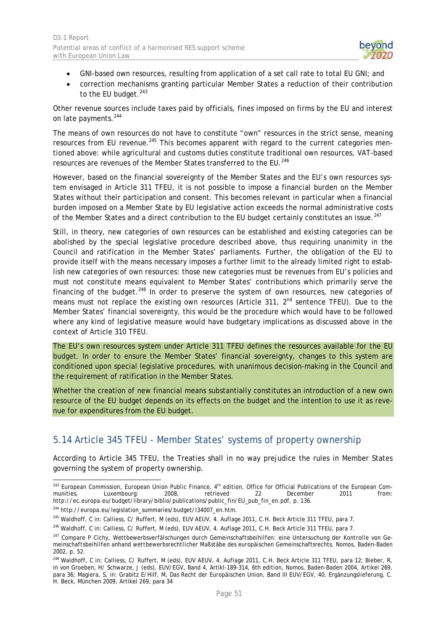

- GNI-based own resources, resulting from application of a set call rate to total EU GNI; and
- correction mechanisms granting particular Member States a reduction of their contribution to the EU budget.<sup>243</sup>

Other revenue sources include taxes paid by officials, fines imposed on firms by the EU and interest on late payments.<sup>244</sup>

The means of own resources do not have to constitute "own" resources in the strict sense*,* meaning resources from EU revenue.<sup>245</sup> This becomes apparent with regard to the current categories mentioned above: while agricultural and customs duties constitute traditional own resources, VAT-based resources are revenues of the Member States transferred to the EU.<sup>246</sup>

However, based on the financial sovereignty of the Member States and the EU's own resources system envisaged in Article 311 TFEU, it is not possible to impose a financial burden on the Member States without their participation and consent. This becomes relevant in particular when a financial burden imposed on a Member State by EU legislative action exceeds the normal administrative costs of the Member States and a direct contribution to the EU budget certainly constitutes an issue.<sup>247</sup>

Still, in theory, new categories of own resources can be established and existing categories can be abolished by the special legislative procedure described above, thus requiring unanimity in the Council and ratification in the Member States' parliaments. Further, the obligation of the EU to provide itself with the means necessary imposes a further limit to the already limited right to establish new categories of own resources: those new categories must be revenues from EU's policies and must not constitute means equivalent to Member States' contributions which primarily serve the financing of the budget.<sup>248</sup> In order to preserve the system of own resources, new categories of means must not replace the existing own resources (Article 311, 2<sup>nd</sup> sentence TFEU). Due to the Member States' financial sovereignty, this would be the procedure which would have to be followed where any kind of legislative measure would have budgetary implications as discussed above in the context of Article 310 TFEU.

The EU's own resources system under Article 311 TFEU defines the resources available for the EU budget. In order to ensure the Member States' financial sovereignty, changes to this system are conditioned upon special legislative procedures, with unanimous decision-making in the Council and the requirement of ratification in the Member States.

Whether the creation of new financial means substantially constitutes an introduction of a new own resource of the EU budget depends on its effects on the budget and the intention to use it as revenue for expenditures from the EU budget.

#### 5.14 Article 345 TFEU - Member States' systems of property ownership

According to Article 345 TFEU, the Treaties shall in no way prejudice the rules in Member States governing the system of property ownership.

<sup>244</sup> http://europa.eu/legislation\_summaries/budget/l34007\_en.htm.

<sup>1</sup> <sup>243</sup> European Commission, *European Union Public Finance*, 4<sup>th</sup> edition, Office for Official Publications of the European Communities, Luxembourg: 2008, retrieved 22 December 2011 from: http://ec.europa.eu/budget/library/biblio/publications/public\_fin/EU\_pub\_fin\_en.pdf, p. 136.

<sup>245</sup> Waldhoff, C in: Calliess, C/ Ruffert, M (eds), *EUV AEUV*, 4. Auflage 2011, C.H. Beck Article 311 TFEU, para 7.

<sup>246</sup> Waldhoff, C in: Calliess, C/ Ruffert, M (eds), *EUV AEUV*, 4. Auflage 2011, C.H. Beck Article 311 TFEU, para 7.

<sup>247</sup> Compare P Cichy, *Wettbewerbsverfälschungen durch Gemeinschaftsbeihilfen: eine Untersuchung der Kontrolle von Gemeinschaftsbeihilfen anhand wettbewerbsrechtlicher Maßstäbe des europäischen* Gemeinschaftsrechts, Nomos, Baden-Baden 2002, p. 52.

<sup>248</sup> Waldhoff, C in: Calliess, C/ Ruffert, M (eds), *EUV AEUV*, 4. Auflage 2011, C.H. Beck Article 311 TFEU, para 12; Bieber, R, in von Groeben, H/ Schwarze, J (eds), *EUV/EGV,* Band 4, Artikl-189-314, 6th edition, Nomos, Baden-Baden 2004, Artikel 269, para 36; Magiera, S, in: Grabitz E/Hilf, M, *Das Recht der Europäischen Union*, Band III EUV/EGV, 40. Ergänzungslieferung, C. H. Beck, München 2009, Artikel 269, para 34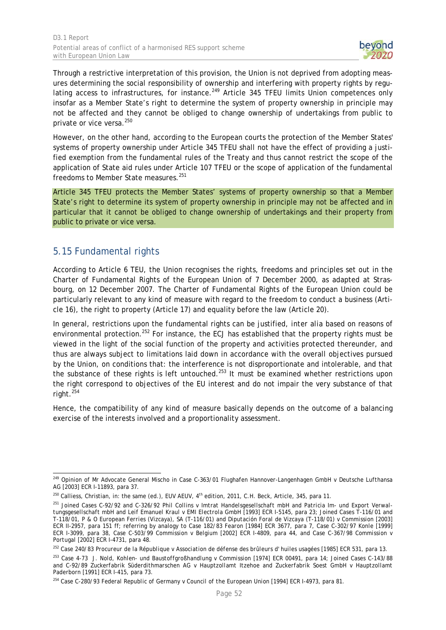

Through a restrictive interpretation of this provision, the Union is not deprived from adopting measures determining the social responsibility of ownership and interfering with property rights by regulating access to infrastructures, for instance.<sup>249</sup> Article 345 TFEU limits Union competences only insofar as a Member State's right to determine the system of property ownership in principle may not be affected and they cannot be obliged to change ownership of undertakings from public to private or vice versa.<sup>250</sup>

However, on the other hand, according to the European courts the protection of the Member States' systems of property ownership under Article 345 TFEU shall not have the effect of providing a justified exemption from the fundamental rules of the Treaty and thus cannot restrict the scope of the application of State aid rules under Article 107 TFEU or the scope of application of the fundamental freedoms to Member State measures.<sup>251</sup>

Article 345 TFEU protects the Member States' systems of property ownership so that a Member State's right to determine its system of property ownership in principle may not be affected and in particular that it cannot be obliged to change ownership of undertakings and their property from public to private or vice versa.

#### 5.15 Fundamental rights

According to Article 6 TEU, the Union recognises the rights, freedoms and principles set out in the Charter of Fundamental Rights of the European Union of 7 December 2000, as adapted at Strasbourg, on 12 December 2007. The Charter of Fundamental Rights of the European Union could be particularly relevant to any kind of measure with regard to the freedom to conduct a business (Article 16), the right to property (Article 17) and equality before the law (Article 20).

In general, restrictions upon the fundamental rights can be justified, *inter alia* based on reasons of environmental protection.<sup>252</sup> For instance, the ECJ has established that the property rights must be viewed in the light of the social function of the property and activities protected thereunder, and thus are always subject to limitations laid down in accordance with the overall objectives pursued by the Union, on conditions that: the interference is not disproportionate and intolerable, and that the substance of these rights is left untouched.253 It must be examined whether restrictions upon the right correspond to objectives of the EU interest and do not impair the very substance of that right.254

Hence, the compatibility of any kind of measure basically depends on the outcome of a balancing exercise of the interests involved and a proportionality assessment.

<sup>1</sup> 249 Opinion of Mr Advocate General Mischo in Case C-363/01 *Flughafen Hannover-Langenhagen GmbH v Deutsche Lufthansa AG* [2003] ECR I-11893, para 37.

<sup>&</sup>lt;sup>250</sup> Calliess, Christian, in: the same (ed.), *EUV AEUV*, 4<sup>th</sup> edition, 2011, C.H. Beck, Article, 345, para 11.

<sup>251</sup> Joined Cases C-92/92 and C-326/92 *Phil Collins v Imtrat Handelsgesellschaft mbH and Patricia Im- und Export Verwaltungsgesellschaft mbH and Leif Emanuel Kraul v EMI Electrola GmbH* [1993] ECR I-5145, para 23; Joined Cases T-116/01 and T-118/01, *P & O European Ferries (Vizcaya), SA (T-116/01) and Diputación Foral de Vizcaya (T-118/01) v Commission* [2003] ECR II-2957, para 151 ff; referring by analogy to Case 182/83 *Fearon* [1984] ECR 3677, para 7, Case C-302/97 *Konle* [1999] ECR I-3099, para 38, Case C-503/99 *Commission v Belgium* [2002] ECR I-4809, para 44, and Case C-367/98 *Commission v Portugal* [2002] ECR I-4731, para 48.

<sup>252</sup> Case 240/83 *Procureur de la République v Association de défense des brûleurs d' huiles usagées* [1985] ECR 531, para 13.

<sup>253</sup> Case 4-73 *J. Nold, Kohlen- und Baustoffgroßhandlung v Commission* [1974] ECR 00491, para 14; Joined Cases C-143/88 and C-92/89 *Zuckerfabrik Süderdithmarschen AG v Hauptzollamt Itzehoe and Zuckerfabrik Soest GmbH v Hauptzollamt Paderborn* [1991] ECR I-415, para 73.

<sup>254</sup> Case C-280/93 *Federal Republic of Germany v Council of the European Union* [1994] ECR I-4973, para 81.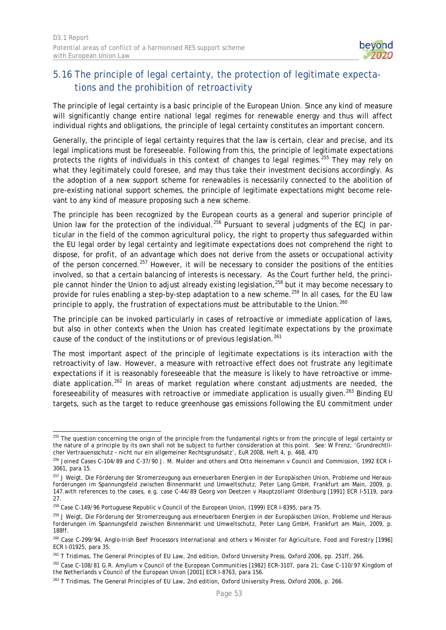

# 5.16 The principle of legal certainty, the protection of legitimate expectations and the prohibition of retroactivity

The principle of legal certainty is a basic principle of the European Union. Since any kind of measure will significantly change entire national legal regimes for renewable energy and thus will affect individual rights and obligations, the principle of legal certainty constitutes an important concern.

Generally, the principle of legal certainty requires that the law is certain, clear and precise, and its legal implications must be foreseeable. Following from this, the principle of legitimate expectations protects the rights of individuals in this context of changes to legal regimes.<sup>255</sup> They may rely on what they legitimately could foresee, and may thus take their investment decisions accordingly. As the adoption of a new support scheme for renewables is necessarily connected to the abolition of pre-existing national support schemes, the principle of legitimate expectations might become relevant to any kind of measure proposing such a new scheme.

The principle has been recognized by the European courts as a general and superior principle of Union law for the protection of the individual.<sup>256</sup> Pursuant to several judgments of the ECJ in particular in the field of the common agricultural policy, the right to property thus safeguarded within the EU legal order by legal certainty and legitimate expectations does not comprehend the right to dispose, for profit, of an advantage which does not derive from the assets or occupational activity of the person concerned.<sup>257</sup> However, it will be necessary to consider the positions of the entities involved, so that a certain balancing of interests is necessary. As the Court further held, the principle cannot hinder the Union to adjust already existing legislation,<sup>258</sup> but it may become necessary to provide for rules enabling a step-by-step adaptation to a new scheme.<sup>259</sup> In all cases, for the EU law principle to apply, the frustration of expectations must be attributable to the Union.<sup>260</sup>

The principle can be invoked particularly in cases of retroactive or immediate application of laws, but also in other contexts when the Union has created legitimate expectations by the proximate cause of the conduct of the institutions or of previous legislation.<sup>261</sup>

The most important aspect of the principle of legitimate expectations is its interaction with the retroactivity of law. However, a measure with retroactive effect does not frustrate any legitimate expectations if it is reasonably foreseeable that the measure is likely to have retroactive or immediate application.<sup>262</sup> In areas of market regulation where constant adjustments are needed, the foreseeability of measures with retroactive or immediate application is usually given.<sup>263</sup> Binding EU targets, such as the target to reduce greenhouse gas emissions following the EU commitment under

<sup>1</sup> <sup>255</sup> The question concerning the origin of the principle from the fundamental rights or from the principle of legal certainty or the nature of a principle by its own shall not be subject to further consideration at this point. See: W Frenz, 'Grundrechtlicher Vertrauensschutz – nicht nur ein allgemeiner Rechtsgrundsatz', *EuR* 2008, Heft 4, p. 468, 470

<sup>256</sup> Joined Cases C-104/89 and C-37/90 *J. M. Mulder and others and Otto Heinemann v Council and Commission*, 1992 ECR I-3061, para 15.

<sup>257</sup> J Weigt, *Die Förderung der Stromerzeugung aus erneuerbaren Energien in der Europäischen Union, Probleme und Herausforderungen im Spannungsfeld zwischen Binnenmarkt und Umweltschutz*, Peter Lang GmbH, Frankfurt am Main, 2009, p. 147.with references to the cases, e.g. case C-44/89 *Georg von Deetzen v Hauptzollamt Oldenburg* [1991] ECR I-5119, para 27.

<sup>&</sup>lt;sup>258</sup> Case C-149/96 Portuguese Republic v Council of the European Union, (1999) ECR I-8395, para 75.

<sup>259</sup> J Weigt, *Die Förderung der Stromerzeugung aus erneuerbaren Energien in der Europäischen Union, Probleme und Herausforderungen im Spannungsfeld zwischen Binnenmarkt und Umweltschutz*, Peter Lang GmbH, Frankfurt am Main, 2009, p. 188ff.

<sup>260</sup> Case C-299/94, *Anglo-Irish Beef Processors International and others v Minister for Agriculture, Food and Forestry* [1996] ECR I-01925, para 35.

<sup>261</sup> T Tridimas, *The General Principles of EU Law*, 2nd edition, Oxford University Press, Oxford 2006, pp. 251ff, 266.

<sup>262</sup> Case C-108/81 *G.R. Amylum v Council of the European Communities* [1982] ECR-3107, para 21; Case C-110/97 *Kingdom of the Netherlands v Council of the European Union* [2001] ECR I-8763, para 156.

<sup>263</sup> T Tridimas, *The General Principles of EU Law*, 2nd edition, Oxford University Press, Oxford 2006, p. 266.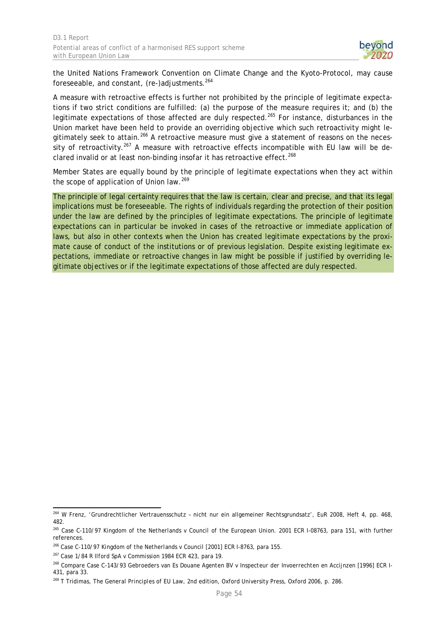

the United Nations Framework Convention on Climate Change and the Kyoto-Protocol, may cause foreseeable, and constant, (re-)adjustments. $264$ 

A measure with retroactive effects is further not prohibited by the principle of legitimate expectations if two strict conditions are fulfilled: (a) the purpose of the measure requires it; and (b) the legitimate expectations of those affected are duly respected.<sup>265</sup> For instance, disturbances in the Union market have been held to provide an overriding objective which such retroactivity might legitimately seek to attain.<sup>266</sup> A retroactive measure must give a statement of reasons on the necessity of retroactivity.<sup>267</sup> A measure with retroactive effects incompatible with EU law will be declared invalid or at least non-binding insofar it has retroactive effect.<sup>268</sup>

Member States are equally bound by the principle of legitimate expectations when they act within the scope of application of Union law.<sup>269</sup>

The principle of legal certainty requires that the law is certain, clear and precise, and that its legal implications must be foreseeable. The rights of individuals regarding the protection of their position under the law are defined by the principles of legitimate expectations. The principle of legitimate expectations can in particular be invoked in cases of the retroactive or immediate application of laws, but also in other contexts when the Union has created legitimate expectations by the proximate cause of conduct of the institutions or of previous legislation. Despite existing legitimate expectations, immediate or retroactive changes in law might be possible if justified by overriding legitimate objectives or if the legitimate expectations of those affected are duly respected.

1

<sup>264</sup> W Frenz, 'Grundrechtlicher Vertrauensschutz – nicht nur ein allgemeiner Rechtsgrundsatz', *EuR* 2008, Heft 4, pp. 468, 482.

<sup>265</sup> Case C-110/97 *Kingdom of the Netherlands v Council of the European Union*. 2001 ECR I-08763, para 151, with further references.

<sup>266</sup> Case C-110/97 *Kingdom of the Netherlands v Council* [2001] ECR I-8763, para 155.

<sup>267</sup> Case 1/84 R *Ilford SpA v Commission* 1984 ECR 423, para 19.

<sup>268</sup> Compare Case C-143/93 *Gebroeders van Es Douane Agenten BV v Inspecteur der Invoerrechten en Accijnzen* [1996] ECR I-431, para 33.

<sup>269</sup> T Tridimas, *The General Principles of EU Law*, 2nd edition, Oxford University Press, Oxford 2006, p. 286.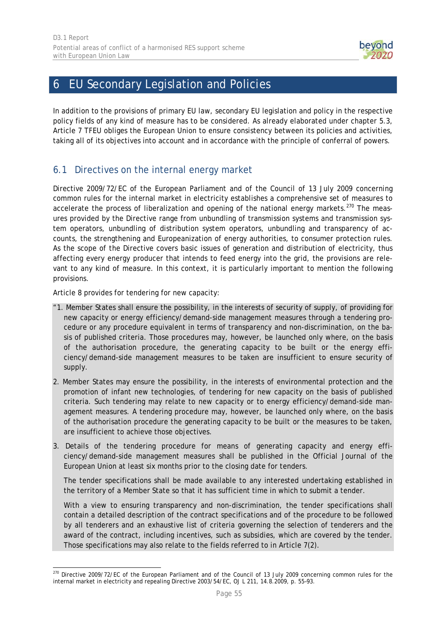

# 6 EU Secondary Legislation and Policies

In addition to the provisions of primary EU law, secondary EU legislation and policy in the respective policy fields of any kind of measure has to be considered. As already elaborated under chapter 5.3, Article 7 TFEU obliges the European Union to ensure consistency between its policies and activities, taking all of its objectives into account and in accordance with the principle of conferral of powers.

#### 6.1 Directives on the internal energy market

Directive 2009/72/EC of the European Parliament and of the Council of 13 July 2009 concerning common rules for the internal market in electricity establishes a comprehensive set of measures to accelerate the process of liberalization and opening of the national energy markets.<sup>270</sup> The measures provided by the Directive range from unbundling of transmission systems and transmission system operators, unbundling of distribution system operators, unbundling and transparency of accounts, the strengthening and Europeanization of energy authorities, to consumer protection rules. As the scope of the Directive covers basic issues of generation and distribution of electricity, thus affecting every energy producer that intends to feed energy into the grid, the provisions are relevant to any kind of measure. In this context, it is particularly important to mention the following provisions.

Article 8 provides for tendering for new capacity:

- "1. Member States shall ensure the possibility, in the interests of security of supply, of providing for new capacity or energy efficiency/demand-side management measures through a tendering procedure or any procedure equivalent in terms of transparency and non-discrimination, on the basis of published criteria. Those procedures may, however, be launched only where, on the basis of the authorisation procedure, the generating capacity to be built or the energy efficiency/demand-side management measures to be taken are insufficient to ensure security of supply.
- 2. Member States may ensure the possibility, in the interests of environmental protection and the promotion of infant new technologies, of tendering for new capacity on the basis of published criteria. Such tendering may relate to new capacity or to energy efficiency/demand-side management measures. A tendering procedure may, however, be launched only where, on the basis of the authorisation procedure the generating capacity to be built or the measures to be taken, are insufficient to achieve those objectives.
- 3. Details of the tendering procedure for means of generating capacity and energy efficiency/demand-side management measures shall be published in the Official Journal of the European Union at least six months prior to the closing date for tenders.

 The tender specifications shall be made available to any interested undertaking established in the territory of a Member State so that it has sufficient time in which to submit a tender.

 With a view to ensuring transparency and non-discrimination, the tender specifications shall contain a detailed description of the contract specifications and of the procedure to be followed by all tenderers and an exhaustive list of criteria governing the selection of tenderers and the award of the contract, including incentives, such as subsidies, which are covered by the tender. Those specifications may also relate to the fields referred to in Article 7(2).

<sup>-</sup><sup>270</sup> Directive 2009/72/EC of the European Parliament and of the Council of 13 July 2009 concerning common rules for the internal market in electricity and repealing Directive 2003/54/EC, OJ L 211, 14.8.2009, p. 55–93.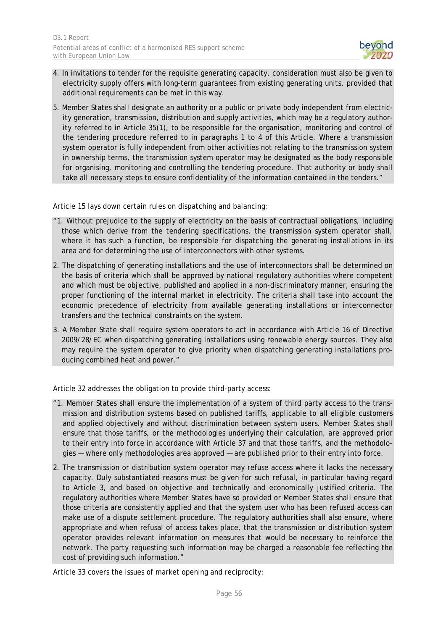- 4. In invitations to tender for the requisite generating capacity, consideration must also be given to electricity supply offers with long-term guarantees from existing generating units, provided that additional requirements can be met in this way.
- 5. Member States shall designate an authority or a public or private body independent from electricity generation, transmission, distribution and supply activities, which may be a regulatory authority referred to in Article 35(1), to be responsible for the organisation, monitoring and control of the tendering procedure referred to in paragraphs 1 to 4 of this Article. Where a transmission system operator is fully independent from other activities not relating to the transmission system in ownership terms, the transmission system operator may be designated as the body responsible for organising, monitoring and controlling the tendering procedure. That authority or body shall take all necessary steps to ensure confidentiality of the information contained in the tenders."

Article 15 lays down certain rules on dispatching and balancing:

- "1. Without prejudice to the supply of electricity on the basis of contractual obligations, including those which derive from the tendering specifications, the transmission system operator shall, where it has such a function, be responsible for dispatching the generating installations in its area and for determining the use of interconnectors with other systems.
- 2. The dispatching of generating installations and the use of interconnectors shall be determined on the basis of criteria which shall be approved by national regulatory authorities where competent and which must be objective, published and applied in a non-discriminatory manner, ensuring the proper functioning of the internal market in electricity. The criteria shall take into account the economic precedence of electricity from available generating installations or interconnector transfers and the technical constraints on the system.
- 3. A Member State shall require system operators to act in accordance with Article 16 of Directive 2009/28/EC when dispatching generating installations using renewable energy sources. They also may require the system operator to give priority when dispatching generating installations producing combined heat and power."

Article 32 addresses the obligation to provide third-party access:

- "1. Member States shall ensure the implementation of a system of third party access to the transmission and distribution systems based on published tariffs, applicable to all eligible customers and applied objectively and without discrimination between system users. Member States shall ensure that those tariffs, or the methodologies underlying their calculation, are approved prior to their entry into force in accordance with Article 37 and that those tariffs, and the methodologies — where only methodologies area approved — are published prior to their entry into force.
- 2. The transmission or distribution system operator may refuse access where it lacks the necessary capacity. Duly substantiated reasons must be given for such refusal, in particular having regard to Article 3, and based on objective and technically and economically justified criteria. The regulatory authorities where Member States have so provided or Member States shall ensure that those criteria are consistently applied and that the system user who has been refused access can make use of a dispute settlement procedure. The regulatory authorities shall also ensure, where appropriate and when refusal of access takes place, that the transmission or distribution system operator provides relevant information on measures that would be necessary to reinforce the network. The party requesting such information may be charged a reasonable fee reflecting the cost of providing such information."

Article 33 covers the issues of market opening and reciprocity: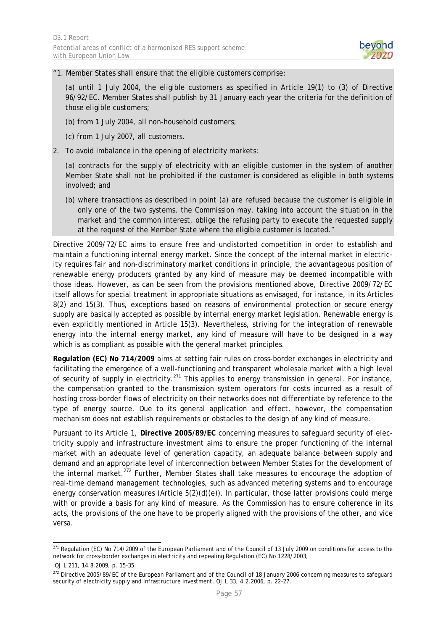

"1. Member States shall ensure that the eligible customers comprise:

 (a) until 1 July 2004, the eligible customers as specified in Article 19(1) to (3) of Directive 96/92/EC. Member States shall publish by 31 January each year the criteria for the definition of those eligible customers;

- (b) from 1 July 2004, all non-household customers;
- (c) from 1 July 2007, all customers.
- 2. To avoid imbalance in the opening of electricity markets:

 (a) contracts for the supply of electricity with an eligible customer in the system of another Member State shall not be prohibited if the customer is considered as eligible in both systems involved; and

 (b) where transactions as described in point (a) are refused because the customer is eligible in only one of the two systems, the Commission may, taking into account the situation in the market and the common interest, oblige the refusing party to execute the requested supply at the request of the Member State where the eligible customer is located."

Directive 2009/72/EC aims to ensure free and undistorted competition in order to establish and maintain a functioning internal energy market. Since the concept of the internal market in electricity requires fair and non-discriminatory market conditions in principle, the advantageous position of renewable energy producers granted by any kind of measure may be deemed incompatible with those ideas. However, as can be seen from the provisions mentioned above, Directive 2009/72/EC itself allows for special treatment in appropriate situations as envisaged, for instance, in its Articles 8(2) and 15(3). Thus, exceptions based on reasons of environmental protection or secure energy supply are basically accepted as possible by internal energy market legislation. Renewable energy is even explicitly mentioned in Article 15(3). Nevertheless, striving for the integration of renewable energy into the internal energy market, any kind of measure will have to be designed in a way which is as compliant as possible with the general market principles.

**Regulation (EC) No 714/2009** aims at setting fair rules on cross-border exchanges in electricity and facilitating the emergence of a well-functioning and transparent wholesale market with a high level of security of supply in electricity.<sup>271</sup> This applies to energy transmission in general. For instance, the compensation granted to the transmission system operators for costs incurred as a result of hosting cross-border flows of electricity on their networks does not differentiate by reference to the type of energy source. Due to its general application and effect, however, the compensation mechanism does not establish requirements or obstacles to the design of any kind of measure.

Pursuant to its Article 1, **Directive 2005/89/EC** concerning measures to safeguard security of electricity supply and infrastructure investment aims to ensure the proper functioning of the internal market with an adequate level of generation capacity, an adequate balance between supply and demand and an appropriate level of interconnection between Member States for the development of the internal market.<sup>272</sup> Further, Member States shall take measures to encourage the adoption of real-time demand management technologies, such as advanced metering systems and to encourage energy conservation measures (Article  $5(2)(d)(e)$ ). In particular, those latter provisions could merge with or provide a basis for any kind of measure. As the Commission has to ensure coherence in its acts, the provisions of the one have to be properly aligned with the provisions of the other, and vice versa.

<sup>1</sup> <sup>271</sup> Regulation (EC) No 714/2009 of the European Parliament and of the Council of 13 July 2009 on conditions for access to the network for cross-border exchanges in electricity and repealing Regulation (EC) No 1228/2003,

OJ L 211, 14.8.2009, p. 15–35.

<sup>&</sup>lt;sup>272</sup> Directive 2005/89/EC of the European Parliament and of the Council of 18 January 2006 concerning measures to safeguard security of electricity supply and infrastructure investment, OJ L 33, 4.2.2006, p. 22–27.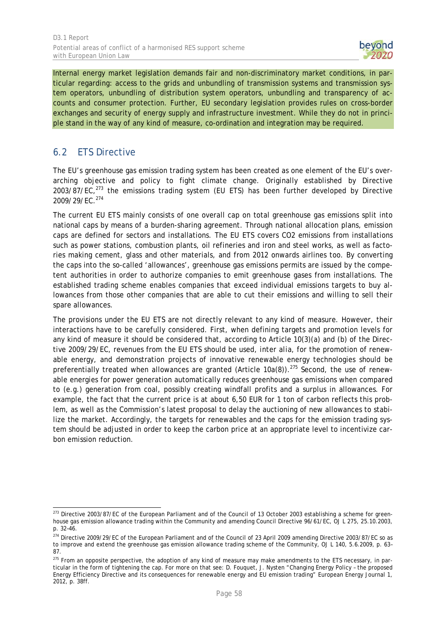Internal energy market legislation demands fair and non-discriminatory market conditions, in particular regarding: access to the grids and unbundling of transmission systems and transmission system operators, unbundling of distribution system operators, unbundling and transparency of accounts and consumer protection. Further, EU secondary legislation provides rules on cross-border exchanges and security of energy supply and infrastructure investment. While they do not in principle stand in the way of any kind of measure, co-ordination and integration may be required.

### 6.2 ETS Directive

1

The EU's greenhouse gas emission trading system has been created as one element of the EU's overarching objective and policy to fight climate change. Originally established by Directive  $2003/87/EC$ , $^{273}$  the emissions trading system (EU ETS) has been further developed by Directive 2009/29/EC.274

The current EU ETS mainly consists of one overall cap on total greenhouse gas emissions split into national caps by means of a burden-sharing agreement. Through national allocation plans, emission caps are defined for sectors and installations. The EU ETS covers CO2 emissions from installations such as power stations, combustion plants, oil refineries and iron and steel works, as well as factories making cement, glass and other materials, and from 2012 onwards airlines too. By converting the caps into the so-called 'allowances', greenhouse gas emissions permits are issued by the competent authorities in order to authorize companies to emit greenhouse gases from installations. The established trading scheme enables companies that exceed individual emissions targets to buy allowances from those other companies that are able to cut their emissions and willing to sell their spare allowances.

The provisions under the EU ETS are not directly relevant to any kind of measure. However, their interactions have to be carefully considered. First, when defining targets and promotion levels for any kind of measure it should be considered that, according to Article 10(3)(a) and (b) of the Directive 2009/29/EC, revenues from the EU ETS should be used, *inter alia*, for the promotion of renewable energy, and demonstration projects of innovative renewable energy technologies should be preferentially treated when allowances are granted (Article 10a(8)).<sup>275</sup> Second, the use of renewable energies for power generation automatically reduces greenhouse gas emissions when compared to (e.g.) generation from coal, possibly creating windfall profits and a surplus in allowances. For example, the fact that the current price is at about 6,50 EUR for 1 ton of carbon reflects this problem, as well as the Commission's latest proposal to delay the auctioning of new allowances to stabilize the market. Accordingly, the targets for renewables and the caps for the emission trading system should be adjusted in order to keep the carbon price at an appropriate level to incentivize carbon emission reduction.

 $^{273}$  Directive 2003/87/EC of the European Parliament and of the Council of 13 October 2003 establishing a scheme for greenhouse gas emission allowance trading within the Community and amending Council Directive 96/61/EC, OJ L 275, 25.10.2003, p. 32–46.

<sup>&</sup>lt;sup>274</sup> Directive 2009/29/EC of the European Parliament and of the Council of 23 April 2009 amending Directive 2003/87/EC so as to improve and extend the greenhouse gas emission allowance trading scheme of the Community, OJ L 140, 5.6.2009, p. 63-87.

<sup>&</sup>lt;sup>275</sup> From an opposite perspective, the adoption of any kind of measure may make amendments to the ETS necessary, in particular in the form of tightening the cap. For more on that see: D. Fouquet, J. Nysten "Changing Energy Policy – the proposed Energy Efficiency Directive and its consequences for renewable energy and EU emission trading" European Energy Journal 1, 2012, p. 38ff.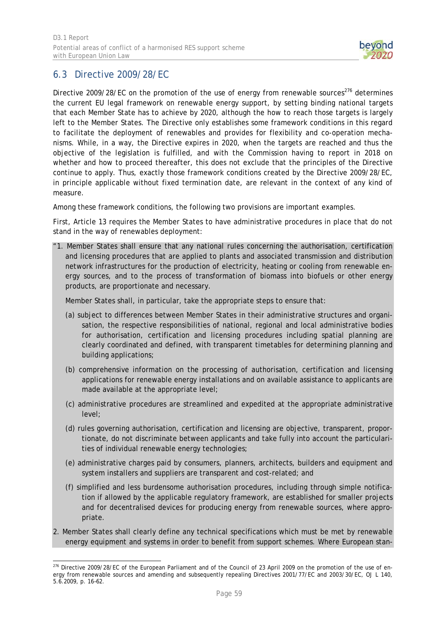

### 6.3 Directive 2009/28/EC

1

Directive 2009/28/EC on the promotion of the use of energy from renewable sources $^{276}$  determines the current EU legal framework on renewable energy support, by setting binding national targets that each Member State has to achieve by 2020, although the *how* to reach those targets is largely left to the Member States. The Directive only establishes some framework conditions in this regard to facilitate the deployment of renewables and provides for flexibility and co-operation mechanisms. While, in a way, the Directive expires in 2020, when the targets are reached and thus the objective of the legislation is fulfilled, and with the Commission having to report in 2018 on whether and how to proceed thereafter, this does not exclude that the principles of the Directive continue to apply. Thus, exactly those framework conditions created by the Directive 2009/28/EC, in principle applicable without fixed termination date, are relevant in the context of any kind of measure.

Among these framework conditions, the following two provisions are important examples.

First, Article 13 requires the Member States to have administrative procedures in place that do not stand in the way of renewables deployment:

"1. Member States shall ensure that any national rules concerning the authorisation, certification and licensing procedures that are applied to plants and associated transmission and distribution network infrastructures for the production of electricity, heating or cooling from renewable energy sources, and to the process of transformation of biomass into biofuels or other energy products, are proportionate and necessary.

Member States shall, in particular, take the appropriate steps to ensure that:

- (a) subject to differences between Member States in their administrative structures and organisation, the respective responsibilities of national, regional and local administrative bodies for authorisation, certification and licensing procedures including spatial planning are clearly coordinated and defined, with transparent timetables for determining planning and building applications;
- (b) comprehensive information on the processing of authorisation, certification and licensing applications for renewable energy installations and on available assistance to applicants are made available at the appropriate level;
- (c) administrative procedures are streamlined and expedited at the appropriate administrative level;
- (d) rules governing authorisation, certification and licensing are objective, transparent, proportionate, do not discriminate between applicants and take fully into account the particularities of individual renewable energy technologies;
- (e) administrative charges paid by consumers, planners, architects, builders and equipment and system installers and suppliers are transparent and cost-related; and
- (f) simplified and less burdensome authorisation procedures, including through simple notification if allowed by the applicable regulatory framework, are established for smaller projects and for decentralised devices for producing energy from renewable sources, where appropriate.
- 2. Member States shall clearly define any technical specifications which must be met by renewable energy equipment and systems in order to benefit from support schemes. Where European stan-

 $^{276}$  Directive 2009/28/EC of the European Parliament and of the Council of 23 April 2009 on the promotion of the use of energy from renewable sources and amending and subsequently repealing Directives 2001/77/EC and 2003/30/EC, OJ L 140, 5.6.2009, p. 16–62.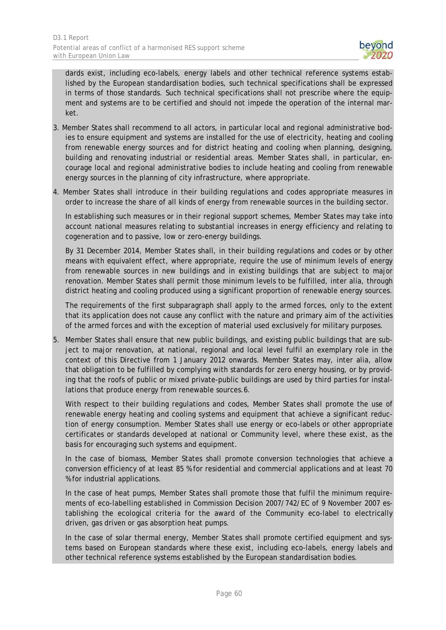dards exist, including eco-labels, energy labels and other technical reference systems established by the European standardisation bodies, such technical specifications shall be expressed in terms of those standards. Such technical specifications shall not prescribe where the equipment and systems are to be certified and should not impede the operation of the internal market.

- 3. Member States shall recommend to all actors, in particular local and regional administrative bodies to ensure equipment and systems are installed for the use of electricity, heating and cooling from renewable energy sources and for district heating and cooling when planning, designing, building and renovating industrial or residential areas. Member States shall, in particular, encourage local and regional administrative bodies to include heating and cooling from renewable energy sources in the planning of city infrastructure, where appropriate.
- 4. Member States shall introduce in their building regulations and codes appropriate measures in order to increase the share of all kinds of energy from renewable sources in the building sector.

 In establishing such measures or in their regional support schemes, Member States may take into account national measures relating to substantial increases in energy efficiency and relating to cogeneration and to passive, low or zero-energy buildings.

 By 31 December 2014, Member States shall, in their building regulations and codes or by other means with equivalent effect, where appropriate, require the use of minimum levels of energy from renewable sources in new buildings and in existing buildings that are subject to major renovation. Member States shall permit those minimum levels to be fulfilled, inter alia, through district heating and cooling produced using a significant proportion of renewable energy sources.

 The requirements of the first subparagraph shall apply to the armed forces, only to the extent that its application does not cause any conflict with the nature and primary aim of the activities of the armed forces and with the exception of material used exclusively for military purposes.

5. Member States shall ensure that new public buildings, and existing public buildings that are subject to major renovation, at national, regional and local level fulfil an exemplary role in the context of this Directive from 1 January 2012 onwards. Member States may, inter alia, allow that obligation to be fulfilled by complying with standards for zero energy housing, or by providing that the roofs of public or mixed private-public buildings are used by third parties for installations that produce energy from renewable sources.6.

 With respect to their building regulations and codes, Member States shall promote the use of renewable energy heating and cooling systems and equipment that achieve a significant reduction of energy consumption. Member States shall use energy or eco-labels or other appropriate certificates or standards developed at national or Community level, where these exist, as the basis for encouraging such systems and equipment.

 In the case of biomass, Member States shall promote conversion technologies that achieve a conversion efficiency of at least 85 % for residential and commercial applications and at least 70 % for industrial applications.

 In the case of heat pumps, Member States shall promote those that fulfil the minimum requirements of eco-labelling established in Commission Decision 2007/742/EC of 9 November 2007 establishing the ecological criteria for the award of the Community eco-label to electrically driven, gas driven or gas absorption heat pumps.

 In the case of solar thermal energy, Member States shall promote certified equipment and systems based on European standards where these exist, including eco-labels, energy labels and other technical reference systems established by the European standardisation bodies.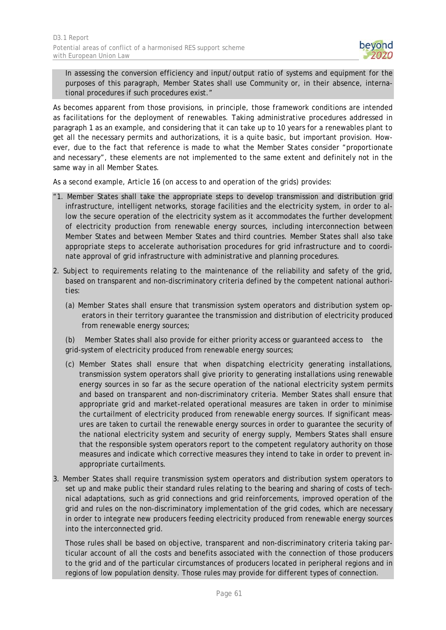In assessing the conversion efficiency and input/output ratio of systems and equipment for the purposes of this paragraph, Member States shall use Community or, in their absence, international procedures if such procedures exist."

As becomes apparent from those provisions, in principle, those framework conditions are intended as facilitations for the deployment of renewables. Taking administrative procedures addressed in paragraph 1 as an example, and considering that it can take up to 10 years for a renewables plant to get all the necessary permits and authorizations, it is a quite basic, but important provision. However, due to the fact that reference is made to what the Member States consider "proportionate and necessary", these elements are not implemented to the same extent and definitely not in the same way in all Member States.

As a second example, Article 16 (on access to and operation of the grids) provides:

- "1. Member States shall take the appropriate steps to develop transmission and distribution grid infrastructure, intelligent networks, storage facilities and the electricity system, in order to allow the secure operation of the electricity system as it accommodates the further development of electricity production from renewable energy sources, including interconnection between Member States and between Member States and third countries. Member States shall also take appropriate steps to accelerate authorisation procedures for grid infrastructure and to coordinate approval of grid infrastructure with administrative and planning procedures.
- 2. Subject to requirements relating to the maintenance of the reliability and safety of the grid, based on transparent and non-discriminatory criteria defined by the competent national authorities:
	- (a) Member States shall ensure that transmission system operators and distribution system operators in their territory guarantee the transmission and distribution of electricity produced from renewable energy sources;

 (b) Member States shall also provide for either priority access or guaranteed access to the grid-system of electricity produced from renewable energy sources;

- (c) Member States shall ensure that when dispatching electricity generating installations, transmission system operators shall give priority to generating installations using renewable energy sources in so far as the secure operation of the national electricity system permits and based on transparent and non-discriminatory criteria. Member States shall ensure that appropriate grid and market-related operational measures are taken in order to minimise the curtailment of electricity produced from renewable energy sources. If significant measures are taken to curtail the renewable energy sources in order to guarantee the security of the national electricity system and security of energy supply, Members States shall ensure that the responsible system operators report to the competent regulatory authority on those measures and indicate which corrective measures they intend to take in order to prevent inappropriate curtailments.
- 3. Member States shall require transmission system operators and distribution system operators to set up and make public their standard rules relating to the bearing and sharing of costs of technical adaptations, such as grid connections and grid reinforcements, improved operation of the grid and rules on the non-discriminatory implementation of the grid codes, which are necessary in order to integrate new producers feeding electricity produced from renewable energy sources into the interconnected grid.

 Those rules shall be based on objective, transparent and non-discriminatory criteria taking particular account of all the costs and benefits associated with the connection of those producers to the grid and of the particular circumstances of producers located in peripheral regions and in regions of low population density. Those rules may provide for different types of connection.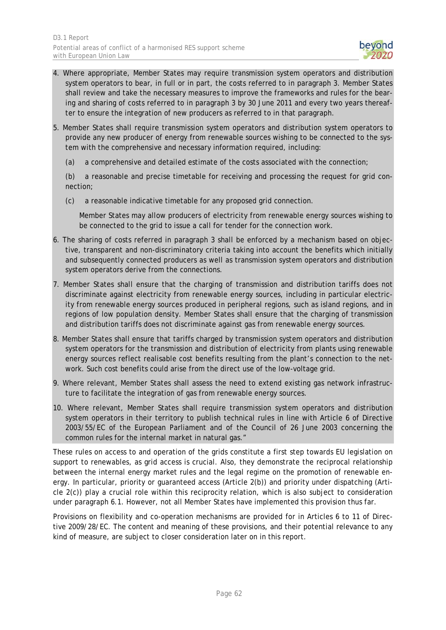- 4. Where appropriate, Member States may require transmission system operators and distribution system operators to bear, in full or in part, the costs referred to in paragraph 3. Member States shall review and take the necessary measures to improve the frameworks and rules for the bearing and sharing of costs referred to in paragraph 3 by 30 June 2011 and every two years thereafter to ensure the integration of new producers as referred to in that paragraph.
- 5. Member States shall require transmission system operators and distribution system operators to provide any new producer of energy from renewable sources wishing to be connected to the system with the comprehensive and necessary information required, including:
	- (a) a comprehensive and detailed estimate of the costs associated with the connection;

 (b) a reasonable and precise timetable for receiving and processing the request for grid connection;

(c) a reasonable indicative timetable for any proposed grid connection.

 Member States may allow producers of electricity from renewable energy sources wishing to be connected to the grid to issue a call for tender for the connection work.

- 6. The sharing of costs referred in paragraph 3 shall be enforced by a mechanism based on objective, transparent and non-discriminatory criteria taking into account the benefits which initially and subsequently connected producers as well as transmission system operators and distribution system operators derive from the connections.
- 7. Member States shall ensure that the charging of transmission and distribution tariffs does not discriminate against electricity from renewable energy sources, including in particular electricity from renewable energy sources produced in peripheral regions, such as island regions, and in regions of low population density. Member States shall ensure that the charging of transmission and distribution tariffs does not discriminate against gas from renewable energy sources.
- 8. Member States shall ensure that tariffs charged by transmission system operators and distribution system operators for the transmission and distribution of electricity from plants using renewable energy sources reflect realisable cost benefits resulting from the plant's connection to the network. Such cost benefits could arise from the direct use of the low-voltage grid.
- 9. Where relevant, Member States shall assess the need to extend existing gas network infrastructure to facilitate the integration of gas from renewable energy sources.
- 10. Where relevant, Member States shall require transmission system operators and distribution system operators in their territory to publish technical rules in line with Article 6 of Directive 2003/55/EC of the European Parliament and of the Council of 26 June 2003 concerning the common rules for the internal market in natural gas."

These rules on access to and operation of the grids constitute a first step towards EU legislation on support to renewables, as grid access is crucial. Also, they demonstrate the reciprocal relationship between the internal energy market rules and the legal regime on the promotion of renewable energy. In particular, priority or guaranteed access (Article 2(b)) and priority under dispatching (Article 2(c)) play a crucial role within this reciprocity relation, which is also subject to consideration under paragraph 6.1. However, not all Member States have implemented this provision thus far.

Provisions on flexibility and co-operation mechanisms are provided for in Articles 6 to 11 of Directive 2009/28/EC. The content and meaning of these provisions, and their potential relevance to any kind of measure, are subject to closer consideration later on in this report.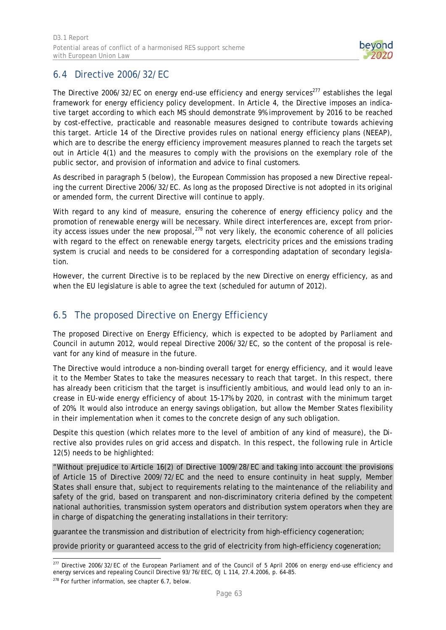

### 6.4 Directive 2006/32/EC

The Directive 2006/32/EC on energy end-use efficiency and energy services $^{277}$  establishes the legal framework for energy efficiency policy development. In Article 4, the Directive imposes an indicative target according to which each MS should demonstrate 9% improvement by 2016 to be reached by cost-effective, practicable and reasonable measures designed to contribute towards achieving this target. Article 14 of the Directive provides rules on national energy efficiency plans (NEEAP), which are to describe the energy efficiency improvement measures planned to reach the targets set out in Article 4(1) and the measures to comply with the provisions on the exemplary role of the public sector, and provision of information and advice to final customers.

As described in paragraph 5 (below), the European Commission has proposed a new Directive repealing the current Directive 2006/32/EC. As long as the proposed Directive is not adopted in its original or amended form, the current Directive will continue to apply.

With regard to any kind of measure, ensuring the coherence of energy efficiency policy and the promotion of renewable energy will be necessary. While direct interferences are, except from priority access issues under the new proposal, $^{278}$  not very likely, the economic coherence of all policies with regard to the effect on renewable energy targets, electricity prices and the emissions trading system is crucial and needs to be considered for a corresponding adaptation of secondary legislation.

However, the current Directive is to be replaced by the new Directive on energy efficiency, as and when the EU legislature is able to agree the text (scheduled for autumn of 2012).

#### 6.5 The proposed Directive on Energy Efficiency

The proposed Directive on Energy Efficiency, which is expected to be adopted by Parliament and Council in autumn 2012, would repeal Directive 2006/32/EC, so the content of the proposal is relevant for any kind of measure in the future.

The Directive would introduce a non-binding overall target for energy efficiency, and it would leave it to the Member States to take the measures necessary to reach that target. In this respect, there has already been criticism that the target is insufficiently ambitious, and would lead only to an increase in EU-wide energy efficiency of about 15-17% by 2020, in contrast with the minimum target of 20%. It would also introduce an energy savings obligation, but allow the Member States flexibility in their implementation when it comes to the concrete design of any such obligation.

Despite this question (which relates more to the level of ambition of any kind of measure), the Directive also provides rules on grid access and dispatch. In this respect, the following rule in Article 12(5) needs to be highlighted:

"Without prejudice to Article 16(2) of Directive 1009/28/EC and taking into account the provisions of Article 15 of Directive 2009/72/EC and the need to ensure continuity in heat supply, Member States shall ensure that, subject to requirements relating to the maintenance of the reliability and safety of the grid, based on transparent and non-discriminatory criteria defined by the competent national authorities, transmission system operators and distribution system operators when they are in charge of dispatching the generating installations in their territory:

guarantee the transmission and distribution of electricity from high-efficiency cogeneration;

provide priority or guaranteed access to the grid of electricity from high-efficiency cogeneration;

<sup>1</sup>  $^{277}$  Directive 2006/32/EC of the European Parliament and of the Council of 5 April 2006 on energy end-use efficiency and energy services and repealing Council Directive 93/76/EEC, OJ L 114, 27.4.2006, p. 64–85.

 $278$  For further information, see chapter 6.7, below.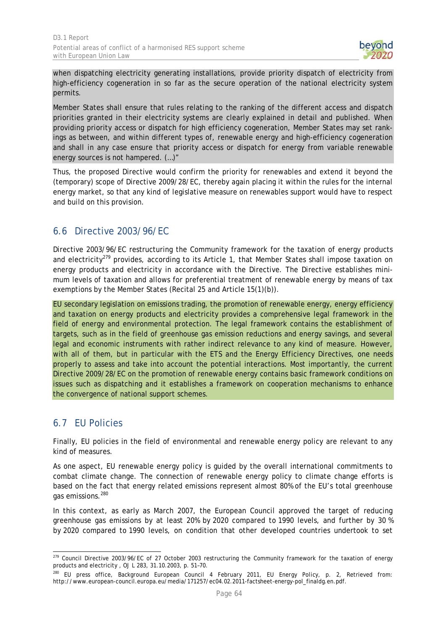when dispatching electricity generating installations, provide priority dispatch of electricity from high-efficiency cogeneration in so far as the secure operation of the national electricity system permits.

Member States shall ensure that rules relating to the ranking of the different access and dispatch priorities granted in their electricity systems are clearly explained in detail and published. When providing priority access or dispatch for high efficiency cogeneration, Member States may set rankings as between, and within different types of, renewable energy and high-efficiency cogeneration and shall in any case ensure that priority access or dispatch for energy from variable renewable energy sources is not hampered. (…)"

Thus, the proposed Directive would confirm the priority for renewables and extend it beyond the (temporary) scope of Directive 2009/28/EC, thereby again placing it within the rules for the internal energy market, so that any kind of legislative measure on renewables support would have to respect and build on this provision.

### 6.6 Directive 2003/96/EC

Directive 2003/96/EC restructuring the Community framework for the taxation of energy products and electricity<sup>279</sup> provides, according to its Article 1, that Member States shall impose taxation on energy products and electricity in accordance with the Directive. The Directive establishes minimum levels of taxation and allows for preferential treatment of renewable energy by means of tax exemptions by the Member States (Recital 25 and Article 15(1)(b)).

EU secondary legislation on emissions trading, the promotion of renewable energy, energy efficiency and taxation on energy products and electricity provides a comprehensive legal framework in the field of energy and environmental protection. The legal framework contains the establishment of targets, such as in the field of greenhouse gas emission reductions and energy savings, and several legal and economic instruments with rather indirect relevance to any kind of measure. However, with all of them, but in particular with the ETS and the Energy Efficiency Directives, one needs properly to assess and take into account the potential interactions. Most importantly, the current Directive 2009/28/EC on the promotion of renewable energy contains basic framework conditions on issues such as dispatching and it establishes a framework on cooperation mechanisms to enhance the convergence of national support schemes.

#### 6.7 EU Policies

Finally, EU policies in the field of environmental and renewable energy policy are relevant to any kind of measures.

As one aspect, EU renewable energy policy is guided by the overall international commitments to combat climate change. The connection of renewable energy policy to climate change efforts is based on the fact that energy related emissions represent almost 80% of the EU's total greenhouse gas emissions.<sup>280</sup>

In this context, as early as March 2007, the European Council approved the target of reducing greenhouse gas emissions by at least 20% by 2020 compared to 1990 levels, and further by 30 % by 2020 compared to 1990 levels, on condition that other developed countries undertook to set

<sup>1</sup> <sup>279</sup> Council Directive 2003/96/EC of 27 October 2003 restructuring the Community framework for the taxation of energy products and electricity , OJ L 283, 31.10.2003, p. 51–70.

<sup>280</sup> EU press office, *Background European Council 4 February 2011, EU Energy Policy*, p. 2, Retrieved from: http://www.european-council.europa.eu/media/171257/ec04.02.2011-factsheet-energy-pol\_finaldg.en.pdf.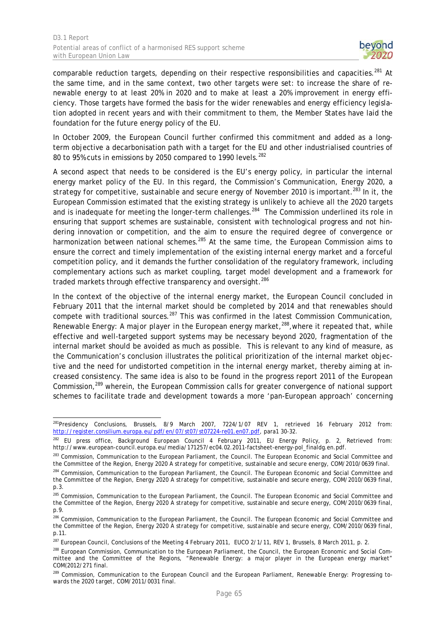

comparable reduction targets, depending on their respective responsibilities and capacities.<sup>281</sup> At the same time, and in the same context, two other targets were set: to increase the share of renewable energy to at least 20% in 2020 and to make at least a 20% improvement in energy efficiency. Those targets have formed the basis for the wider renewables and energy efficiency legislation adopted in recent years and with their commitment to them, the Member States have laid the foundation for the future energy policy of the EU.

In October 2009, the European Council further confirmed this commitment and added as a longterm objective a decarbonisation path with a target for the EU and other industrialised countries of 80 to 95% cuts in emissions by 2050 compared to 1990 levels.<sup>282</sup>

A second aspect that needs to be considered is the EU's energy policy, in particular the internal energy market policy of the EU. In this regard, the Commission's Communication, *Energy 2020, a strategy for competitive, sustainable and secure energy* of November 2010 is important.<sup>283</sup> In it, the European Commission estimated that the existing strategy is unlikely to achieve all the 2020 targets and is inadequate for meeting the longer-term challenges.<sup>284</sup> The Commission underlined its role in ensuring that support schemes are sustainable, consistent with technological progress and not hindering innovation or competition, and the aim to ensure the required degree of convergence or harmonization between national schemes.<sup>285</sup> At the same time, the European Commission aims to ensure the correct and timely implementation of the existing internal energy market and a forceful competition policy, and it demands the further consolidation of the regulatory framework, including complementary actions such as market coupling, target model development and a framework for traded markets through effective transparency and oversight.<sup>286</sup>

In the context of the objective of the internal energy market, the European Council concluded in February 2011 that the internal market should be completed by 2014 and that renewables should compete with traditional sources.<sup>287</sup> This was confirmed in the latest Commission Communication, Renewable Energy: A major player in the European energy market,<sup>288</sup>, where it repeated that, while effective and well-targeted support systems may be necessary beyond 2020, fragmentation of the internal market should be avoided as much as possible. This is relevant to any kind of measure, as the Communication's conclusion illustrates the political prioritization of the internal market objective and the need for undistorted competition in the internal energy market, thereby aiming at increased consistency. The same idea is also to be found in the progress report 2011 of the European Commission,289 wherein, the European Commission calls for greater convergence of national support schemes to facilitate trade and development towards a more '*pan-European approach*' concerning

<sup>-</sup><sup>281</sup>Presidency Conclusions, Brussels, 8/9 March 2007, 7224/1/07 REV 1, retrieved 16 February 2012 from: http://register.consilium.europa.eu/pdf/en/07/st07/st07224-re01.en07.pdf, para1 30-32.

<sup>282</sup> EU press office, *Background European Council 4 February 2011, EU Energy Policy*, p. 2, Retrieved from: http://www.european-council.europa.eu/media/171257/ec04.02.2011-factsheet-energy-pol\_finaldg.en.pdf.

<sup>&</sup>lt;sup>283</sup> Commission, Communication to the European Parliament, the Council. The European Economic and Social Committee and the Committee of the Region, *Energy 2020 A strategy for competitive, sustainable and secure energy*, COM/2010/0639 final.

<sup>&</sup>lt;sup>284</sup> Commission, Communication to the European Parliament, the Council. The European Economic and Social Committee and the Committee of the Region, *Energy 2020 A strategy for competitive, sustainable and secure energy*, COM/2010/0639 final, p.3.

<sup>&</sup>lt;sup>285</sup> Commission, Communication to the European Parliament, the Council. The European Economic and Social Committee and the Committee of the Region, *Energy 2020 A strategy for competitive, sustainable and secure energy*, COM/2010/0639 final, p.9.

<sup>&</sup>lt;sup>286</sup> Commission, Communication to the European Parliament, the Council. The European Economic and Social Committee and the Committee of the Region, *Energy 2020 A strategy for competitive, sustainable and secure energy*, COM/2010/0639 final, p.11.

<sup>&</sup>lt;sup>287</sup> European Council, Conclusions of the Meeting 4 February 2011, EUCO 2/1/11, REV 1, Brussels, 8 March 2011, p. 2.

<sup>&</sup>lt;sup>288</sup> European Commission, Communication to the European Parliament, the Council, the European Economic and Social Committee and the Committee of the Regions, "Renewable Energy: a major player in the European energy market" COM(2012/271 final.

<sup>289</sup> Commission, Communication to the European Council and the European Parliament, *Renewable Energy: Progressing towards the 2020 target*, COM/2011/0031 final.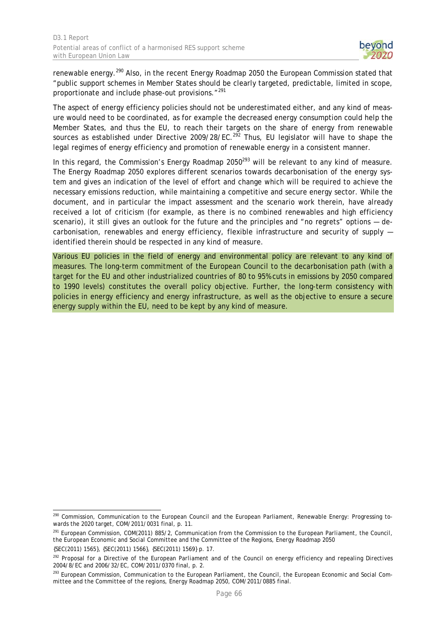renewable energy.290 Also, in the recent *Energy Roadmap 2050* the European Commission stated that "public support schemes in Member States should be clearly targeted, predictable, limited in scope, proportionate and include phase-out provisions."<sup>291</sup>

The aspect of energy efficiency policies should not be underestimated either, and any kind of measure would need to be coordinated, as for example the decreased energy consumption could help the Member States, and thus the EU, to reach their targets on the share of energy from renewable sources as established under Directive 2009/28/EC.<sup>292</sup> Thus, EU legislator will have to shape the legal regimes of energy efficiency and promotion of renewable energy in a consistent manner.

In this regard, the Commission's *Energy Roadmap 2050*<sup>293</sup> will be relevant to any kind of measure. The *Energy Roadmap 2050* explores different scenarios towards decarbonisation of the energy system and gives an indication of the level of effort and change which will be required to achieve the necessary emissions reduction, while maintaining a competitive and secure energy sector. While the document, and in particular the impact assessment and the scenario work therein, have already received a lot of criticism (for example, as there is no combined renewables and high efficiency scenario), it still gives an outlook for the future and the principles and "no regrets" options — decarbonisation, renewables and energy efficiency, flexible infrastructure and security of supply identified therein should be respected in any kind of measure.

Various EU policies in the field of energy and environmental policy are relevant to any kind of measures. The long-term commitment of the European Council to the decarbonisation path (with a target for the EU and other industrialized countries of 80 to 95% cuts in emissions by 2050 compared to 1990 levels) constitutes the overall policy objective. Further, the long-term consistency with policies in energy efficiency and energy infrastructure, as well as the objective to ensure a secure energy supply within the EU, need to be kept by any kind of measure.

<sup>1</sup> <sup>290</sup> Commission, Communication to the European Council and the European Parliament, Renewable Energy: Progressing towards the 2020 target, COM/2011/0031 final, p. 11.

<sup>291</sup> European Commission, COM(2011) 885/2, *Communication from the Commission to the European Parliament, the Council, the European Economic and Social Committee and the Committee of the Regions, Energy Roadmap 2050*

<sup>{</sup>SEC(2011) 1565}, {SEC(2011) 1566}, {SEC(2011) 1569} p. 17.

<sup>292</sup> *Proposal for a Directive of the European Parliament and of the Council on energy efficiency and repealing Directives 2004/8/EC and 2006/32/EC*, COM/2011/0370 final, p. 2.

<sup>293</sup> European Commission*, Communication to the European Parliament, the Council, the European Economic and Social Committee and the Committee of the regions, Energy Roadmap 2050*, COM/2011/0885 final.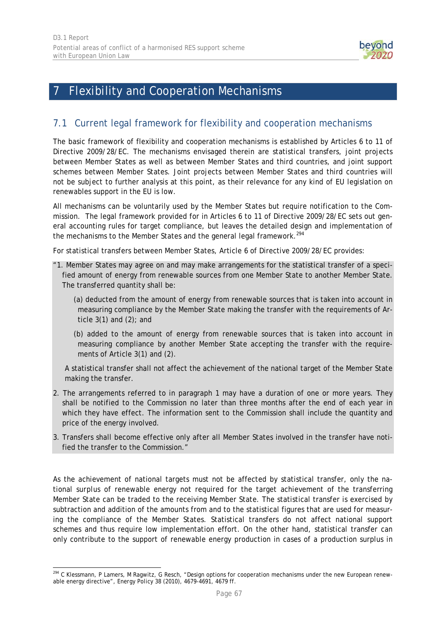

# 7 Flexibility and Cooperation Mechanisms

#### 7.1 Current legal framework for flexibility and cooperation mechanisms

The basic framework of flexibility and cooperation mechanisms is established by Articles 6 to 11 of Directive 2009/28/EC. The mechanisms envisaged therein are statistical transfers, joint projects between Member States as well as between Member States and third countries, and joint support schemes between Member States. Joint projects between Member States and third countries will not be subject to further analysis at this point, as their relevance for any kind of EU legislation on renewables support in the EU is low.

All mechanisms can be voluntarily used by the Member States but require notification to the Commission. The legal framework provided for in Articles 6 to 11 of Directive 2009/28/EC sets out general accounting rules for target compliance, but leaves the detailed design and implementation of the mechanisms to the Member States and the general legal framework.<sup>294</sup>

For statistical transfers between Member States, Article 6 of Directive 2009/28/EC provides:

- "1. Member States may agree on and may make arrangements for the statistical transfer of a specified amount of energy from renewable sources from one Member State to another Member State. The transferred quantity shall be:
	- (a) deducted from the amount of energy from renewable sources that is taken into account in measuring compliance by the Member State making the transfer with the requirements of Article  $3(1)$  and  $(2)$ ; and
	- (b) added to the amount of energy from renewable sources that is taken into account in measuring compliance by another Member State accepting the transfer with the requirements of Article 3(1) and (2).

 A statistical transfer shall not affect the achievement of the national target of the Member State making the transfer.

- 2. The arrangements referred to in paragraph 1 may have a duration of one or more years. They shall be notified to the Commission no later than three months after the end of each year in which they have effect. The information sent to the Commission shall include the quantity and price of the energy involved.
- 3. Transfers shall become effective only after all Member States involved in the transfer have notified the transfer to the Commission."

As the achievement of national targets must not be affected by statistical transfer, only the national *surplus* of renewable energy not required for the target achievement of the transferring Member State can be traded to the receiving Member State. The statistical transfer is exercised by subtraction and addition of the amounts from and to the statistical figures that are used for measuring the compliance of the Member States. Statistical transfers do not affect national support schemes and thus require low implementation effort. On the other hand, statistical transfer can only contribute to the support of renewable energy production in cases of a production surplus in

<sup>-</sup><sup>294</sup> C Klessmann, P Lamers, M Ragwitz, G Resch, "Design options for cooperation mechanisms under the new European renewable energy directive", *Energy Policy* 38 (2010), 4679-4691, 4679 ff.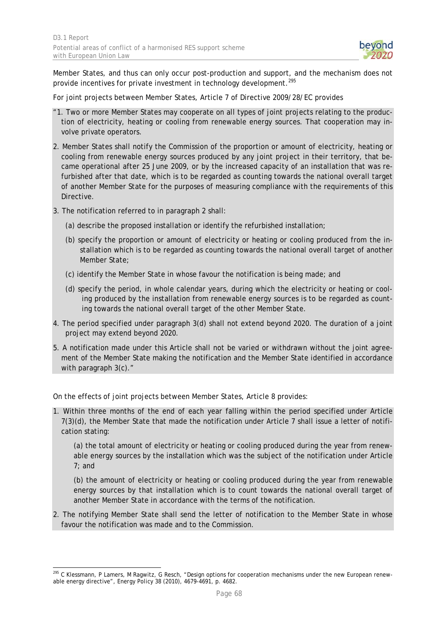

Member States, and thus can only occur post-production and support, and the mechanism does not provide incentives for private investment in technology development.<sup>295</sup>

For joint projects between Member States, Article 7 of Directive 2009/28/EC provides

- "1. Two or more Member States may cooperate on all types of joint projects relating to the production of electricity, heating or cooling from renewable energy sources. That cooperation may involve private operators.
- 2. Member States shall notify the Commission of the proportion or amount of electricity, heating or cooling from renewable energy sources produced by any joint project in their territory, that became operational after 25 June 2009, or by the increased capacity of an installation that was refurbished after that date, which is to be regarded as counting towards the national overall target of another Member State for the purposes of measuring compliance with the requirements of this Directive.
- 3. The notification referred to in paragraph 2 shall:
	- (a) describe the proposed installation or identify the refurbished installation;
	- (b) specify the proportion or amount of electricity or heating or cooling produced from the installation which is to be regarded as counting towards the national overall target of another Member State;
	- (c) identify the Member State in whose favour the notification is being made; and
	- (d) specify the period, in whole calendar years, during which the electricity or heating or cooling produced by the installation from renewable energy sources is to be regarded as counting towards the national overall target of the other Member State.
- 4. The period specified under paragraph 3(d) shall not extend beyond 2020. The duration of a joint project may extend beyond 2020.
- 5. A notification made under this Article shall not be varied or withdrawn without the joint agreement of the Member State making the notification and the Member State identified in accordance with paragraph  $3(c)$ ."

On the effects of joint projects between Member States, Article 8 provides:

1. Within three months of the end of each year falling within the period specified under Article 7(3)(d), the Member State that made the notification under Article 7 shall issue a letter of notification stating:

 (a) the total amount of electricity or heating or cooling produced during the year from renewable energy sources by the installation which was the subject of the notification under Article 7; and

 (b) the amount of electricity or heating or cooling produced during the year from renewable energy sources by that installation which is to count towards the national overall target of another Member State in accordance with the terms of the notification.

2. The notifying Member State shall send the letter of notification to the Member State in whose favour the notification was made and to the Commission.

<sup>-</sup><sup>295</sup> C Klessmann, P Lamers, M Ragwitz, G Resch, "Design options for cooperation mechanisms under the new European renewable energy directive", *Energy Policy* 38 (2010), 4679-4691, p. 4682.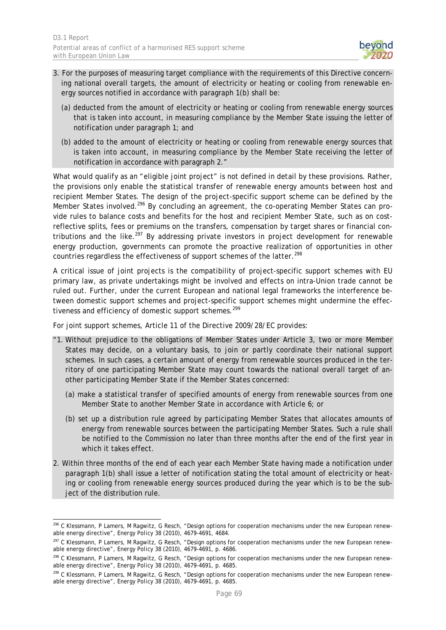

- 3. For the purposes of measuring target compliance with the requirements of this Directive concerning national overall targets, the amount of electricity or heating or cooling from renewable energy sources notified in accordance with paragraph 1(b) shall be:
	- (a) deducted from the amount of electricity or heating or cooling from renewable energy sources that is taken into account, in measuring compliance by the Member State issuing the letter of notification under paragraph 1; and
	- (b) added to the amount of electricity or heating or cooling from renewable energy sources that is taken into account, in measuring compliance by the Member State receiving the letter of notification in accordance with paragraph 2."

What would qualify as an "eligible joint project" is not defined in detail by these provisions. Rather, the provisions only enable the statistical transfer of renewable energy amounts between host and recipient Member States. The design of the project-specific support scheme can be defined by the Member States involved.<sup>296</sup> By concluding an agreement, the co-operating Member States can provide rules to balance costs and benefits for the host and recipient Member State, such as on costreflective splits, fees or premiums on the transfers, compensation by target shares or financial contributions and the like.<sup>297</sup> By addressing private investors in project development for renewable energy production, governments can promote the proactive realization of opportunities in other countries regardless the effectiveness of support schemes of the latter.<sup>298</sup>

A critical issue of joint projects is the compatibility of project-specific support schemes with EU primary law, as private undertakings might be involved and effects on intra-Union trade cannot be ruled out. Further, under the current European and national legal frameworks the interference between domestic support schemes and project-specific support schemes might undermine the effectiveness and efficiency of domestic support schemes.<sup>299</sup>

For joint support schemes, Article 11 of the Directive 2009/28/EC provides:

-

- "1. Without prejudice to the obligations of Member States under Article 3, two or more Member States may decide, on a voluntary basis, to join or partly coordinate their national support schemes. In such cases, a certain amount of energy from renewable sources produced in the territory of one participating Member State may count towards the national overall target of another participating Member State if the Member States concerned:
	- (a) make a statistical transfer of specified amounts of energy from renewable sources from one Member State to another Member State in accordance with Article 6; or
	- (b) set up a distribution rule agreed by participating Member States that allocates amounts of energy from renewable sources between the participating Member States. Such a rule shall be notified to the Commission no later than three months after the end of the first year in which it takes effect.
- 2. Within three months of the end of each year each Member State having made a notification under paragraph 1(b) shall issue a letter of notification stating the total amount of electricity or heating or cooling from renewable energy sources produced during the year which is to be the subject of the distribution rule.

<sup>&</sup>lt;sup>296</sup> C Klessmann, P Lamers, M Ragwitz, G Resch, "Design options for cooperation mechanisms under the new European renewable energy directive", *Energy Policy* 38 (2010), 4679-4691, 4684.

<sup>&</sup>lt;sup>297</sup> C Klessmann, P Lamers, M Ragwitz, G Resch, "Design options for cooperation mechanisms under the new European renewable energy directive", *Energy Policy* 38 (2010), 4679-4691, p. 4686.

<sup>&</sup>lt;sup>298</sup> C Klessmann, P Lamers, M Ragwitz, G Resch, "Design options for cooperation mechanisms under the new European renewable energy directive", *Energy Policy* 38 (2010), 4679-4691, p. 4685.

<sup>&</sup>lt;sup>299</sup> C Klessmann, P Lamers, M Ragwitz, G Resch, "Design options for cooperation mechanisms under the new European renewable energy directive", *Energy Policy* 38 (2010), 4679-4691, p. 4685.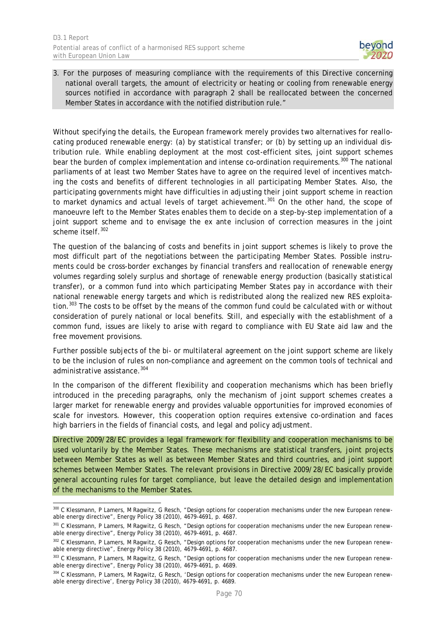

3. For the purposes of measuring compliance with the requirements of this Directive concerning national overall targets, the amount of electricity or heating or cooling from renewable energy sources notified in accordance with paragraph 2 shall be reallocated between the concerned Member States in accordance with the notified distribution rule."

Without specifying the details, the European framework merely provides two alternatives for reallocating produced renewable energy: (a) by statistical transfer; or (b) by setting up an individual distribution rule. While enabling deployment at the most cost-efficient sites, joint support schemes bear the burden of complex implementation and intense co-ordination requirements.<sup>300</sup> The national parliaments of at least two Member States have to agree on the required level of incentives matching the costs and benefits of different technologies in all participating Member States. Also, the participating governments might have difficulties in adjusting their joint support scheme in reaction to market dynamics and actual levels of target achievement.<sup>301</sup> On the other hand, the scope of manoeuvre left to the Member States enables them to decide on a step-by-step implementation of a joint support scheme and to envisage the *ex ante* inclusion of correction measures in the joint scheme itself.<sup>302</sup>

The question of the balancing of costs and benefits in joint support schemes is likely to prove the most difficult part of the negotiations between the participating Member States. Possible instruments could be cross-border exchanges by financial transfers and reallocation of renewable energy volumes regarding solely surplus and shortage of renewable energy production (basically statistical transfer), or a common fund into which participating Member States pay in accordance with their national renewable energy targets and which is redistributed along the realized new RES exploitation.<sup>303</sup> The costs to be offset by the means of the common fund could be calculated with or without consideration of purely national or local benefits. Still, and especially with the establishment of a common fund, issues are likely to arise with regard to compliance with EU State aid law and the free movement provisions.

Further possible subjects of the bi- or multilateral agreement on the joint support scheme are likely to be the inclusion of rules on non-compliance and agreement on the common tools of technical and administrative assistance.<sup>304</sup>

In the comparison of the different flexibility and cooperation mechanisms which has been briefly introduced in the preceding paragraphs, only the mechanism of joint support schemes creates a larger market for renewable energy and provides valuable opportunities for improved economies of scale for investors. However, this cooperation option requires extensive co-ordination and faces high barriers in the fields of financial costs, and legal and policy adjustment.

Directive 2009/28/EC provides a legal framework for flexibility and cooperation mechanisms to be used voluntarily by the Member States. These mechanisms are statistical transfers, joint projects between Member States as well as between Member States and third countries, and joint support schemes between Member States. The relevant provisions in Directive 2009/28/EC basically provide general accounting rules for target compliance, but leave the detailed design and implementation of the mechanisms to the Member States.

-

<sup>&</sup>lt;sup>300</sup> C Klessmann, P Lamers, M Ragwitz, G Resch, "Design options for cooperation mechanisms under the new European renewable energy directive", *Energy Policy* 38 (2010), 4679-4691, p. 4687.

<sup>301</sup> C Klessmann, P Lamers, M Ragwitz, G Resch, "Design options for cooperation mechanisms under the new European renewable energy directive", *Energy Policy* 38 (2010), 4679-4691, p. 4687.

<sup>&</sup>lt;sup>302</sup> C Klessmann, P Lamers, M Ragwitz, G Resch, "Design options for cooperation mechanisms under the new European renewable energy directive", *Energy Policy* 38 (2010), 4679-4691, p. 4687.

<sup>303</sup> C Klessmann, P Lamers, M Ragwitz, G Resch, "Design options for cooperation mechanisms under the new European renewable energy directive", *Energy Policy* 38 (2010), 4679-4691, p. 4689.

<sup>304</sup> C Klessmann, P Lamers, M Ragwitz, G Resch, 'Design options for cooperation mechanisms under the new European renewable energy directive', *Energy Policy* 38 (2010), 4679-4691, p. 4689.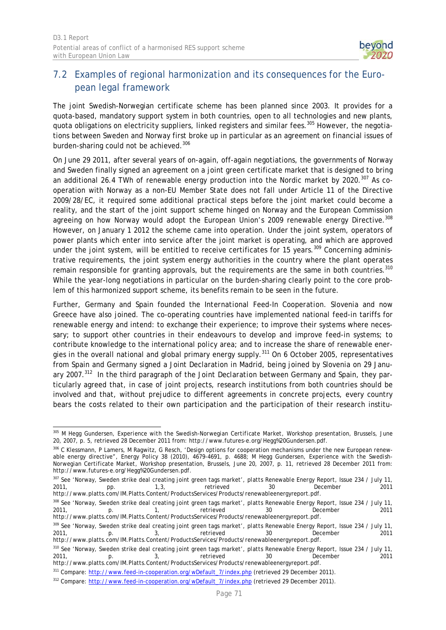

## 7.2 Examples of regional harmonization and its consequences for the European legal framework

The joint Swedish-Norwegian certificate scheme has been planned since 2003. It provides for a quota-based, mandatory support system in both countries, open to all technologies and new plants, quota obligations on electricity suppliers, linked registers and similar fees.<sup>305</sup> However, the negotiations between Sweden and Norway first broke up in particular as an agreement on financial issues of burden-sharing could not be achieved.<sup>306</sup>

On June 29 2011, after several years of on-again, off-again negotiations, the governments of Norway and Sweden finally signed an agreement on a joint green certificate market that is designed to bring an additional 26.4 TWh of renewable energy production into the Nordic market by 2020. $307$  As cooperation with Norway as a non-EU Member State does not fall under Article 11 of the Directive 2009/28/EC, it required some additional practical steps before the joint market could become a reality, and the start of the joint support scheme hinged on Norway and the European Commission agreeing on how Norway would adopt the European Union's 2009 renewable energy Directive.<sup>308</sup> However, on January 1 2012 the scheme came into operation. Under the joint system, operators of power plants which enter into service after the joint market is operating, and which are approved under the joint system, will be entitled to receive certificates for 15 years.<sup>309</sup> Concerning administrative requirements, the joint system energy authorities in the country where the plant operates remain responsible for granting approvals, but the requirements are the same in both countries.<sup>310</sup> While the year-long negotiations in particular on the burden-sharing clearly point to the core problem of this harmonized support scheme, its benefits remain to be seen in the future.

Further, Germany and Spain founded the *International Feed-In Cooperation*. Slovenia and now Greece have also joined. The co-operating countries have implemented national feed-in tariffs for renewable energy and intend: to exchange their experience; to improve their systems where necessary; to support other countries in their endeavours to develop and improve feed-in systems; to contribute knowledge to the international policy area; and to increase the share of renewable energies in the overall national and global primary energy supply.<sup>311</sup> On 6 October 2005, representatives from Spain and Germany signed a Joint Declaration in Madrid, being joined by Slovenia on 29 January 2007.312 In the third paragraph of the *Joint Declaration* between Germany and Spain, they particularly agreed that, in case of joint projects, research institutions from both countries should be involved and that, without prejudice to different agreements in concrete projects, every country bears the costs related to their own participation and the participation of their research institu-

<sup>-</sup>305 M Hegg Gundersen, *Experience with the Swedish-Norwegian Certificate Market*, Workshop presentation, Brussels, June 20, 2007, p. 5, retrieved 28 December 2011 from: http://www.futures-e.org/Hegg%20Gundersen.pdf.

<sup>306</sup> C Klessmann, P Lamers, M Ragwitz, G Resch, 'Design options for cooperation mechanisms under the new European renewable energy directive", *Energy Policy* 38 (2010), 4679-4691, p. 4688; M Hegg Gundersen, *Experience with the Swedish-Norwegian Certificate Market*, Workshop presentation, Brussels, June 20, 2007, p. 11, retrieved 28 December 2011 from: http://www.futures-e.org/Hegg%20Gundersen.pdf.

<sup>307</sup> See 'Norway, Sweden strike deal creating joint green tags market', *platts Renewable Energy Report*, Issue 234 / July 11, 2011, pp. 1,3, retrieved 30 December 2011 http://www.platts.com/IM.Platts.Content/ProductsServices/Products/renewableenergyreport.pdf.

<sup>308</sup> See 'Norway, Sweden strike deal creating joint green tags market', *platts Renewable Energy Report*, Issue 234 / July 11, 2011, p. 1, retrieved 30 December 2011 http://www.platts.com/IM.Platts.Content/ProductsServices/Products/renewableenergyreport.pdf.

<sup>309</sup> See 'Norway, Sweden strike deal creating joint green tags market', *platts Renewable Energy Report*, Issue 234 / July 11, 2011, p. 3, retrieved 30 December 2011

http://www.platts.com/IM.Platts.Content/ProductsServices/Products/renewableenergyreport.pdf.

<sup>310</sup> See 'Norway, Sweden strike deal creating joint green tags market', *platts Renewable Energy Report*, Issue 234 / July 11, 2011, p. 3, retrieved 30 December 2011 http://www.platts.com/IM.Platts.Content/ProductsServices/Products/renewableenergyreport.pdf.

<sup>311</sup> Compare: http://www.feed-in-cooperation.org/wDefault\_7/index.php (retrieved 29 December 2011).

<sup>&</sup>lt;sup>312</sup> Compare: http://www.feed-in-cooperation.org/wDefault\_7/index.php (retrieved 29 December 2011).